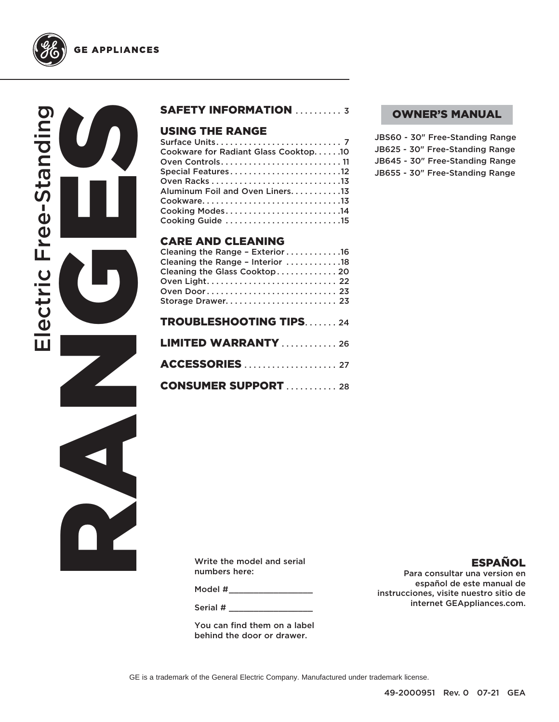

RANGES CONTROLL Electric Free-Standing ectric Free-Stand



### USING THE RANGE

| Cookware for Radiant Glass Cooktop10 |
|--------------------------------------|
| Oven Controls11                      |
| Special Features12                   |
|                                      |
| Aluminum Foil and Oven Liners. 13    |
|                                      |
|                                      |
| Cooking Guide 15                     |

### CARE AND CLEANING

| Cleaning the Range - Exterior 16 |  |
|----------------------------------|--|
| Cleaning the Range - Interior 18 |  |
| Cleaning the Glass Cooktop 20    |  |
|                                  |  |
| Oven Door 23                     |  |
| Storage Drawer 23                |  |
|                                  |  |
| <b>TROUBLESHOOTING TIPS24</b>    |  |
|                                  |  |
| <b>LIMITED WARRANTY</b> 26       |  |
|                                  |  |
|                                  |  |

**CONSUMER SUPPORT . . . . . . . . . . 28** 

### OWNER'S MANUAL

JBS60 - 30" Free-Standing Range JB625 - 30" Free-Standing Range JB645 - 30" Free-Standing Range JB655 - 30" Free-Standing Range

Write the model and serial numbers here:

Model #

Serial #

You can find them on a label behind the door or drawer.

### ESPAÑOL

Para consultar una version en español de este manual de instrucciones, visite nuestro sitio de internet GEAppliances.com.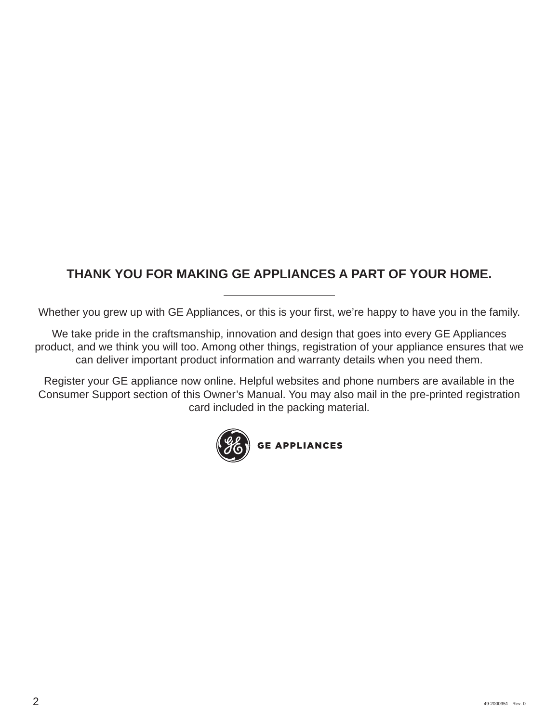## **THANK YOU FOR MAKING GE APPLIANCES A PART OF YOUR HOME.**

Whether you grew up with GE Appliances, or this is your first, we're happy to have you in the family.

We take pride in the craftsmanship, innovation and design that goes into every GE Appliances product, and we think you will too. Among other things, registration of your appliance ensures that we can deliver important product information and warranty details when you need them.

Register your GE appliance now online. Helpful websites and phone numbers are available in the Consumer Support section of this Owner's Manual. You may also mail in the pre-printed registration card included in the packing material.

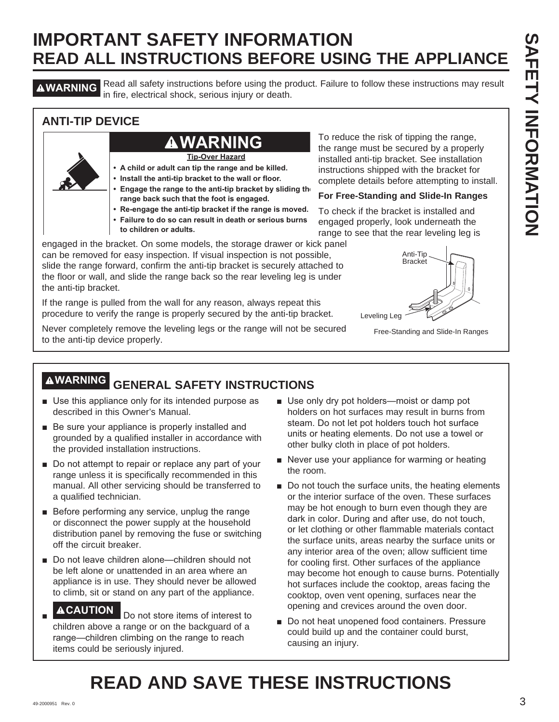**AWARNING** Read all safety instructions before using the product. Failure to follow these instructions may result in fire, electrical shock, serious injury or death.

### **ANTI-TIP DEVICE**

## **WARNING**

**Tip-Over Hazard**

- **A child or adult can tip the range and be killed.**
- **Install the anti-tip bracket to the wall or floor.**
- **Engage the range to the anti-tip bracket by sliding the range back such that the foot is engaged.**
- **Re-engage the anti-tip bracket if the range is moved.**
- **Failure to do so can result in death or serious burns**
- **to children or adults.**

engaged in the bracket. On some models, the storage drawer or kick panel can be removed for easy inspection. If visual inspection is not possible, slide the range forward, confirm the anti-tip bracket is securely attached to the floor or wall, and slide the range back so the rear leveling leg is under the anti-tip bracket.

If the range is pulled from the wall for any reason, always repeat this procedure to verify the range is properly secured by the anti-tip bracket.

Never completely remove the leveling legs or the range will not be secured to the anti-tip device properly.

To reduce the risk of tipping the range, the range must be secured by a properly installed anti-tip bracket. See installation instructions shipped with the bracket for complete details before attempting to install.

### **For Free-Standing and Slide-In Ranges**

To check if the bracket is installed and engaged properly, look underneath the range to see that the rear leveling leg is



Free-Standing and Slide-In Ranges

# **WARNING GENERAL SAFETY INSTRUCTIONS**

- Use this appliance only for its intended purpose as described in this Owner's Manual.
- $\blacksquare$  Be sure your appliance is properly installed and grounded by a qualified installer in accordance with the provided installation instructions.
- $\blacksquare$  Do not attempt to repair or replace any part of your range unless it is specifically recommended in this manual. All other servicing should be transferred to a qualified technician.
- $\blacksquare$  Before performing any service, unplug the range or disconnect the power supply at the household distribution panel by removing the fuse or switching off the circuit breaker.
- Do not leave children alone—children should not be left alone or unattended in an area where an appliance is in use. They should never be allowed to climb, sit or stand on any part of the appliance.
- Ŷ **ACAUTION** Do not store items of interest to children above a range or on the backguard of a range—children climbing on the range to reach items could be seriously injured.
- Use only dry pot holders-moist or damp pot holders on hot surfaces may result in burns from steam. Do not let pot holders touch hot surface units or heating elements. Do not use a towel or other bulky cloth in place of pot holders.
- $\blacksquare$  Never use your appliance for warming or heating the room.
- Do not touch the surface units, the heating elements or the interior surface of the oven. These surfaces may be hot enough to burn even though they are dark in color. During and after use, do not touch, or let clothing or other flammable materials contact the surface units, areas nearby the surface units or any interior area of the oven; allow sufficient time for cooling first. Other surfaces of the appliance may become hot enough to cause burns. Potentially hot surfaces include the cooktop, areas facing the cooktop, oven vent opening, surfaces near the opening and crevices around the oven door.
- Do not heat unopened food containers. Pressure could build up and the container could burst, causing an injury.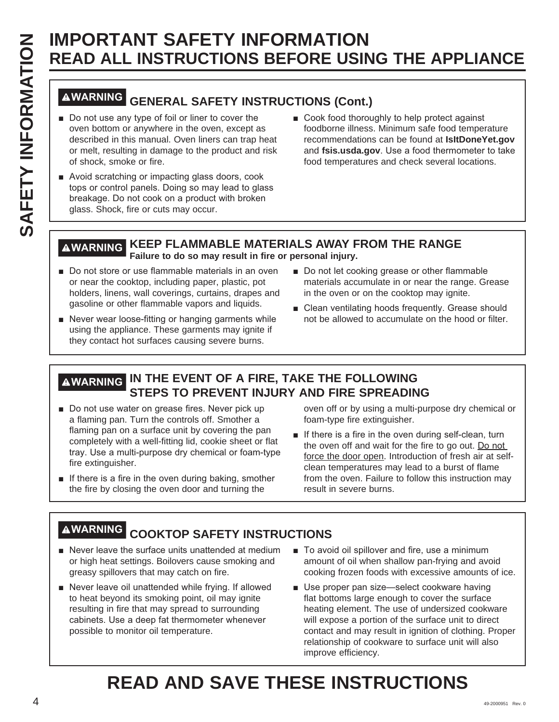# **WARNING GENERAL SAFETY INSTRUCTIONS (Cont.)**

- Do not use any type of foil or liner to cover the oven bottom or anywhere in the oven, except as described in this manual. Oven liners can trap heat or melt, resulting in damage to the product and risk of shock, smoke or fire.
- Avoid scratching or impacting glass doors, cook tops or control panels. Doing so may lead to glass breakage. Do not cook on a product with broken glass. Shock, fire or cuts may occur.
- Cook food thoroughly to help protect against foodborne illness. Minimum safe food temperature recommendations can be found at **IsItDoneYet.gov** and fsis.usda.gov. Use a food thermometer to take food temperatures and check several locations.

### **WARNING KEEP FLAMMABLE MATERIALS AWAY FROM THE RANGE Failure to do so may result in fire or personal injury.**

- Do not store or use flammable materials in an oven or near the cooktop, including paper, plastic, pot holders, linens, wall coverings, curtains, drapes and gasoline or other flammable vapors and liquids.
- Never wear loose-fitting or hanging garments while using the appliance. These garments may ignite if they contact hot surfaces causing severe burns.
- Do not let cooking grease or other flammable materials accumulate in or near the range. Grease in the oven or on the cooktop may ignite.
- $\blacksquare$  Clean ventilating hoods frequently. Grease should not be allowed to accumulate on the hood or filter.

### **WARNING IN THE EVENT OF A FIRE, TAKE THE FOLLOWING STEPS TO PREVENT INJURY AND FIRE SPREADING**

- Do not use water on grease fires. Never pick up a flaming pan. Turn the controls off. Smother a flaming pan on a surface unit by covering the pan completely with a well-fitting lid, cookie sheet or flat tray. Use a multi-purpose dry chemical or foam-type fire extinguisher.
- $\blacksquare$  If there is a fire in the oven during baking, smother the fire by closing the oven door and turning the

oven off or by using a multi-purpose dry chemical or foam-type fire extinguisher.

 $\blacksquare$  If there is a fire in the oven during self-clean, turn the oven off and wait for the fire to go out. Do not force the door open. Introduction of fresh air at selfclean temperatures may lead to a burst of flame from the oven. Failure to follow this instruction may result in severe burns.

# **WARNING COOKTOP SAFETY INSTRUCTIONS**

- $\blacksquare$  Never leave the surface units unattended at medium or high heat settings. Boilovers cause smoking and greasy spillovers that may catch on fire.
- Never leave oil unattended while frying. If allowed to heat beyond its smoking point, oil may ignite resulting in fire that may spread to surrounding cabinets. Use a deep fat thermometer whenever possible to monitor oil temperature.
- To avoid oil spillover and fire, use a minimum amount of oil when shallow pan-frying and avoid cooking frozen foods with excessive amounts of ice.
- Use proper pan size-select cookware having flat bottoms large enough to cover the surface heating element. The use of undersized cookware will expose a portion of the surface unit to direct contact and may result in ignition of clothing. Proper relationship of cookware to surface unit will also improve efficiency.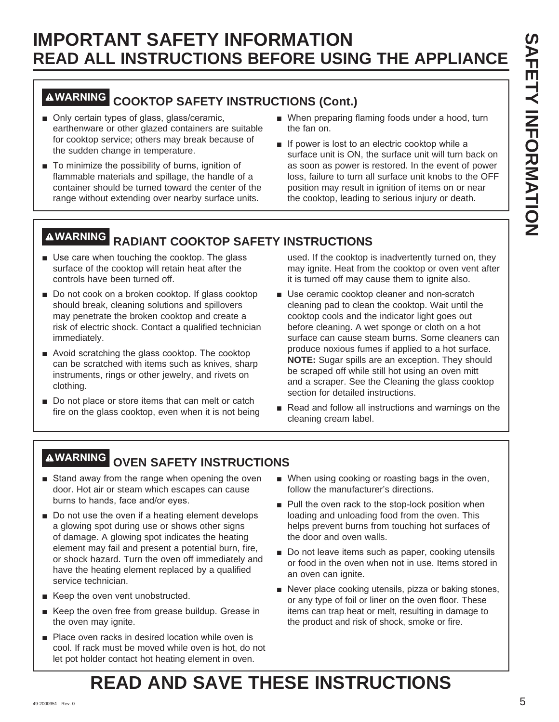## **WARNING COOKTOP SAFETY INSTRUCTIONS (Cont.)**

- Only certain types of glass, glass/ceramic, earthenware or other glazed containers are suitable for cooktop service; others may break because of the sudden change in temperature.
- $\blacksquare$  To minimize the possibility of burns, ignition of flammable materials and spillage, the handle of a container should be turned toward the center of the range without extending over nearby surface units.
- When preparing flaming foods under a hood, turn the fan on.
- $\blacksquare$  If power is lost to an electric cooktop while a surface unit is ON, the surface unit will turn back on as soon as power is restored. In the event of power loss, failure to turn all surface unit knobs to the OFF position may result in ignition of items on or near the cooktop, leading to serious injury or death.

# **WARNING RADIANT COOKTOP SAFETY INSTRUCTIONS**

- $\blacksquare$  Use care when touching the cooktop. The glass surface of the cooktop will retain heat after the controls have been turned off.
- Do not cook on a broken cooktop. If glass cooktop should break, cleaning solutions and spillovers may penetrate the broken cooktop and create a risk of electric shock. Contact a qualified technician immediately.
- $\blacksquare$  Avoid scratching the glass cooktop. The cooktop can be scratched with items such as knives, sharp instruments, rings or other jewelry, and rivets on clothing.
- $\blacksquare$  Do not place or store items that can melt or catch fire on the glass cooktop, even when it is not being

used. If the cooktop is inadvertently turned on, they may ignite. Heat from the cooktop or oven vent after it is turned off may cause them to ignite also.

- **B** Use ceramic cooktop cleaner and non-scratch cleaning pad to clean the cooktop. Wait until the cooktop cools and the indicator light goes out before cleaning. A wet sponge or cloth on a hot surface can cause steam burns. Some cleaners can produce noxious fumes if applied to a hot surface. **NOTE:** Sugar spills are an exception. They should be scraped off while still hot using an oven mitt and a scraper. See the Cleaning the glass cooktop section for detailed instructions.
- Read and follow all instructions and warnings on the cleaning cream label.

# **WARNING OVEN SAFETY INSTRUCTIONS**

- Stand away from the range when opening the oven door. Hot air or steam which escapes can cause burns to hands, face and/or eyes.
- $\blacksquare$  Do not use the oven if a heating element develops a glowing spot during use or shows other signs of damage. A glowing spot indicates the heating element may fail and present a potential burn, fire, or shock hazard. Turn the oven off immediately and have the heating element replaced by a qualified service technician.
- Keep the oven vent unobstructed.
- Keep the oven free from grease buildup. Grease in the oven may ignite.
- Place oven racks in desired location while oven is cool. If rack must be moved while oven is hot, do not let pot holder contact hot heating element in oven.
- When using cooking or roasting bags in the oven, follow the manufacturer's directions.
- $\blacksquare$  Pull the oven rack to the stop-lock position when loading and unloading food from the oven. This helps prevent burns from touching hot surfaces of the door and oven walls.
- Do not leave items such as paper, cooking utensils or food in the oven when not in use. Items stored in an oven can ignite.
- Never place cooking utensils, pizza or baking stones, or any type of foil or liner on the oven floor. These items can trap heat or melt, resulting in damage to the product and risk of shock, smoke or fire.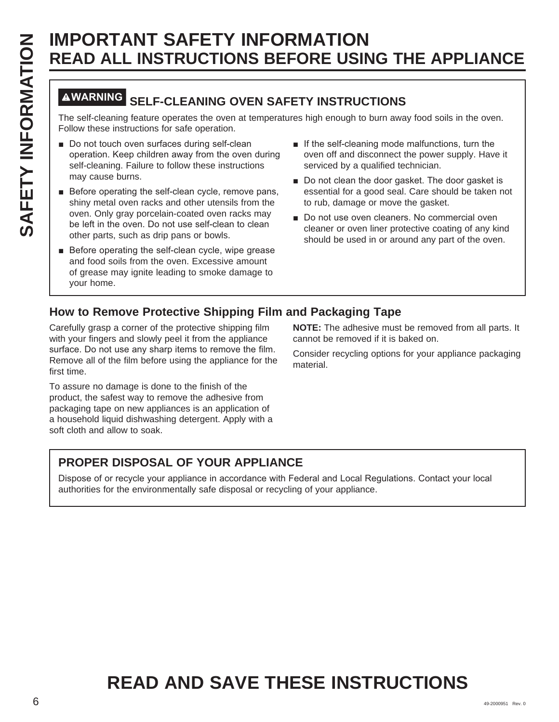# **WARNING SELF-CLEANING OVEN SAFETY INSTRUCTIONS**

The self-cleaning feature operates the oven at temperatures high enough to burn away food soils in the oven. Follow these instructions for safe operation.

- Do not touch oven surfaces during self-clean operation. Keep children away from the oven during self-cleaning. Failure to follow these instructions may cause burns.
- Before operating the self-clean cycle, remove pans, shiny metal oven racks and other utensils from the oven. Only gray porcelain-coated oven racks may be left in the oven. Do not use self-clean to clean other parts, such as drip pans or bowls.
- Before operating the self-clean cycle, wipe grease and food soils from the oven. Excessive amount of grease may ignite leading to smoke damage to your home.
- $\blacksquare$  If the self-cleaning mode malfunctions, turn the oven off and disconnect the power supply. Have it serviced by a qualified technician.
- Do not clean the door gasket. The door gasket is essential for a good seal. Care should be taken not to rub, damage or move the gasket.
- Do not use oven cleaners. No commercial oven cleaner or oven liner protective coating of any kind should be used in or around any part of the oven.

### **How to Remove Protective Shipping Film and Packaging Tape**

Carefully grasp a corner of the protective shipping film with your fingers and slowly peel it from the appliance surface. Do not use any sharp items to remove the film. Remove all of the film before using the appliance for the first time.

To assure no damage is done to the finish of the product, the safest way to remove the adhesive from packaging tape on new appliances is an application of a household liquid dishwashing detergent. Apply with a soft cloth and allow to soak.

**NOTE:** The adhesive must be removed from all parts. It cannot be removed if it is baked on.

Consider recycling options for your appliance packaging material.

## **PROPER DISPOSAL OF YOUR APPLIANCE**

Dispose of or recycle your appliance in accordance with Federal and Local Regulations. Contact your local authorities for the environmentally safe disposal or recycling of your appliance.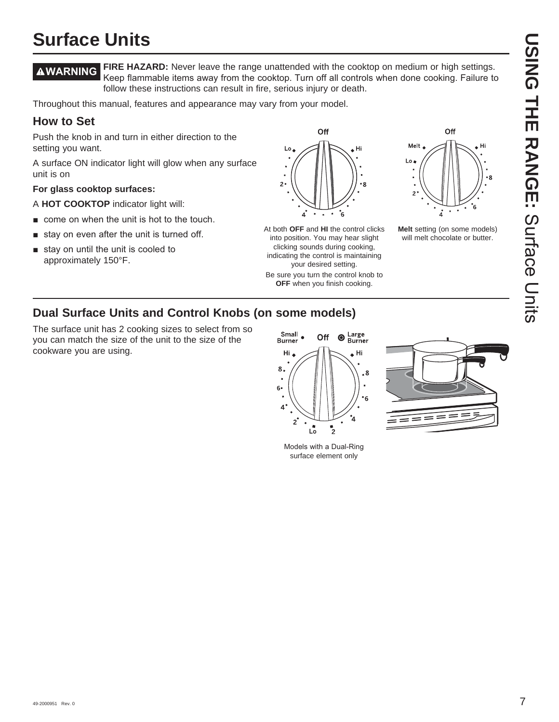# **USING THE RANGE:DING HIE RANGE:** Surface Chits Surface Units

# **Surface Units**

**WARNING FIRE HAZARD:** Never leave the range unattended with the cooktop on medium or high settings. Keep flammable items away from the cooktop. Turn off all controls when done cooking. Failure to follow these instructions can result in fire, serious injury or death.

Throughout this manual, features and appearance may vary from your model.

### **How to Set**

Push the knob in and turn in either direction to the setting you want.

A surface ON indicator light will glow when any surface unit is on

### **For glass cooktop surfaces:**

A **HOT COOKTOP** indicator light will:

- $\blacksquare$  come on when the unit is hot to the touch.
- $\blacksquare$  stay on even after the unit is turned off.
- $\blacksquare$  stay on until the unit is cooled to approximately 150°F.



At both **OFF** and **HI** the control clicks into position. You may hear slight clicking sounds during cooking, indicating the control is maintaining your desired setting.

Be sure you turn the control knob to **OFF** when you finish cooking.



**Melt** setting (on some models) will melt chocolate or butter.

### **Dual Surface Units and Control Knobs (on some models)**

The surface unit has 2 cooking sizes to select from so you can match the size of the unit to the size of the cookware you are using.



Models with a Dual-Ring surface element only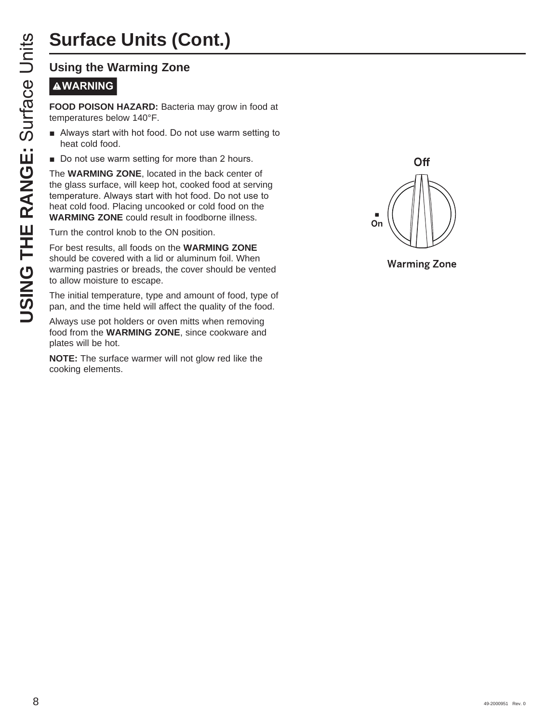# **Surface Units (Cont.)**

# **WARNING**

**FOOD POISON HAZARD:** Bacteria may grow in food at temperatures below 140°F.

- **E** Always start with hot food. Do not use warm setting to heat cold food.
- Do not use warm setting for more than 2 hours.

**USING THE RANGE STATES CONCRETED THE RANGE STATES THE RANGE STATES THE PRODUCED TO DO THE RANGE STATES STARBUTE ON THE WARMING ZONE, located in 1<br>the glass surface, will keep hot, contract cold food.<br>The WARMING ZONE, loc** The **WARMING ZONE**, located in the back center of the glass surface, will keep hot, cooked food at serving temperature. Always start with hot food. Do not use to heat cold food. Placing uncooked or cold food on the **WARMING ZONE** could result in foodborne illness.

Turn the control knob to the ON position.

For best results, all foods on the **WARMING ZONE** should be covered with a lid or aluminum foil. When warming pastries or breads, the cover should be vented to allow moisture to escape.

The initial temperature, type and amount of food, type of pan, and the time held will affect the quality of the food.

Always use pot holders or oven mitts when removing food from the **WARMING ZONE**, since cookware and plates will be hot.

**NOTE:** The surface warmer will not glow red like the cooking elements.



**Warming Zone**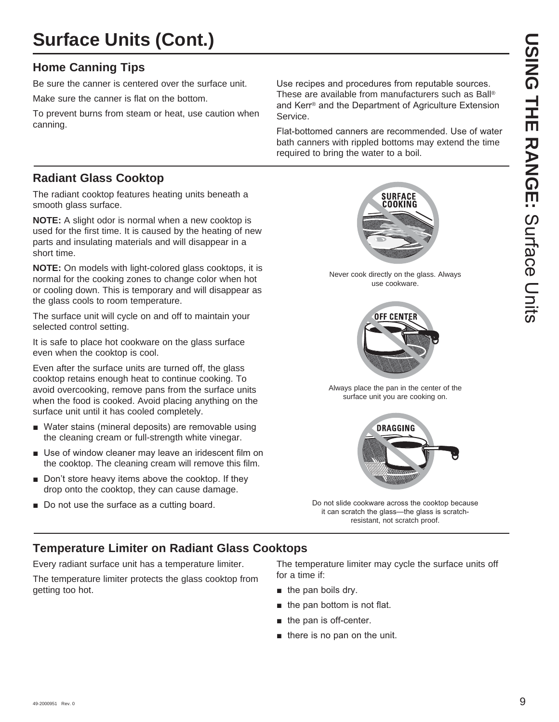# **Surface Units (Cont.)**

### **Home Canning Tips**

Be sure the canner is centered over the surface unit.

Make sure the canner is flat on the bottom.

To prevent burns from steam or heat, use caution when canning.

Use recipes and procedures from reputable sources. These are available from manufacturers such as Ball® and Kerr<sup>®</sup> and the Department of Agriculture Extension Service.

Flat-bottomed canners are recommended. Use of water bath canners with rippled bottoms may extend the time required to bring the water to a boil.

### **Radiant Glass Cooktop**

The radiant cooktop features heating units beneath a smooth glass surface.

**NOTE:** A slight odor is normal when a new cooktop is used for the first time. It is caused by the heating of new parts and insulating materials and will disappear in a short time.

**NOTE:** On models with light-colored glass cooktops, it is normal for the cooking zones to change color when hot or cooling down. This is temporary and will disappear as the glass cools to room temperature.

The surface unit will cycle on and off to maintain your selected control setting.

It is safe to place hot cookware on the glass surface even when the cooktop is cool.

Even after the surface units are turned off, the glass cooktop retains enough heat to continue cooking. To avoid overcooking, remove pans from the surface units when the food is cooked. Avoid placing anything on the surface unit until it has cooled completely.

- Water stains (mineral deposits) are removable using the cleaning cream or full-strength white vinegar.
- $\blacksquare$  Use of window cleaner may leave an iridescent film on the cooktop. The cleaning cream will remove this film.
- $\blacksquare$  Don't store heavy items above the cooktop. If they drop onto the cooktop, they can cause damage.
- Do not use the surface as a cutting board.

**SURFACE** COOKING

Never cook directly on the glass. Always use cookware.



Always place the pan in the center of the surface unit you are cooking on.



Do not slide cookware across the cooktop because it can scratch the glass-the glass is scratchresistant, not scratch proof.

### **Temperature Limiter on Radiant Glass Cooktops**

Every radiant surface unit has a temperature limiter.

The temperature limiter protects the glass cooktop from getting too hot.

The temperature limiter may cycle the surface units off for a time if:

- $\blacksquare$  the pan boils dry.
- $\blacksquare$  the pan bottom is not flat.
- $\blacksquare$  the pan is off-center.
- $\blacksquare$  there is no pan on the unit.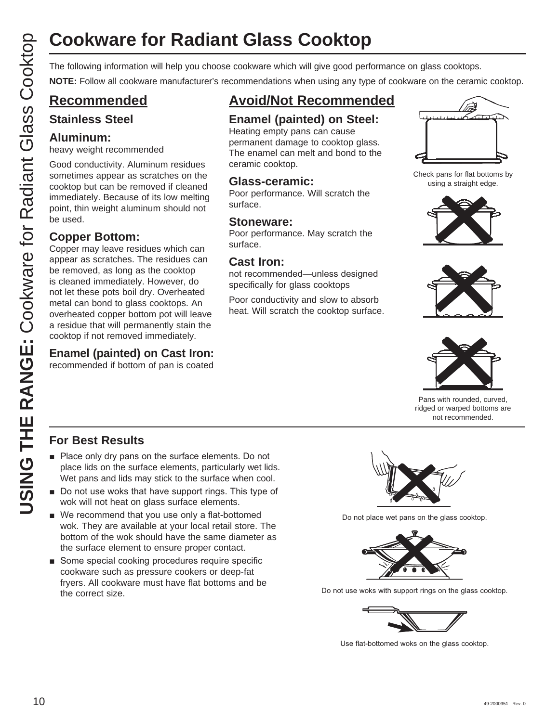# **Cookware for Radiant Glass Cooktop**

**NOTE:** Follow all cookware manufacturer's recommendations when using any type of cookware on the ceramic cooktop.

### **Recommended**

### **Stainless Steel**

### **Aluminum:**

heavy weight recommended

Good conductivity. Aluminum residues sometimes appear as scratches on the cooktop but can be removed if cleaned immediately. Because of its low melting point, thin weight aluminum should not be used.

### **Copper Bottom:**

COOKWATE for Radiant Glass Cooktop<br>
The following information will help you choose cookware which will give good performance on glass cookdop.<br>
CO Recommended Example (painted cook will give good performance on glass Cook Copper may leave residues which can appear as scratches. The residues can be removed, as long as the cooktop is cleaned immediately. However, do not let these pots boil dry. Overheated metal can bond to glass cooktops. An overheated copper bottom pot will leave a residue that will permanently stain the cooktop if not removed immediately.

### **Enamel (painted) on Cast Iron:**

recommended if bottom of pan is coated

## **Avoid/Not Recommended**

### **Enamel (painted) on Steel:**

Heating empty pans can cause permanent damage to cooktop glass. The enamel can melt and bond to the ceramic cooktop.

### **Glass-ceramic:**

Poor performance. Will scratch the surface.

### **Stoneware:**

Poor performance. May scratch the surface.

### **Cast Iron:**

not recommended—unless designed specifically for glass cooktops

Poor conductivity and slow to absorb heat. Will scratch the cooktop surface.



Check pans for flat bottoms by using a straight edge.







Pans with rounded, curved, ridged or warped bottoms are not recommended.

### **For Best Results**

- $\blacksquare$  Place only dry pans on the surface elements. Do not place lids on the surface elements, particularly wet lids. Wet pans and lids may stick to the surface when cool.
- $\blacksquare$  Do not use woks that have support rings. This type of wok will not heat on glass surface elements.
- $\blacksquare$  We recommend that you use only a flat-bottomed wok. They are available at your local retail store. The bottom of the wok should have the same diameter as the surface element to ensure proper contact.
- Some special cooking procedures require specific cookware such as pressure cookers or deep-fat fryers. All cookware must have flat bottoms and be the correct size.



Do not place wet pans on the glass cooktop.



Do not use woks with support rings on the glass cooktop.



Use flat-bottomed woks on the glass cooktop.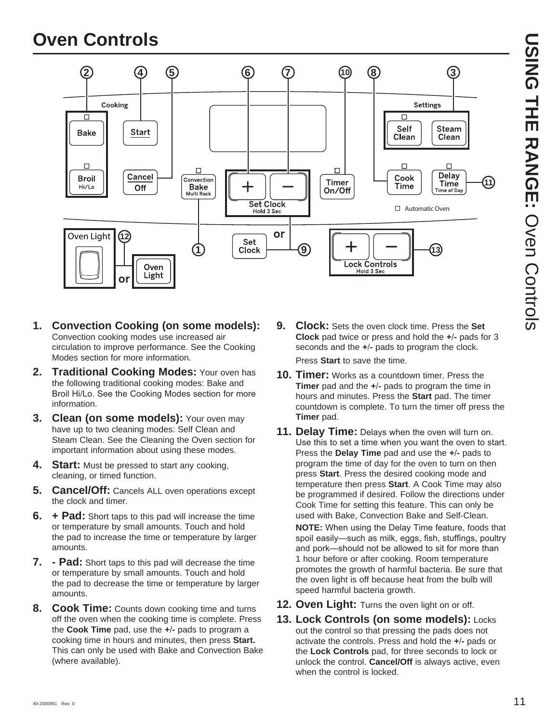# **Oven Controls**



**USING THE RANGE:DONEO HHE RANGE: Over Controls** Oven Controls

- **1. Convection Cooking (on some models):** Convection cooking modes use increased air circulation to improve performance. See the Cooking Modes section for more information.
- **2. Traditional Cooking Modes:** Your oven has the following traditional cooking modes: Bake and Broil Hi/Lo. See the Cooking Modes section for more information.
- **3. Clean (on some models):** Your oven may have up to two cleaning modes: Self Clean and Steam Clean. See the Cleaning the Oven section for important information about using these modes.
- **4.** Start: Must be pressed to start any cooking, cleaning, or timed function.
- **5. Cancel/Off:** Cancels ALL oven operations except the clock and timer.
- **6. + Pad:** Short taps to this pad will increase the time or temperature by small amounts. Touch and hold the pad to increase the time or temperature by larger amounts.
- **7. Pad:** Short taps to this pad will decrease the time or temperature by small amounts. Touch and hold the pad to decrease the time or temperature by larger amounts.
- **8. Cook Time:** Counts down cooking time and turns off the oven when the cooking time is complete. Press the **Cook Time** pad, use the **+-** pads to program a cooking time in hours and minutes, then press **Start.** This can only be used with Bake and Convection Bake (where available).

**9. Clock:** Sets the oven clock time. Press the **Set Clock** pad twice or press and hold the **+-** pads for 3 seconds and the **+-** pads to program the clock.

Press **Start** to save the time.

- **10. Timer:** Works as a countdown timer. Press the **Timer** pad and the **+-** pads to program the time in hours and minutes. Press the **Start** pad. The timer countdown is complete. To turn the timer off press the **Timer** pad.
- **11. Delay Time:** Delays when the oven will turn on. Use this to set a time when you want the oven to start. Press the **Delay Time** pad and use the **+-** pads to program the time of day for the oven to turn on then press **Start**. Press the desired cooking mode and temperature then press **Start**. A Cook Time may also be programmed if desired. Follow the directions under Cook Time for setting this feature. This can only be used with Bake, Convection Bake and Self-Clean.

**NOTE:** When using the Delay Time feature, foods that spoil easily-such as milk, eggs, fish, stuffings, poultry and pork—should not be allowed to sit for more than 1 hour before or after cooking. Room temperature promotes the growth of harmful bacteria. Be sure that the oven light is off because heat from the bulb will speed harmful bacteria growth.

- **12. Oven Light:** Turns the oven light on or off.
- **13. Lock Controls (on some models):** Locks out the control so that pressing the pads does not activate the controls. Press and hold the **+-** pads or the **Lock Controls** pad, for three seconds to lock or unlock the control. **Cancel/Off** is always active, even when the control is locked.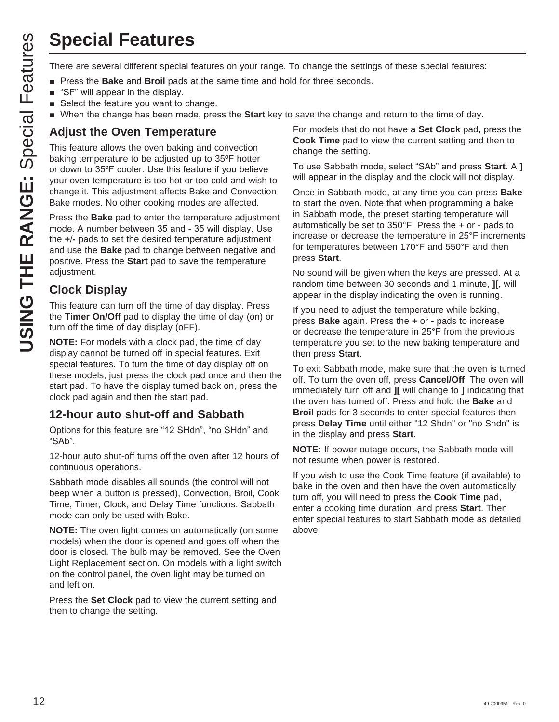# **Special Features**

- **Pease 3DKV 3DK** 3NHV **Bake** and **Broil** pads at the same time and hold for three seconds.
- $\blacksquare$  "SF" will appear in the display.
- $\blacksquare$  Select the feature you want to change.
- **N** When the change has been made, press the Start key to save the change and return to the time of day.

### **Adjust the Oven Temperature**

**USING THE RANGE SET THE RANGE SPECT THE RANGE THE RANGE THE RANGE THE RANGE THE RANGE THE RANGE THE RANGE THE RANGE THE RANGE THE RANGE THE RANGE THE RANGE THE RANGE THE RANGE THE RANGE THE RANGE THE RANGE THE RANGE THE R** This feature allows the oven baking and convection baking temperature to be adjusted up to 35ºF hotter or down to 35°F cooler. Use this feature if you believe your oven temperature is too hot or too cold and wish to change it. This adjustment affects Bake and Convection Bake modes. No other cooking modes are affected.

Press the **Bake** pad to enter the temperature adjustment mode. A number between 35 and - 35 will display. Use the **+-** pads to set the desired temperature adjustment and use the **Bake** pad to change between negative and positive. Press the **Start** pad to save the temperature adjustment.

### **Clock Display**

This feature can turn off the time of day display. Press the **Timer On/Off** pad to display the time of day (on) or turn off the time of day display (oFF).

**NOTE:** For models with a clock pad, the time of day display cannot be turned off in special features. Exit special features. To turn the time of day display off on these models, just press the clock pad once and then the start pad. To have the display turned back on, press the clock pad again and then the start pad.

### **12-hour auto shut-off and Sabbath**

Options for this feature are "12 SHdn", "no SHdn" and " $SAb$ ".

12-hour auto shut-off turns off the oven after 12 hours of continuous operations.

Sabbath mode disables all sounds (the control will not beep when a button is pressed), Convection, Broil, Cook Time, Timer, Clock, and Delay Time functions. Sabbath mode can only be used with Bake.

**NOTE:** The oven light comes on automatically (on some models) when the door is opened and goes off when the door is closed. The bulb may be removed. See the Oven Light Replacement section. On models with a light switch on the control panel, the oven light may be turned on and left on.

Press the **Set Clock** pad to view the current setting and then to change the setting.

For models that do not have a **Set Clock** pad, press the **Cook Time** pad to view the current setting and then to change the setting.

To use Sabbath mode, select "SAb" and press **Start**. A **]** will appear in the display and the clock will not display.

Once in Sabbath mode, at any time you can press **Bake** to start the oven. Note that when programming a bake in Sabbath mode, the preset starting temperature will automatically be set to 350°F. Press the + or - pads to increase or decrease the temperature in 25°F increments for temperatures between 170°F and 550°F and then press **Start**.

No sound will be given when the keys are pressed. At a random time between 30 seconds and 1 minute, **][**, will appear in the display indicating the oven is running.

If you need to adjust the temperature while baking, press **Bake** again. Press the **+** or **-** pads to increase or decrease the temperature in 25°F from the previous temperature you set to the new baking temperature and then press **Start**.

To exit Sabbath mode, make sure that the oven is turned off. To turn the oven off, press **Cancel/Off**. The oven will immediately turn off and **][** will change to **]** indicating that the oven has turned off. Press and hold the **Bake** and **Broil** pads for 3 seconds to enter special features then press **Delay Time** until either "12 Shdn" or "no Shdn" is in the display and press **Start**.

**NOTE:** If power outage occurs, the Sabbath mode will not resume when power is restored.

If you wish to use the Cook Time feature (if available) to bake in the oven and then have the oven automatically turn off, you will need to press the **Cook Time** pad, enter a cooking time duration, and press **Start**. Then enter special features to start Sabbath mode as detailed above.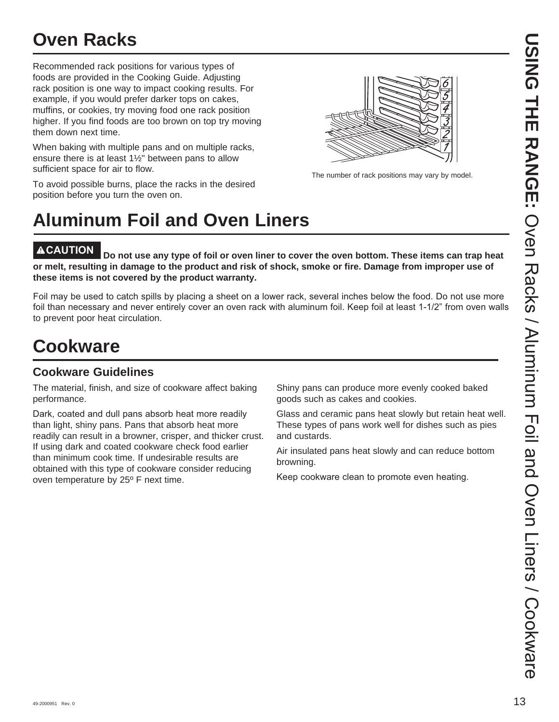# **Oven Racks**

Recommended rack positions for various types of foods are provided in the Cooking Guide. Adjusting rack position is one way to impact cooking results. For example, if you would prefer darker tops on cakes, muffins, or cookies, try moving food one rack position higher. If you find foods are too brown on top try moving them down next time.

When baking with multiple pans and on multiple racks, ensure there is at least 1½" between pans to allow sufficient space for air to flow.

To avoid possible burns, place the racks in the desired position before you turn the oven on.



The number of rack positions may vary by model.

# **Aluminum Foil and Oven Liners**

**ACAUTION Do not use any type of foil or oven liner to cover the oven bottom. These items can trap heat or melt, resulting in damage to the product and risk of shock, smoke or fire. Damage from improper use of these items is not covered by the product warranty.** 

Foil may be used to catch spills by placing a sheet on a lower rack, several inches below the food. Do not use more foil than necessary and never entirely cover an oven rack with aluminum foil. Keep foil at least 1-1/2" from oven walls to prevent poor heat circulation.

# **Cookware**

### **Cookware Guidelines**

The material, finish, and size of cookware affect baking performance.

Dark, coated and dull pans absorb heat more readily than light, shiny pans. Pans that absorb heat more readily can result in a browner, crisper, and thicker crust. If using dark and coated cookware check food earlier than minimum cook time. If undesirable results are obtained with this type of cookware consider reducing oven temperature by 25º F next time.

Shiny pans can produce more evenly cooked baked goods such as cakes and cookies.

Glass and ceramic pans heat slowly but retain heat well. These types of pans work well for dishes such as pies and custards.

Air insulated pans heat slowly and can reduce bottom browning.

Keep cookware clean to promote even heating.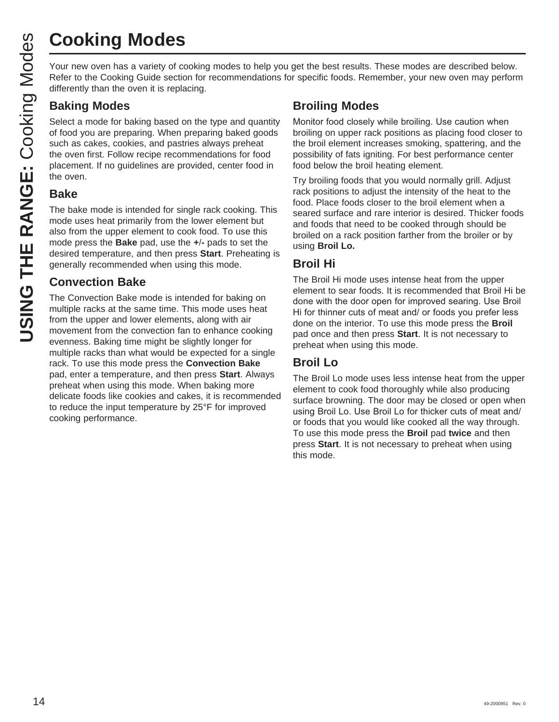# **Cooking Modes**

Your new oven has a variety of cooking modes to help you get the best results. These modes are described below. Refer to the Cooking Guide section for recommendations for specific foods. Remember, your new oven may perform differently than the oven it is replacing.

### **Baking Modes**

Select a mode for baking based on the type and quantity of food you are preparing. When preparing baked goods such as cakes, cookies, and pastries always preheat the oven first. Follow recipe recommendations for food placement. If no guidelines are provided, center food in the oven.

### **Bake**

The bake mode is intended for single rack cooking. This mode uses heat primarily from the lower element but also from the upper element to cook food. To use this mode press the **Bake** pad, use the **+-** pads to set the desired temperature, and then press **Start**. Preheating is generally recommended when using this mode.

### **Convection Bake**

The Convection Bake mode is intended for baking on multiple racks at the same time. This mode uses heat from the upper and lower elements, along with air movement from the convection fan to enhance cooking evenness. Baking time might be slightly longer for multiple racks than what would be expected for a single rack. To use this mode press the **Convection Bake**  pad, enter a temperature, and then press **Start**. Always preheat when using this mode. When baking more delicate foods like cookies and cakes, it is recommended to reduce the input temperature by 25°F for improved cooking performance.

### **Broiling Modes**

Monitor food closely while broiling. Use caution when broiling on upper rack positions as placing food closer to the broil element increases smoking, spattering, and the possibility of fats igniting. For best performance center food below the broil heating element.

Try broiling foods that you would normally grill. Adjust rack positions to adjust the intensity of the heat to the food. Place foods closer to the broil element when a seared surface and rare interior is desired. Thicker foods and foods that need to be cooked through should be broiled on a rack position farther from the broiler or by using **Broil Lo.**

### **Broil Hi**

The Broil Hi mode uses intense heat from the upper element to sear foods. It is recommended that Broil Hi be done with the door open for improved searing. Use Broil Hi for thinner cuts of meat and/ or foods you prefer less done on the interior. To use this mode press the **Broil** pad once and then press **Start**. It is not necessary to preheat when using this mode.

### **Broil Lo**

The Broil Lo mode uses less intense heat from the upper element to cook food thoroughly while also producing surface browning. The door may be closed or open when using Broil Lo. Use Broil Lo for thicker cuts of meat and/ or foods that you would like cooked all the way through. To use this mode press the **Broil** pad **twice** and then press **Start**. It is not necessary to preheat when using this mode.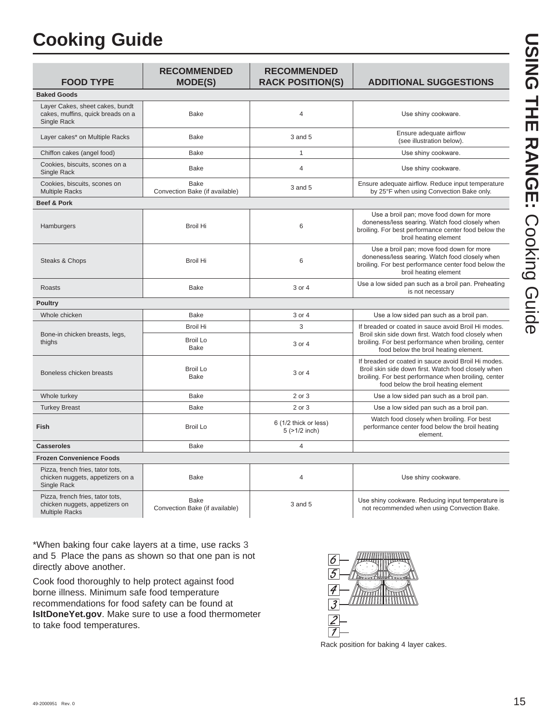# **Cooking Guide**

| <b>FOOD TYPE</b>                                                                            | <b>RECOMMENDED</b><br><b>MODE(S)</b>          | <b>RECOMMENDED</b><br><b>RACK POSITION(S)</b> | <b>ADDITIONAL SUGGESTIONS</b>                                                                                                                                                                              |
|---------------------------------------------------------------------------------------------|-----------------------------------------------|-----------------------------------------------|------------------------------------------------------------------------------------------------------------------------------------------------------------------------------------------------------------|
| <b>Baked Goods</b>                                                                          |                                               |                                               |                                                                                                                                                                                                            |
| Layer Cakes, sheet cakes, bundt<br>cakes, muffins, quick breads on a<br>Single Rack         | <b>Bake</b>                                   | $\overline{4}$                                | Use shiny cookware.                                                                                                                                                                                        |
| Layer cakes* on Multiple Racks                                                              | <b>Bake</b>                                   | 3 and 5                                       | Ensure adequate airflow<br>(see illustration below).                                                                                                                                                       |
| Chiffon cakes (angel food)                                                                  | Bake                                          | $\mathbf{1}$                                  | Use shiny cookware.                                                                                                                                                                                        |
| Cookies, biscuits, scones on a<br>Single Rack                                               | <b>Bake</b>                                   | $\overline{4}$                                | Use shiny cookware.                                                                                                                                                                                        |
| Cookies, biscuits, scones on<br><b>Multiple Racks</b>                                       | <b>Bake</b><br>Convection Bake (if available) | 3 and 5                                       | Ensure adequate airflow. Reduce input temperature<br>by 25°F when using Convection Bake only.                                                                                                              |
| <b>Beef &amp; Pork</b>                                                                      |                                               |                                               |                                                                                                                                                                                                            |
| Hamburgers                                                                                  | <b>Broil Hi</b>                               | 6                                             | Use a broil pan; move food down for more<br>doneness/less searing. Watch food closely when<br>broiling. For best performance center food below the<br>broil heating element                                |
| Steaks & Chops                                                                              | <b>Broil Hi</b>                               | 6                                             | Use a broil pan; move food down for more<br>doneness/less searing. Watch food closely when<br>broiling. For best performance center food below the<br>broil heating element                                |
| Roasts                                                                                      | Bake                                          | 3 or 4                                        | Use a low sided pan such as a broil pan. Preheating<br>is not necessary                                                                                                                                    |
| <b>Poultry</b>                                                                              |                                               |                                               |                                                                                                                                                                                                            |
| Whole chicken                                                                               | <b>Bake</b>                                   | 3 or 4                                        | Use a low sided pan such as a broil pan.                                                                                                                                                                   |
|                                                                                             | <b>Broil Hi</b>                               | 3                                             | If breaded or coated in sauce avoid Broil Hi modes.                                                                                                                                                        |
| Bone-in chicken breasts, legs,<br>thighs                                                    | <b>Broil Lo</b><br><b>Bake</b>                | 3 or 4                                        | Broil skin side down first. Watch food closely when<br>broiling. For best performance when broiling, center<br>food below the broil heating element.                                                       |
| Boneless chicken breasts                                                                    | <b>Broil Lo</b><br>Bake                       | 3 or 4                                        | If breaded or coated in sauce avoid Broil Hi modes.<br>Broil skin side down first. Watch food closely when<br>broiling. For best performance when broiling, center<br>food below the broil heating element |
| Whole turkey                                                                                | Bake                                          | 2 or 3                                        | Use a low sided pan such as a broil pan.                                                                                                                                                                   |
| <b>Turkey Breast</b>                                                                        | <b>Bake</b>                                   | 2 or 3                                        | Use a low sided pan such as a broil pan.                                                                                                                                                                   |
| Fish                                                                                        | <b>Broil Lo</b>                               | 6 (1/2 thick or less)<br>$5$ ( $>1/2$ inch)   | Watch food closely when broiling. For best<br>performance center food below the broil heating<br>element.                                                                                                  |
| <b>Casseroles</b>                                                                           | Bake                                          | $\overline{4}$                                |                                                                                                                                                                                                            |
| <b>Frozen Convenience Foods</b>                                                             |                                               |                                               |                                                                                                                                                                                                            |
| Pizza, french fries, tator tots,<br>chicken nuggets, appetizers on a<br>Single Rack         | <b>Bake</b>                                   | $\overline{4}$                                | Use shiny cookware.                                                                                                                                                                                        |
| Pizza, french fries, tator tots,<br>chicken nuggets, appetizers on<br><b>Multiple Racks</b> | Bake<br>Convection Bake (if available)        | $3$ and $5$                                   | Use shiny cookware. Reducing input temperature is<br>not recommended when using Convection Bake.                                                                                                           |

\*When baking four cake layers at a time, use racks 3 and 5. Place the pans as shown so that one pan is not directly above another.

Cook food thoroughly to help protect against food borne illness. Minimum safe food temperature recommendations for food safety can be found at **IsItDoneYet.gov**. Make sure to use a food thermometer to take food temperatures.



Rack position for baking 4 layer cakes.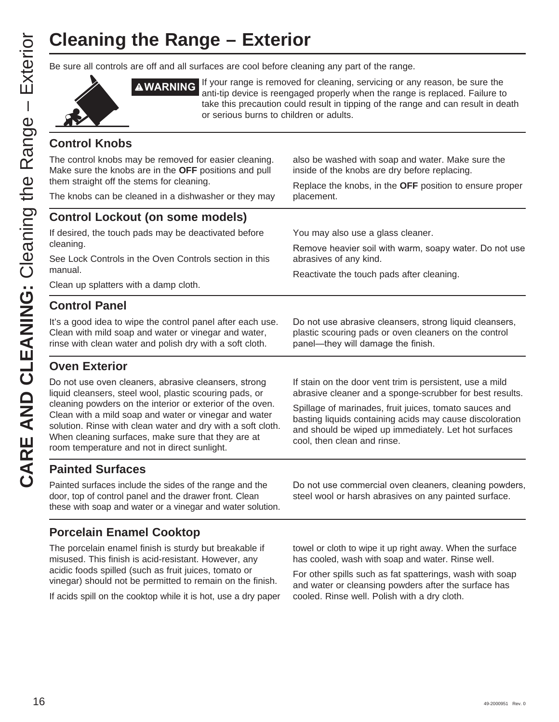# **Cleaning the Range – Exterior**

Be sure all controls are off and all surfaces are cool before cleaning any part of the range.



**AWARNING** If your range is removed for cleaning, servicing or any reason, be sure the anti-tip device is reengaged properly when the range is replaced. Failure to take this precaution could result in tipping of the range and can result in death or serious burns to children or adults.

### **Control Knobs**

The control knobs may be removed for easier cleaning. Make sure the knobs are in the **OFF** positions and pull them straight off the stems for cleaning.

The knobs can be cleaned in a dishwasher or they may

also be washed with soap and water. Make sure the inside of the knobs are dry before replacing.

Replace the knobs, in the **OFF** position to ensure proper placement.

### **Control Lockout (on some models)**

If desired, the touch pads may be deactivated before cleaning.

See Lock Controls in the Oven Controls section in this manual.

Clean up splatters with a damp cloth.

### **Control Panel**

It's a good idea to wipe the control panel after each use. Clean with mild soap and water or vinegar and water, rinse with clean water and polish dry with a soft cloth.

### **Oven Exterior**

Do not use oven cleaners, abrasive cleansers, strong liquid cleansers, steel wool, plastic scouring pads, or cleaning powders on the interior or exterior of the oven. Clean with a mild soap and water or vinegar and water solution. Rinse with clean water and dry with a soft cloth. When cleaning surfaces, make sure that they are at room temperature and not in direct sunlight.

You may also use a glass cleaner.

Remove heavier soil with warm, soapy water. Do not use abrasives of any kind.

Reactivate the touch pads after cleaning.

panel—they will damage the finish.

Do not use abrasive cleansers, strong liquid cleansers, plastic scouring pads or oven cleaners on the control

If stain on the door vent trim is persistent, use a mild abrasive cleaner and a sponge-scrubber for best results.

Spillage of marinades, fruit juices, tomato sauces and basting liquids containing acids may cause discoloration and should be wiped up immediately. Let hot surfaces cool, then clean and rinse.

### **Painted Surfaces**

Painted surfaces include the sides of the range and the door, top of control panel and the drawer front. Clean these with soap and water or a vinegar and water solution.

### **Porcelain Enamel Cooktop**

The porcelain enamel finish is sturdy but breakable if misused. This finish is acid-resistant. However, any acidic foods spilled (such as fruit juices, tomato or vinegar) should not be permitted to remain on the finish.

If acids spill on the cooktop while it is hot, use a dry paper

Do not use commercial oven cleaners, cleaning powders, steel wool or harsh abrasives on any painted surface.

towel or cloth to wipe it up right away. When the surface has cooled, wash with soap and water. Rinse well.

For other spills such as fat spatterings, wash with soap and water or cleansing powders after the surface has cooled. Rinse well. Polish with a dry cloth.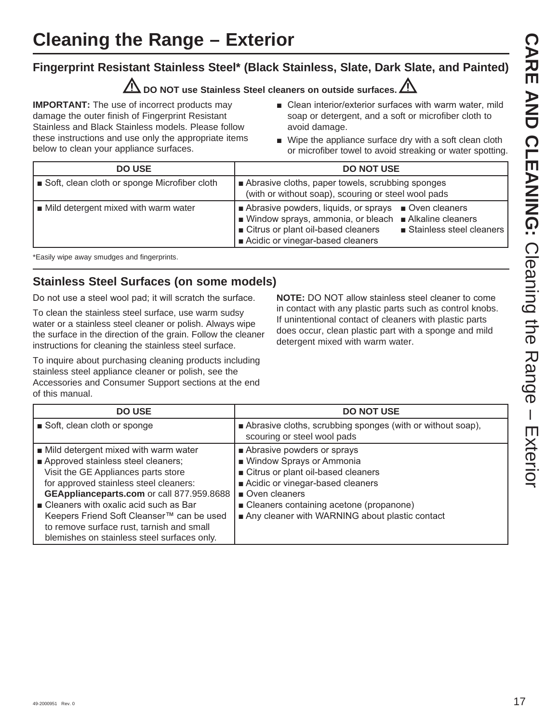### **Fingerprint Resistant Stainless Steel\* (Black Stainless, Slate, Dark Slate, and Painted)**

### **DO NOT use Stainless Steel cleaners on outside surfaces.**

**IMPORTANT:** The use of incorrect products may damage the outer finish of Fingerprint Resistant Stainless and Black Stainless models. Please follow these instructions and use only the appropriate items below to clean your appliance surfaces.

- Clean interior/exterior surfaces with warm water, mild soap or detergent, and a soft or microfiber cloth to avoid damage.
- $\blacksquare$  Wipe the appliance surface dry with a soft clean cloth or microfiber towel to avoid streaking or water spotting.

| <b>DO USE</b>                                | <b>DO NOT USE</b>                                                                                                                                                                                                        |
|----------------------------------------------|--------------------------------------------------------------------------------------------------------------------------------------------------------------------------------------------------------------------------|
| Soft, clean cloth or sponge Microfiber cloth | Abrasive cloths, paper towels, scrubbing sponges<br>(with or without soap), scouring or steel wool pads                                                                                                                  |
| Mild detergent mixed with warm water         | Abrasive powders, liquids, or sprays<br>Oven cleaners<br>■ Window sprays, ammonia, or bleach ■ Alkaline cleaners<br>Citrus or plant oil-based cleaners<br>■ Stainless steel cleaners<br>Acidic or vinegar-based cleaners |

\*Easily wipe away smudges and fingerprints.

### **Stainless Steel Surfaces (on some models)**

Do not use a steel wool pad; it will scratch the surface.

To clean the stainless steel surface, use warm sudsy water or a stainless steel cleaner or polish. Always wipe the surface in the direction of the grain. Follow the cleaner instructions for cleaning the stainless steel surface.

To inquire about purchasing cleaning products including stainless steel appliance cleaner or polish, see the Accessories and Consumer Support sections at the end of this manual.

**NOTE:** DO NOT allow stainless steel cleaner to come in contact with any plastic parts such as control knobs. If unintentional contact of cleaners with plastic parts does occur, clean plastic part with a sponge and mild detergent mixed with warm water.

| <b>DO USE</b>                                                                                                                                                                                                                                                                                                                                                                                  | <b>DO NOT USE</b>                                                                                                                                                                                                                                  |
|------------------------------------------------------------------------------------------------------------------------------------------------------------------------------------------------------------------------------------------------------------------------------------------------------------------------------------------------------------------------------------------------|----------------------------------------------------------------------------------------------------------------------------------------------------------------------------------------------------------------------------------------------------|
| Soft, clean cloth or sponge                                                                                                                                                                                                                                                                                                                                                                    | Abrasive cloths, scrubbing sponges (with or without soap),<br>scouring or steel wool pads                                                                                                                                                          |
| ■ Mild detergent mixed with warm water<br>Approved stainless steel cleaners;<br>Visit the GE Appliances parts store<br>for approved stainless steel cleaners:<br>GEApplianceparts.com or call 877.959.8688<br>■ Cleaners with oxalic acid such as Bar<br>Keepers Friend Soft Cleanser™ can be used<br>to remove surface rust, tarnish and small<br>blemishes on stainless steel surfaces only. | Abrasive powders or sprays<br>■ Window Sprays or Ammonia<br>Citrus or plant oil-based cleaners<br>Acidic or vinegar-based cleaners<br>Oven cleaners<br>■ Cleaners containing acetone (propanone)<br>Any cleaner with WARNING about plastic contact |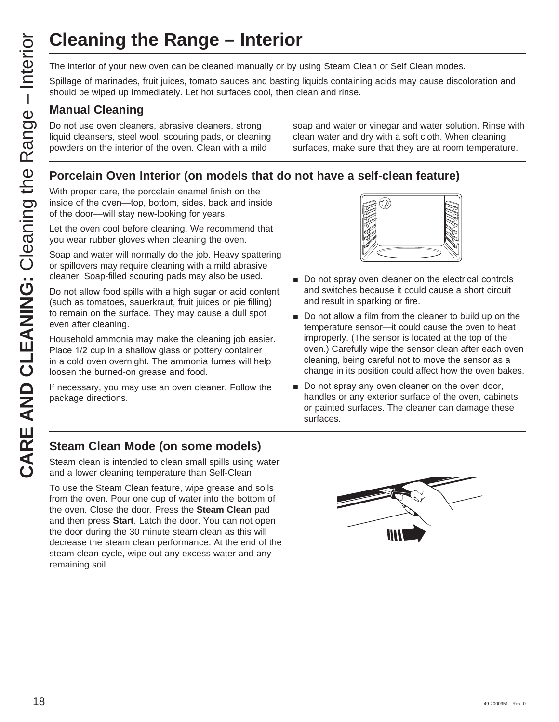The interior of your new oven can be cleaned manually or by using Steam Clean or Self Clean modes.

Spillage of marinades, fruit juices, tomato sauces and basting liquids containing acids may cause discoloration and should be wiped up immediately. Let hot surfaces cool, then clean and rinse.

### **Manual Cleaning**

Do not use oven cleaners, abrasive cleaners, strong liquid cleansers, steel wool, scouring pads, or cleaning powders on the interior of the oven. Clean with a mild

soap and water or vinegar and water solution. Rinse with clean water and dry with a soft cloth. When cleaning surfaces, make sure that they are at room temperature.

### **Porcelain Oven Interior (on models that do not have a self-clean feature)**

With proper care, the porcelain enamel finish on the inside of the oven-top, bottom, sides, back and inside of the door—will stay new-looking for years.

Let the oven cool before cleaning. We recommend that you wear rubber gloves when cleaning the oven.

Soap and water will normally do the job. Heavy spattering or spillovers may require cleaning with a mild abrasive cleaner. Soap-filled scouring pads may also be used.

**CLEANING the Range – Interior**<br>
The interior of your new oven can be cleaned manually or by the spillage of marinades, fruit juices, tomato sauces and basting should be wiped up immediately. Let hot surfaces cool, then cl Do not allow food spills with a high sugar or acid content (such as tomatoes, sauerkraut, fruit juices or pie filling) to remain on the surface. They may cause a dull spot even after cleaning.

Household ammonia may make the cleaning job easier. Place 1/2 cup in a shallow glass or pottery container in a cold oven overnight. The ammonia fumes will help loosen the burned-on grease and food.

If necessary, you may use an oven cleaner. Follow the package directions.



- Do not spray oven cleaner on the electrical controls and switches because it could cause a short circuit and result in sparking or fire.
- Do not allow a film from the cleaner to build up on the temperature sensor-it could cause the oven to heat improperly. (The sensor is located at the top of the oven.) Carefully wipe the sensor clean after each oven cleaning, being careful not to move the sensor as a change in its position could affect how the oven bakes.
- Do not spray any oven cleaner on the oven door, handles or any exterior surface of the oven, cabinets or painted surfaces. The cleaner can damage these surfaces.

### **Steam Clean Mode (on some models)**

Steam clean is intended to clean small spills using water and a lower cleaning temperature than Self-Clean.

To use the Steam Clean feature, wipe grease and soils from the oven. Pour one cup of water into the bottom of the oven. Close the door. Press the **Steam Clean** pad and then press **Start**. Latch the door. You can not open the door during the 30 minute steam clean as this will decrease the steam clean performance. At the end of the steam clean cycle, wipe out any excess water and any remaining soil.

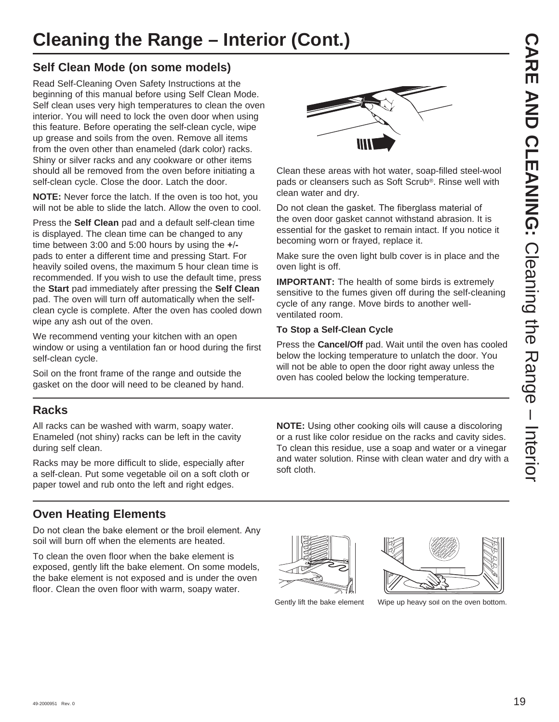# **Cleaning the Range – Interior (Cont.)**

### **Self Clean Mode (on some models)**

Read Self-Cleaning Oven Safety Instructions at the beginning of this manual before using Self Clean Mode. Self clean uses very high temperatures to clean the oven interior. You will need to lock the oven door when using this feature. Before operating the self-clean cycle, wipe up grease and soils from the oven. Remove all items from the oven other than enameled (dark color) racks. Shiny or silver racks and any cookware or other items should all be removed from the oven before initiating a self-clean cycle. Close the door. Latch the door.

**NOTE:** Never force the latch. If the oven is too hot, you will not be able to slide the latch. Allow the oven to cool.

Press the **Self Clean** pad and a default self-clean time is displayed. The clean time can be changed to any time between 3:00 and 5:00 hours by using the **+** pads to enter a different time and pressing Start. For heavily soiled ovens, the maximum 5 hour clean time is recommended. If you wish to use the default time, press the **Start** pad immediately after pressing the **Self Clean** pad. The oven will turn off automatically when the selfclean cycle is complete. After the oven has cooled down wipe any ash out of the oven.

We recommend venting your kitchen with an open window or using a ventilation fan or hood during the first self-clean cycle.

Soil on the front frame of the range and outside the gasket on the door will need to be cleaned by hand.

### **Racks**

All racks can be washed with warm, soapy water. Enameled (not shiny) racks can be left in the cavity during self clean.

Racks may be more difficult to slide, especially after a self-clean. Put some vegetable oil on a soft cloth or paper towel and rub onto the left and right edges.

### **Oven Heating Elements**

Do not clean the bake element or the broil element. Any soil will burn off when the elements are heated.

To clean the oven floor when the bake element is exposed, gently lift the bake element. On some models, the bake element is not exposed and is under the oven floor. Clean the oven floor with warm, soapy water.



Clean these areas with hot water, soap-filled steel-wool pads or cleansers such as Soft Scrub®. Rinse well with clean water and dry.

Do not clean the gasket. The fiberglass material of the oven door gasket cannot withstand abrasion. It is essential for the gasket to remain intact. If you notice it becoming worn or frayed, replace it.

Make sure the oven light bulb cover is in place and the oven light is off.

**IMPORTANT:** The health of some birds is extremely sensitive to the fumes given off during the self-cleaning cycle of any range. Move birds to another wellventilated room.

### **To Stop a Self-Clean Cycle**

Press the **Cancel/Off** pad. Wait until the oven has cooled below the locking temperature to unlatch the door. You will not be able to open the door right away unless the oven has cooled below the locking temperature.

**NOTE:** Using other cooking oils will cause a discoloring or a rust like color residue on the racks and cavity sides. To clean this residue, use a soap and water or a vinegar and water solution. Rinse with clean water and dry with a soft cloth.





Gently lift the bake element Wipe up heavy soil on the oven bottom.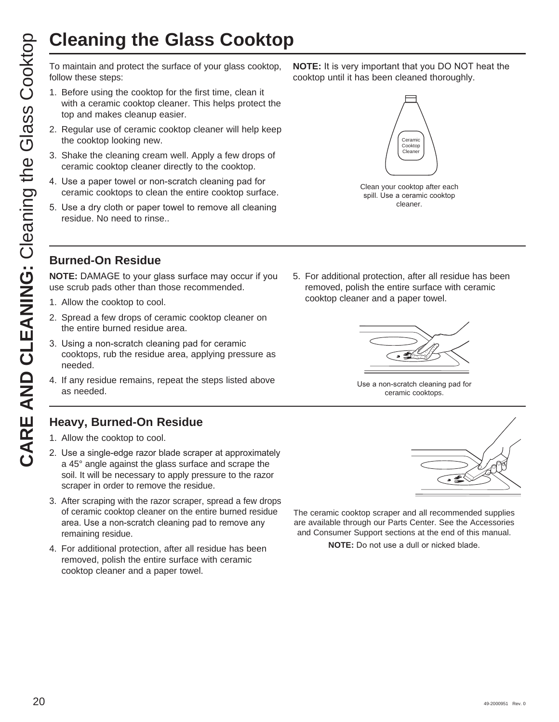To maintain and protect the surface of your glass cooktop, follow these steps:

- 1. Before using the cooktop for the first time, clean it with a ceramic cooktop cleaner. This helps protect the top and makes cleanup easier.
- 2. Regular use of ceramic cooktop cleaner will help keep the cooktop looking new.
- 3. Shake the cleaning cream well. Apply a few drops of ceramic cooktop cleaner directly to the cooktop.
- 4. Use a paper towel or non-scratch cleaning pad for ceramic cooktops to clean the entire cooktop surface.
- 5. Use a dry cloth or paper towel to remove all cleaning residue. No need to rinse..

**NOTE:** It is very important that you DO NOT heat the cooktop until it has been cleaned thoroughly.



Clean your cooktop after each spill. Use a ceramic cooktop cleaner.

### **Burned-On Residue**

**NOTE:** DAMAGE to your glass surface may occur if you use scrub pads other than those recommended.

- 1. Allow the cooktop to cool.
- 2. Spread a few drops of ceramic cooktop cleaner on the entire burned residue area.
- 3. Using a non-scratch cleaning pad for ceramic cooktops, rub the residue area, applying pressure as needed.
- 4. If any residue remains, repeat the steps listed above as needed.

### **Heavy, Burned-On Residue**

- 1. Allow the cooktop to cool.
- 2. Use a single-edge razor blade scraper at approximately a 45° angle against the glass surface and scrape the soil. It will be necessary to apply pressure to the razor scraper in order to remove the residue.
- 3. After scraping with the razor scraper, spread a few drops of ceramic cooktop cleaner on the entire burned residue area. Use a non-scratch cleaning pad to remove any remaining residue.
- 4. For additional protection, after all residue has been removed, polish the entire surface with ceramic cooktop cleaner and a paper towel.

5. For additional protection, after all residue has been removed, polish the entire surface with ceramic cooktop cleaner and a paper towel.



Use a non-scratch cleaning pad for ceramic cooktops.



The ceramic cooktop scraper and all recommended supplies are available through our Parts Center. See the Accessories and Consumer Support sections at the end of this manual.

**NOTE:** Do not use a dull or nicked blade.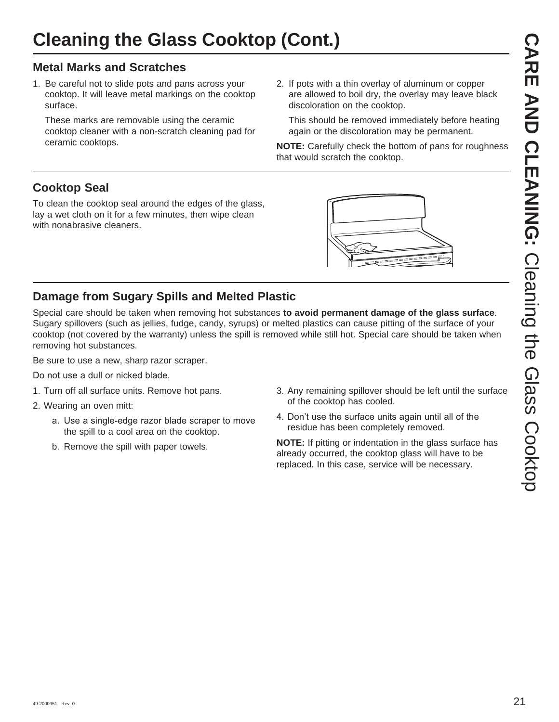### **Metal Marks and Scratches**

1. Be careful not to slide pots and pans across your cooktop. It will leave metal markings on the cooktop surface.

 These marks are removable using the ceramic cooktop cleaner with a non-scratch cleaning pad for ceramic cooktops.

2. If pots with a thin overlay of aluminum or copper are allowed to boil dry, the overlay may leave black discoloration on the cooktop.

 This should be removed immediately before heating again or the discoloration may be permanent.

**NOTE:** Carefully check the bottom of pans for roughness that would scratch the cooktop.

## **Cooktop Seal**

To clean the cooktop seal around the edges of the glass, lay a wet cloth on it for a few minutes, then wipe clean with nonabrasive cleaners.



### **Damage from Sugary Spills and Melted Plastic**

Special care should be taken when removing hot substances **to avoid permanent damage of the glass surface**. Sugary spillovers (such as jellies, fudge, candy, syrups) or melted plastics can cause pitting of the surface of your cooktop (not covered by the warranty) unless the spill is removed while still hot. Special care should be taken when removing hot substances.

Be sure to use a new, sharp razor scraper.

Do not use a dull or nicked blade.

- 1. Turn off all surface units. Remove hot pans.
- 2. Wearing an oven mitt:
	- a. Use a single-edge razor blade scraper to move the spill to a cool area on the cooktop.
	- b. Remove the spill with paper towels.
- 3. Any remaining spillover should be left until the surface of the cooktop has cooled.
- 4. Don't use the surface units again until all of the residue has been completely removed.

**NOTE:** If pitting or indentation in the glass surface has already occurred, the cooktop glass will have to be replaced. In this case, service will be necessary.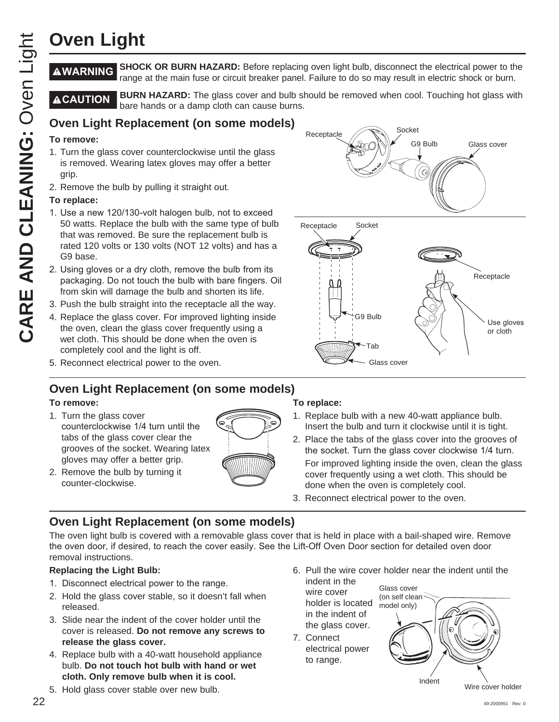**WARNING SHOCK OR BURN HAZARD:** Before replacing oven light bulb, disconnect the electrical power to the range at the main fuse or circuit breaker panel. Failure to do so may result in electric shock or burn.

**ACAUTION** BURN HAZARD: The glass cover and bulb should be removed when cool. Touching hot glass with bare hands or a damp cloth can cause burns.

### **Oven Light Replacement (on some models)**

### **To remove:**

- 1. Turn the glass cover counterclockwise until the glass is removed. Wearing latex gloves may offer a better grip.
- 2. Remove the bulb by pulling it straight out.

### **To replace:**

- 1. Use a new 120/130-volt halogen bulb, not to exceed 50 watts. Replace the bulb with the same type of bulb that was removed. Be sure the replacement bulb is rated 120 volts or 130 volts (NOT 12 volts) and has a G9 base.
- 2. Using gloves or a dry cloth, remove the bulb from its packaging. Do not touch the bulb with bare fingers. Oil from skin will damage the bulb and shorten its life.
- 3. Push the bulb straight into the receptacle all the way.
- 4. Replace the glass cover. For improved lighting inside the oven, clean the glass cover frequently using a wet cloth. This should be done when the oven is completely cool and the light is off.
- 5. Reconnect electrical power to the oven.

### **Oven Light Replacement (on some models)**

### **To remove:**

- 1. Turn the glass cover counterclockwise 1/4 turn until the tabs of the glass cover clear the grooves of the socket. Wearing latex gloves may offer a better grip.
- 2. Remove the bulb by turning it counter-clockwise.



### **To replace:**

Receptacle

**Receptacle** 

- 1. Replace bulb with a new 40-watt appliance bulb. Insert the bulb and turn it clockwise until it is tight.
- 2. Place the tabs of the glass cover into the grooves of the socket. Turn the glass cover clockwise 1/4 turn. For improved lighting inside the oven, clean the glass cover frequently using a wet cloth. This should be done when the oven is completely cool.
- 3. Reconnect electrical power to the oven.

G9 Bulb

Tab

Glass cover

Socket

G9 Bulb

Glass cover

Use gloves or cloth

Receptacle

Socket

## **Oven Light Replacement (on some models)**

22 **OVen Light Replacement** (on some models)<br>
22 **C CARE AND SPONSORS** Colors explacement and result of some control of some control of some control of some control of some control of some control of the some control of The oven light bulb is covered with a removable glass cover that is held in place with a bail-shaped wire. Remove the oven door, if desired, to reach the cover easily. See the Lift-Off Oven Door section for detailed oven door removal instructions.

### **Replacing the Light Bulb:**

- 1. Disconnect electrical power to the range.
- 2. Hold the glass cover stable, so it doesn't fall when released.
- 3. Slide near the indent of the cover holder until the cover is released. **Do not remove any screws to release the glass cover.**
- 4. Replace bulb with a 40-watt household appliance bulb. **Do not touch hot bulb with hand or wet cloth. Only remove bulb when it is cool.**
- 5. Hold glass cover stable over new bulb.

6. Pull the wire cover holder near the indent until the Glass cover

indent in the wire cover holder is located in the indent of the glass cover.

7. Connect electrical power to range.

Indent (on self clean model only)

Wire cover holder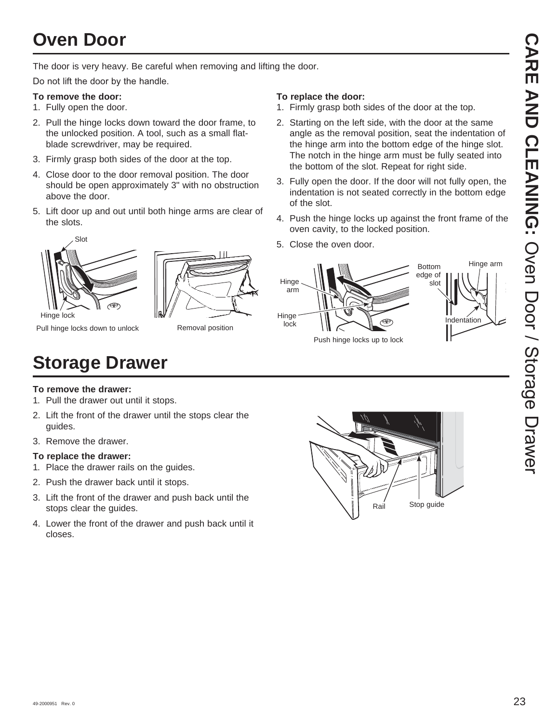# **Oven Door**

The door is very heavy. Be careful when removing and lifting the door.

Do not lift the door by the handle.

### **To remove the door:**

- 1. Fully open the door.
- 2. Pull the hinge locks down toward the door frame, to the unlocked position. A tool, such as a small flatblade screwdriver, may be required.
- 3. Firmly grasp both sides of the door at the top.
- 4. Close door to the door removal position. The door should be open approximately 3" with no obstruction above the door.
- 5. Lift door up and out until both hinge arms are clear of the slots.



Pull hinge locks down to unlock

Removal position

### **To replace the door:**

- 1. Firmly grasp both sides of the door at the top.
- 2. Starting on the left side, with the door at the same angle as the removal position, seat the indentation of the hinge arm into the bottom edge of the hinge slot. The notch in the hinge arm must be fully seated into the bottom of the slot. Repeat for right side.
- 3. Fully open the door. If the door will not fully open, the indentation is not seated correctly in the bottom edge of the slot.
- 4. Push the hinge locks up against the front frame of the oven cavity, to the locked position.
- 5. Close the oven door.



**Storage Drawer**

### **To remove the drawer:**

- 1. Pull the drawer out until it stops.
- 2. Lift the front of the drawer until the stops clear the guides.
- 3. Remove the drawer.

### **To replace the drawer:**

- 1. Place the drawer rails on the guides.
- 2. Push the drawer back until it stops.
- 3. Lift the front of the drawer and push back until the stops clear the guides.
- 4. Lower the front of the drawer and push back until it closes.

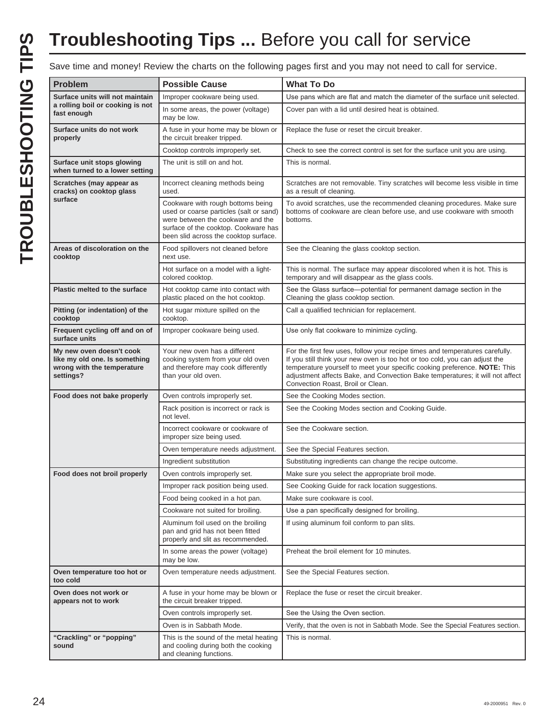# **Troubleshooting Tips ...** Before you call for service

Save time and money! Review the charts on the following pages first and you may not need to call for service.

| Problem                                                                                              | <b>Possible Cause</b>                                                                                                                                                                              | <b>What To Do</b>                                                                                                                                                                                                                                                                                                                                              |
|------------------------------------------------------------------------------------------------------|----------------------------------------------------------------------------------------------------------------------------------------------------------------------------------------------------|----------------------------------------------------------------------------------------------------------------------------------------------------------------------------------------------------------------------------------------------------------------------------------------------------------------------------------------------------------------|
| Surface units will not maintain                                                                      | Improper cookware being used.                                                                                                                                                                      | Use pans which are flat and match the diameter of the surface unit selected.                                                                                                                                                                                                                                                                                   |
| a rolling boil or cooking is not<br>fast enough                                                      | In some areas, the power (voltage)<br>may be low.                                                                                                                                                  | Cover pan with a lid until desired heat is obtained.                                                                                                                                                                                                                                                                                                           |
| Surface units do not work<br>properly                                                                | A fuse in your home may be blown or<br>the circuit breaker tripped.                                                                                                                                | Replace the fuse or reset the circuit breaker.                                                                                                                                                                                                                                                                                                                 |
|                                                                                                      | Cooktop controls improperly set.                                                                                                                                                                   | Check to see the correct control is set for the surface unit you are using.                                                                                                                                                                                                                                                                                    |
| Surface unit stops glowing<br>when turned to a lower setting                                         | The unit is still on and hot.                                                                                                                                                                      | This is normal.                                                                                                                                                                                                                                                                                                                                                |
| Scratches (may appear as<br>cracks) on cooktop glass                                                 | Incorrect cleaning methods being<br>used.                                                                                                                                                          | Scratches are not removable. Tiny scratches will become less visible in time<br>as a result of cleaning.                                                                                                                                                                                                                                                       |
| surface                                                                                              | Cookware with rough bottoms being<br>used or coarse particles (salt or sand)<br>were between the cookware and the<br>surface of the cooktop. Cookware has<br>been slid across the cooktop surface. | To avoid scratches, use the recommended cleaning procedures. Make sure<br>bottoms of cookware are clean before use, and use cookware with smooth<br>bottoms.                                                                                                                                                                                                   |
| Areas of discoloration on the<br>cooktop                                                             | Food spillovers not cleaned before<br>next use.                                                                                                                                                    | See the Cleaning the glass cooktop section.                                                                                                                                                                                                                                                                                                                    |
|                                                                                                      | Hot surface on a model with a light-<br>colored cooktop.                                                                                                                                           | This is normal. The surface may appear discolored when it is hot. This is<br>temporary and will disappear as the glass cools.                                                                                                                                                                                                                                  |
| Plastic melted to the surface                                                                        | Hot cooktop came into contact with<br>plastic placed on the hot cooktop.                                                                                                                           | See the Glass surface-potential for permanent damage section in the<br>Cleaning the glass cooktop section.                                                                                                                                                                                                                                                     |
| Pitting (or indentation) of the<br>cooktop                                                           | Hot sugar mixture spilled on the<br>cooktop.                                                                                                                                                       | Call a qualified technician for replacement.                                                                                                                                                                                                                                                                                                                   |
| Frequent cycling off and on of<br>surface units                                                      | Improper cookware being used.                                                                                                                                                                      | Use only flat cookware to minimize cycling.                                                                                                                                                                                                                                                                                                                    |
| My new oven doesn't cook<br>like my old one. Is something<br>wrong with the temperature<br>settings? | Your new oven has a different<br>cooking system from your old oven<br>and therefore may cook differently<br>than your old oven.                                                                    | For the first few uses, follow your recipe times and temperatures carefully.<br>If you still think your new oven is too hot or too cold, you can adjust the<br>temperature yourself to meet your specific cooking preference. NOTE: This<br>adjustment affects Bake, and Convection Bake temperatures; it will not affect<br>Convection Roast, Broil or Clean. |
| Food does not bake properly                                                                          | Oven controls improperly set.                                                                                                                                                                      | See the Cooking Modes section.                                                                                                                                                                                                                                                                                                                                 |
|                                                                                                      | Rack position is incorrect or rack is<br>not level.                                                                                                                                                | See the Cooking Modes section and Cooking Guide.                                                                                                                                                                                                                                                                                                               |
|                                                                                                      | Incorrect cookware or cookware of<br>improper size being used.                                                                                                                                     | See the Cookware section.                                                                                                                                                                                                                                                                                                                                      |
|                                                                                                      | Oven temperature needs adjustment.                                                                                                                                                                 | See the Special Features section.                                                                                                                                                                                                                                                                                                                              |
|                                                                                                      | Ingredient substitution                                                                                                                                                                            | Substituting ingredients can change the recipe outcome.                                                                                                                                                                                                                                                                                                        |
| Food does not broil properly                                                                         | Oven controls improperly set.                                                                                                                                                                      | Make sure you select the appropriate broil mode.                                                                                                                                                                                                                                                                                                               |
|                                                                                                      | Improper rack position being used.                                                                                                                                                                 | See Cooking Guide for rack location suggestions.                                                                                                                                                                                                                                                                                                               |
|                                                                                                      | Food being cooked in a hot pan.                                                                                                                                                                    | Make sure cookware is cool.                                                                                                                                                                                                                                                                                                                                    |
|                                                                                                      | Cookware not suited for broiling.                                                                                                                                                                  | Use a pan specifically designed for broiling.                                                                                                                                                                                                                                                                                                                  |
|                                                                                                      | Aluminum foil used on the broiling<br>pan and grid has not been fitted<br>properly and slit as recommended.                                                                                        | If using aluminum foil conform to pan slits.                                                                                                                                                                                                                                                                                                                   |
|                                                                                                      | In some areas the power (voltage)<br>may be low.                                                                                                                                                   | Preheat the broil element for 10 minutes.                                                                                                                                                                                                                                                                                                                      |
| Oven temperature too hot or<br>too cold                                                              | Oven temperature needs adjustment.                                                                                                                                                                 | See the Special Features section.                                                                                                                                                                                                                                                                                                                              |
| Oven does not work or<br>appears not to work                                                         | A fuse in your home may be blown or<br>the circuit breaker tripped.                                                                                                                                | Replace the fuse or reset the circuit breaker.                                                                                                                                                                                                                                                                                                                 |
|                                                                                                      | Oven controls improperly set.                                                                                                                                                                      | See the Using the Oven section.                                                                                                                                                                                                                                                                                                                                |
|                                                                                                      | Oven is in Sabbath Mode.                                                                                                                                                                           | Verify, that the oven is not in Sabbath Mode. See the Special Features section.                                                                                                                                                                                                                                                                                |
| "Crackling" or "popping"<br>sound                                                                    | This is the sound of the metal heating<br>and cooling during both the cooking<br>and cleaning functions.                                                                                           | This is normal.                                                                                                                                                                                                                                                                                                                                                |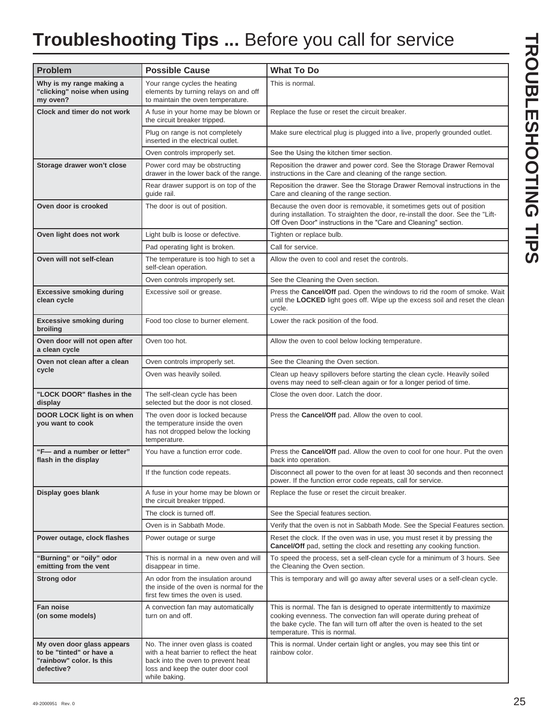# **Troubleshooting Tips ...** Before you call for service

| <b>Problem</b>                                                                                   | <b>Possible Cause</b>                                                                                                                                                     | <b>What To Do</b>                                                                                                                                                                                                                                             |
|--------------------------------------------------------------------------------------------------|---------------------------------------------------------------------------------------------------------------------------------------------------------------------------|---------------------------------------------------------------------------------------------------------------------------------------------------------------------------------------------------------------------------------------------------------------|
| Why is my range making a<br>"clicking" noise when using<br>my oven?                              | Your range cycles the heating<br>elements by turning relays on and off<br>to maintain the oven temperature.                                                               | This is normal.                                                                                                                                                                                                                                               |
| Clock and timer do not work                                                                      | A fuse in your home may be blown or<br>the circuit breaker tripped.                                                                                                       | Replace the fuse or reset the circuit breaker.                                                                                                                                                                                                                |
|                                                                                                  | Plug on range is not completely<br>inserted in the electrical outlet.                                                                                                     | Make sure electrical plug is plugged into a live, properly grounded outlet.                                                                                                                                                                                   |
|                                                                                                  | Oven controls improperly set.                                                                                                                                             | See the Using the kitchen timer section.                                                                                                                                                                                                                      |
| Storage drawer won't close                                                                       | Power cord may be obstructing<br>drawer in the lower back of the range.                                                                                                   | Reposition the drawer and power cord. See the Storage Drawer Removal<br>instructions in the Care and cleaning of the range section.                                                                                                                           |
|                                                                                                  | Rear drawer support is on top of the<br>guide rail.                                                                                                                       | Reposition the drawer. See the Storage Drawer Removal instructions in the<br>Care and cleaning of the range section.                                                                                                                                          |
| Oven door is crooked                                                                             | The door is out of position.                                                                                                                                              | Because the oven door is removable, it sometimes gets out of position<br>during installation. To straighten the door, re-install the door. See the "Lift-<br>Off Oven Door" instructions in the "Care and Cleaning" section.                                  |
| Oven light does not work                                                                         | Light bulb is loose or defective.                                                                                                                                         | Tighten or replace bulb.                                                                                                                                                                                                                                      |
|                                                                                                  | Pad operating light is broken.                                                                                                                                            | Call for service.                                                                                                                                                                                                                                             |
| Oven will not self-clean                                                                         | The temperature is too high to set a<br>self-clean operation.                                                                                                             | Allow the oven to cool and reset the controls.                                                                                                                                                                                                                |
|                                                                                                  | Oven controls improperly set.                                                                                                                                             | See the Cleaning the Oven section.                                                                                                                                                                                                                            |
| <b>Excessive smoking during</b><br>clean cycle                                                   | Excessive soil or grease.                                                                                                                                                 | Press the Cancel/Off pad. Open the windows to rid the room of smoke. Wait<br>until the LOCKED light goes off. Wipe up the excess soil and reset the clean<br>cycle.                                                                                           |
| <b>Excessive smoking during</b><br>broiling                                                      | Food too close to burner element.                                                                                                                                         | Lower the rack position of the food.                                                                                                                                                                                                                          |
| Oven door will not open after<br>a clean cycle                                                   | Oven too hot.                                                                                                                                                             | Allow the oven to cool below locking temperature.                                                                                                                                                                                                             |
| Oven not clean after a clean                                                                     | Oven controls improperly set.                                                                                                                                             | See the Cleaning the Oven section.                                                                                                                                                                                                                            |
| cycle                                                                                            | Oven was heavily soiled.                                                                                                                                                  | Clean up heavy spillovers before starting the clean cycle. Heavily soiled<br>ovens may need to self-clean again or for a longer period of time.                                                                                                               |
| "LOCK DOOR" flashes in the<br>display                                                            | The self-clean cycle has been<br>selected but the door is not closed.                                                                                                     | Close the oven door. Latch the door.                                                                                                                                                                                                                          |
| DOOR LOCK light is on when<br>you want to cook                                                   | The oven door is locked because<br>the temperature inside the oven<br>has not dropped below the locking<br>temperature.                                                   | Press the Cancel/Off pad. Allow the oven to cool.                                                                                                                                                                                                             |
| "F-and a number or letter"<br>flash in the display                                               | You have a function error code.                                                                                                                                           | Press the <b>Cancel/Off</b> pad. Allow the oven to cool for one hour. Put the oven<br>back into operation.                                                                                                                                                    |
|                                                                                                  | If the function code repeats.                                                                                                                                             | Disconnect all power to the oven for at least 30 seconds and then reconnect<br>power. If the function error code repeats, call for service.                                                                                                                   |
| Display goes blank                                                                               | A fuse in your home may be blown or<br>the circuit breaker tripped.                                                                                                       | Replace the fuse or reset the circuit breaker.                                                                                                                                                                                                                |
|                                                                                                  | The clock is turned off.                                                                                                                                                  | See the Special features section.                                                                                                                                                                                                                             |
|                                                                                                  | Oven is in Sabbath Mode.                                                                                                                                                  | Verify that the oven is not in Sabbath Mode. See the Special Features section.                                                                                                                                                                                |
| Power outage, clock flashes                                                                      | Power outage or surge                                                                                                                                                     | Reset the clock. If the oven was in use, you must reset it by pressing the<br>Cancel/Off pad, setting the clock and resetting any cooking function.                                                                                                           |
| "Burning" or "oily" odor<br>emitting from the vent                                               | This is normal in a new oven and will<br>disappear in time.                                                                                                               | To speed the process, set a self-clean cycle for a minimum of 3 hours. See<br>the Cleaning the Oven section.                                                                                                                                                  |
| <b>Strong odor</b>                                                                               | An odor from the insulation around<br>the inside of the oven is normal for the<br>first few times the oven is used.                                                       | This is temporary and will go away after several uses or a self-clean cycle.                                                                                                                                                                                  |
| Fan noise<br>(on some models)                                                                    | A convection fan may automatically<br>turn on and off.                                                                                                                    | This is normal. The fan is designed to operate intermittently to maximize<br>cooking evenness. The convection fan will operate during preheat of<br>the bake cycle. The fan will turn off after the oven is heated to the set<br>temperature. This is normal. |
| My oven door glass appears<br>to be "tinted" or have a<br>"rainbow" color. Is this<br>defective? | No. The inner oven glass is coated<br>with a heat barrier to reflect the heat<br>back into the oven to prevent heat<br>loss and keep the outer door cool<br>while baking. | This is normal. Under certain light or angles, you may see this tint or<br>rainbow color.                                                                                                                                                                     |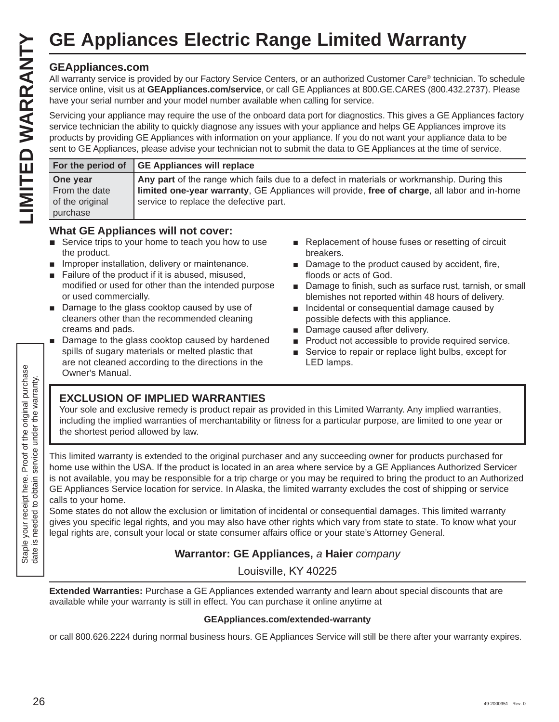### **GEAppliances.com**

|                                                                          |                                                                                                                  |                                                                                                                                                                                                                                                                                                                                                                                                                                                                                                                             | <b>GE Appliances Electric Range Limited Warranty</b>                                                                                                                                                                                                                                                                                                                                                                                                                                                                                                                                                                                                                                                                                                 |
|--------------------------------------------------------------------------|------------------------------------------------------------------------------------------------------------------|-----------------------------------------------------------------------------------------------------------------------------------------------------------------------------------------------------------------------------------------------------------------------------------------------------------------------------------------------------------------------------------------------------------------------------------------------------------------------------------------------------------------------------|------------------------------------------------------------------------------------------------------------------------------------------------------------------------------------------------------------------------------------------------------------------------------------------------------------------------------------------------------------------------------------------------------------------------------------------------------------------------------------------------------------------------------------------------------------------------------------------------------------------------------------------------------------------------------------------------------------------------------------------------------|
| LIMITED WARRANTY                                                         | <b>GEAppliances.com</b>                                                                                          | have your serial number and your model number available when calling for service.                                                                                                                                                                                                                                                                                                                                                                                                                                           | All warranty service is provided by our Factory Service Centers, or an authorized Customer Care® technician. To schedule<br>service online, visit us at GEAppliances.com/service, or call GE Appliances at 800.GE.CARES (800.432.2737). Please<br>Servicing your appliance may require the use of the onboard data port for diagnostics. This gives a GE Appliances factory<br>service technician the ability to quickly diagnose any issues with your appliance and helps GE Appliances improve its<br>products by providing GE Appliances with information on your appliance. If you do not want your appliance data to be<br>sent to GE Appliances, please advise your technician not to submit the data to GE Appliances at the time of service. |
|                                                                          | For the period of                                                                                                | <b>GE Appliances will replace</b>                                                                                                                                                                                                                                                                                                                                                                                                                                                                                           |                                                                                                                                                                                                                                                                                                                                                                                                                                                                                                                                                                                                                                                                                                                                                      |
|                                                                          | One year<br>From the date<br>of the original<br>purchase                                                         | service to replace the defective part.                                                                                                                                                                                                                                                                                                                                                                                                                                                                                      | Any part of the range which fails due to a defect in materials or workmanship. During this<br>limited one-year warranty, GE Appliances will provide, free of charge, all labor and in-home                                                                                                                                                                                                                                                                                                                                                                                                                                                                                                                                                           |
|                                                                          | the product.<br>$\blacksquare$<br>or used commercially.<br>$\blacksquare$<br>creams and pads.<br>Owner's Manual. | <b>What GE Appliances will not cover:</b><br>Service trips to your home to teach you how to use<br>Improper installation, delivery or maintenance.<br>Failure of the product if it is abused, misused,<br>modified or used for other than the intended purpose<br>Damage to the glass cooktop caused by use of<br>cleaners other than the recommended cleaning<br>Damage to the glass cooktop caused by hardened<br>spills of sugary materials or melted plastic that<br>are not cleaned according to the directions in the | Replacement of house fuses or resetting of circuit<br>breakers.<br>■ Damage to the product caused by accident, fire,<br>floods or acts of God.<br>Damage to finish, such as surface rust, tarnish, or small<br>blemishes not reported within 48 hours of delivery.<br>Incidental or consequential damage caused by<br>possible defects with this appliance.<br>Damage caused after delivery.<br>Product not accessible to provide required service.<br>Service to repair or replace light bulbs, except for<br>$\Box$<br>LED lamps.                                                                                                                                                                                                                  |
| the original purchase<br>under the warranty.                             | the shortest period allowed by law.                                                                              | <b>EXCLUSION OF IMPLIED WARRANTIES</b>                                                                                                                                                                                                                                                                                                                                                                                                                                                                                      | Your sole and exclusive remedy is product repair as provided in this Limited Warranty. Any implied warranties,<br>including the implied warranties of merchantability or fitness for a particular purpose, are limited to one year or                                                                                                                                                                                                                                                                                                                                                                                                                                                                                                                |
| Staple your receipt here. Proof of<br>date is needed to obtain service u | calls to your home.                                                                                              |                                                                                                                                                                                                                                                                                                                                                                                                                                                                                                                             | This limited warranty is extended to the original purchaser and any succeeding owner for products purchased for<br>home use within the USA. If the product is located in an area where service by a GE Appliances Authorized Servicer<br>is not available, you may be responsible for a trip charge or you may be required to bring the product to an Authorized<br>GE Appliances Service location for service. In Alaska, the limited warranty excludes the cost of shipping or service<br>Some states do not allow the exclusion or limitation of incidental or consequential damages. This limited warranty<br>gives you specific legal rights, and you may also have other rights which vary from state to state. To know what your              |
|                                                                          |                                                                                                                  |                                                                                                                                                                                                                                                                                                                                                                                                                                                                                                                             | legal rights are, consult your local or state consumer affairs office or your state's Attorney General.<br>Warrantor: GE Appliances, a Haier company                                                                                                                                                                                                                                                                                                                                                                                                                                                                                                                                                                                                 |

### **What GE Appliances will not cover:**

- $\blacksquare$  Service trips to your home to teach you how to use the product.
- $\blacksquare$  Improper installation, delivery or maintenance.
- Failure of the product if it is abused, misused, modified or used for other than the intended purpose or used commercially.
- $\blacksquare$  Damage to the glass cooktop caused by use of cleaners other than the recommended cleaning creams and pads.
- Damage to the glass cooktop caused by hardened spills of sugary materials or melted plastic that are not cleaned according to the directions in the Owner's Manual.
- Replacement of house fuses or resetting of circuit breakers.
- $\blacksquare$  Damage to the product caused by accident, fire, floods or acts of God.
- Damage to finish, such as surface rust, tarnish, or small blemishes not reported within 48 hours of delivery.
- **n** Incidental or consequential damage caused by possible defects with this appliance.
- Damage caused after delivery.
- **Product not accessible to provide required service.**
- Service to repair or replace light bulbs, except for LED lamps.

### **EXCLUSION OF IMPLIED WARRANTIES**

### **Warrantor: GE Appliances,** *a* **Haier** *company*

Louisville, KY 40225

**Extended Warranties:** Purchase a GE Appliances extended warranty and learn about special discounts that are available while your warranty is still in effect. You can purchase it online anytime at

### **GEAppliances.com/extended-warranty**

or call 800.626.2224 during normal business hours. GE Appliances Service will still be there after your warranty expires.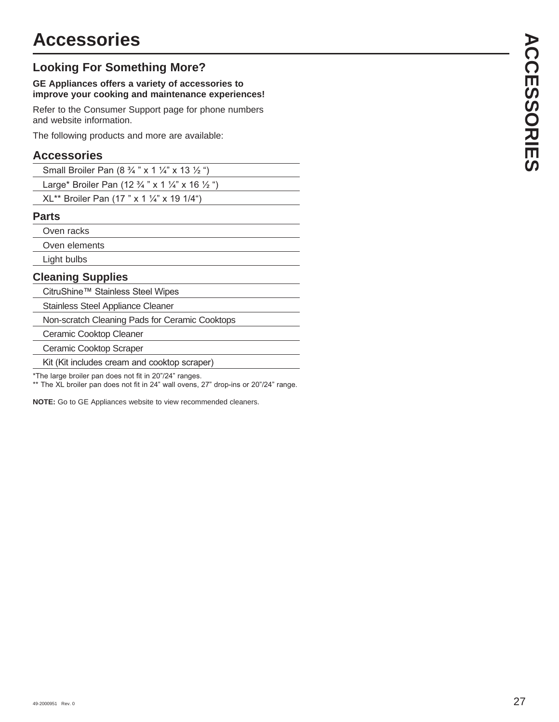### **Looking For Something More?**

### **GE Appliances offers a variety of accessories to improve your cooking and maintenance experiences!**

Refer to the Consumer Support page for phone numbers and website information.

The following products and more are available:

### **Accessories**

| Small Broiler Pan $(8 \frac{3}{4} \times 1 \frac{1}{4} \times 13 \frac{1}{2} \degree)$ |
|----------------------------------------------------------------------------------------|
|----------------------------------------------------------------------------------------|

Large\* Broiler Pan (12 3/4 " x 1 1/4" x 16 1/2 ")

XL\*\* Broiler Pan (17" x 1 1/4" x 19 1/4")

### **Parts**

Oven racks

Oven elements

Light bulbs

### **Cleaning Supplies**

CitruShine™ Stainless Steel Wipes

Stainless Steel Appliance Cleaner

Non-scratch Cleaning Pads for Ceramic Cooktops

Ceramic Cooktop Cleaner

Ceramic Cooktop Scraper

Kit (Kit includes cream and cooktop scraper)

\*The large broiler pan does not fit in 20"/24" ranges.

\*\* The XL broiler pan does not fit in 24" wall ovens, 27" drop-ins or 20"/24" range.

**NOTE:** Go to GE Appliances website to view recommended cleaners.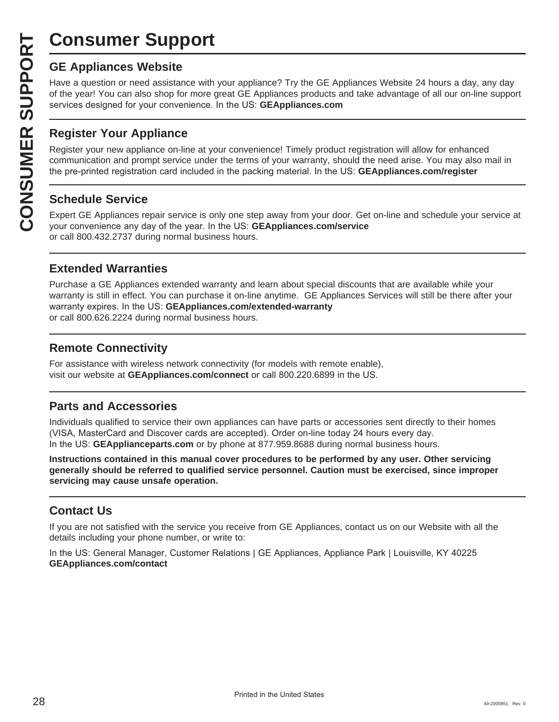# **Consumer Support**

Have a question or need assistance with your appliance? Try the GE Appliances Website 24 hours a day, any day of the year! You can also shop for more great GE Appliances products and take advantage of all our on-line support services designed for your convenience. In the US: GEAppliances.com

### **Register Your Appliance**

**CONSUMER SUP**<br> **GE Appliances Website**<br>
Have a question or need assistar<br>
of the year! You can also shop for<br>
services designed for your conver<br> **CONSUMER Appliance OF Appliance on-**<br> **CONSUMER Appliance on-**<br> **CONSUMER A** Register your new appliance on-line at your convenience! Timely product registration will allow for enhanced communication and prompt service under the terms of your warranty, should the need arise. You may also mail in the pre-printed registration card included in the packing material. In the US: **GEAppliances.com/register** 

### **Schedule Service**

Expert GE Appliances repair service is only one step away from your door. Get on-line and schedule your service at your convenience any day of the year. In the US: **GEAppliances.com/service** or call 800.432.2737 during normal business hours.

### **Extended Warranties**

Purchase a GE Appliances extended warranty and learn about special discounts that are available while your warranty is still in effect. You can purchase it on-line anytime. GE Appliances Services will still be there after your warranty expires. In the US: GEAppliances.com/extended-warranty or call 800.626.2224 during normal business hours.

### **Remote Connectivity**

For assistance with wireless network connectivity (for models with remote enable), visit our website at **GEAppliances.com/connect** or call 800.220.6899 in the US.

### **Parts and Accessories**

Individuals qualified to service their own appliances can have parts or accessories sent directly to their homes (VISA, MasterCard and Discover cards are accepted). Order on-line today 24 hours every day. In the US: GEApplianceparts.com or by phone at 877.959.8688 during normal business hours.

**Instructions contained in this manual cover procedures to be performed by any user. Other servicing generally should be referred to qualified service personnel. Caution must be exercised, since improper servicing may cause unsafe operation.**

### **Contact Us**

If you are not satisfied with the service you receive from GE Appliances, contact us on our Website with all the details including your phone number, or write to:

In the US: General Manager, Customer Relations | GE Appliances, Appliance Park | Louisville, KY 40225 **GEAppliances.com/contact**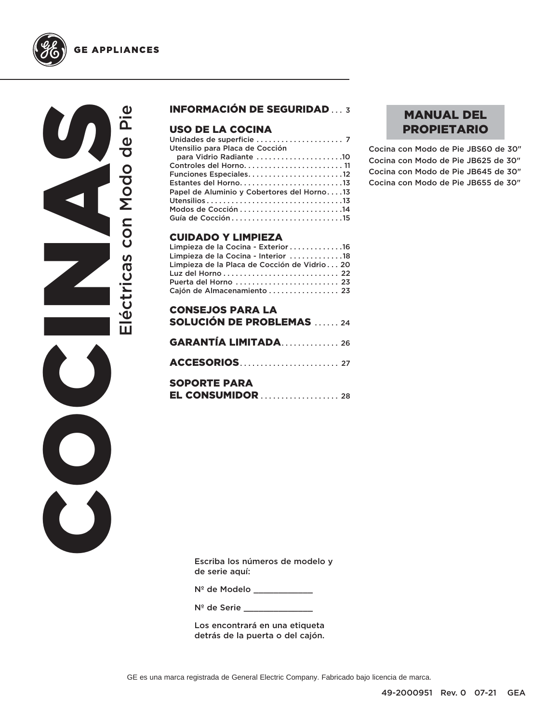



### INFORMACIÓN DE SEGURIDAD ... 3

### USO DE LA COCINA

| Utensilio para Placa de Cocción            |
|--------------------------------------------|
| para Vidrio Radiante 10                    |
|                                            |
|                                            |
|                                            |
| Papel de Aluminio y Cobertores del Horno13 |
|                                            |
|                                            |
|                                            |
|                                            |

### CUIDADO Y LIMPIEZA

| Limpieza de la Cocina - Exterior 16          |  |
|----------------------------------------------|--|
| Limpieza de la Cocina - Interior 18          |  |
| Limpieza de la Placa de Cocción de Vidrio 20 |  |
|                                              |  |
| Puerta del Horno  23                         |  |
| Cajón de Almacenamiento  23                  |  |

| <b>CONSEJOS PARA LA</b>         |
|---------------------------------|
| <b>SOLUCIÓN DE PROBLEMAS</b> 24 |
| <b>GARANTÍA LIMITADA26</b>      |
|                                 |
| <b>SOPORTE PARA</b>             |

### MANUAL DEL PROPIETARIO

Cocina con Modo de Pie JBS60 de 30" Cocina con Modo de Pie JB625 de 30" Cocina con Modo de Pie JB645 de 30" Cocina con Modo de Pie JB655 de 30"

Escriba los números de modelo y de serie aquí:

Nº de Modelo \_\_\_\_\_\_\_\_\_\_\_\_

Nº de Serie \_\_\_\_\_\_

Los encontrará en una etiqueta detrás de la puerta o del cajón.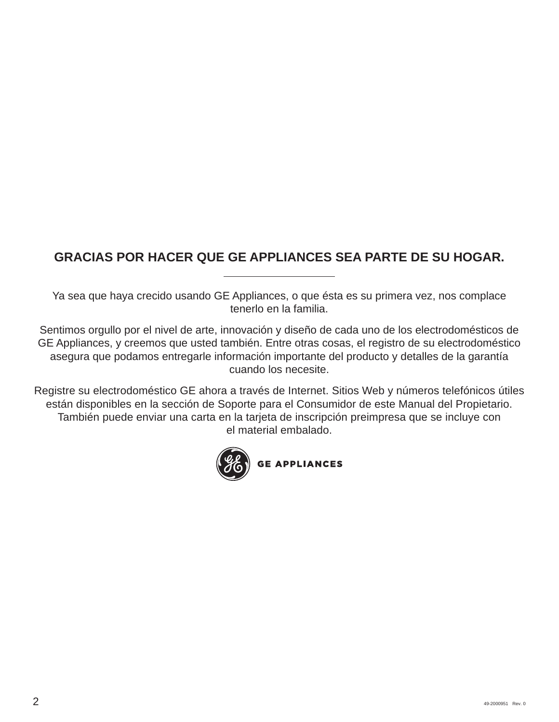## **GRACIAS POR HACER QUE GE APPLIANCES SEA PARTE DE SU HOGAR.**

Ya sea que haya crecido usando GE Appliances, o que ésta es su primera vez, nos complace tenerlo en la familia.

Sentimos orgullo por el nivel de arte, innovación y diseño de cada uno de los electrodomésticos de GE Appliances, y creemos que usted también. Entre otras cosas, el registro de su electrodoméstico asegura que podamos entregarle información importante del producto y detalles de la garantía cuando los necesite.

Registre su electrodoméstico GE ahora a través de Internet. Sitios Web y números telefónicos útiles están disponibles en la sección de Soporte para el Consumidor de este Manual del Propietario. También puede enviar una carta en la tarjeta de inscripción preimpresa que se incluye con el material embalado.

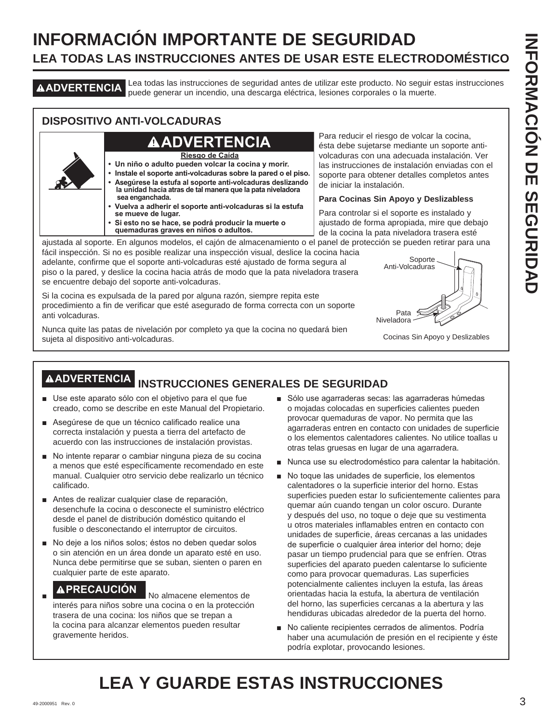# **INFORMACIÓN IMPORTANTE DE SEGURIDAD LEA TODAS LAS INSTRUCCIONES ANTES DE USAR ESTE ELECTRODOMÉSTICO**

**ADVERTENCIA** Lea todas las instrucciones de seguridad antes de utilizar este producto. No seguir estas instrucciones puede generar un incendio, una descarga eléctrica, lesiones corporales o la muerte.

### **DISPOSITIVO ANTI-VOLCADURAS**

## **ADVERTENCIA**

**Riesgo de Caída**

- **Un niño o adulto pueden volcar la cocina y morir.**
- **Instale el soporte anti-volcaduras sobre la pared o el piso. • Asegúrese la estufa al soporte anti-volcaduras deslizando la unidad hacia atras de tal manera que la pata niveladora sea enganchada.**
- **Vuelva a adherir el soporte anti-volcaduras si la estufa se mueve de lugar.**
- **Si esto no se hace, se podrá producir la muerte o quemaduras graves en niños o adultos.**

Para reducir el riesgo de volcar la cocina, ésta debe sujetarse mediante un soporte antivolcaduras con una adecuada instalación. Ver las instrucciones de instalación enviadas con el soporte para obtener detalles completos antes de iniciar la instalación.

### **Para Cocinas Sin Apoyo y Deslizabless**

Para controlar si el soporte es instalado y ajustado de forma apropiada, mire que debajo de la cocina la pata niveladora trasera esté

ajustada al soporte. En algunos modelos, el cajón de almacenamiento o el panel de protección se pueden retirar para una fácil inspección. Si no es posible realizar una inspección visual, deslice la cocina hacia

adelante, confirme que el soporte anti-volcaduras esté ajustado de forma segura al piso o la pared, y deslice la cocina hacia atrás de modo que la pata niveladora trasera se encuentre debajo del soporte anti-volcaduras.

Si la cocina es expulsada de la pared por alguna razón, siempre repita este procedimiento a fin de verificar que esté asegurado de forma correcta con un soporte anti volcaduras.

Nunca quite las patas de nivelación por completo ya que la cocina no quedará bien sujeta al dispositivo anti-volcaduras.



Cocinas Sin Apoyo y Deslizables

# **ADVERTENCIA INSTRUCCIONES GENERALES DE SEGURIDAD**

- Use este aparato sólo con el objetivo para el que fue creado, como se describe en este Manual del Propietario.
- Asegúrese de que un técnico calificado realice una correcta instalación y puesta a tierra del artefacto de acuerdo con las instrucciones de instalación provistas.
- No intente reparar o cambiar ninguna pieza de su cocina a menos que esté específicamente recomendado en este manual. Cualquier otro servicio debe realizarlo un técnico calificado.
- Antes de realizar cualquier clase de reparación, desenchufe la cocina o desconecte el suministro eléctrico desde el panel de distribución doméstico quitando el fusible o desconectando el interruptor de circuitos.
- No deje a los niños solos; éstos no deben quedar solos o sin atención en un área donde un aparato esté en uso. Nunca debe permitirse que se suban, sienten o paren en cualquier parte de este aparato.

## **A PRECAUCIÓN** No almacene elementos de

interés para niños sobre una cocina o en la protección trasera de una cocina: los niños que se trepan a la cocina para alcanzar elementos pueden resultar gravemente heridos.

- Sólo use agarraderas secas: las agarraderas húmedas o mojadas colocadas en superficies calientes pueden provocar quemaduras de vapor. No permita que las agarraderas entren en contacto con unidades de superficie o los elementos calentadores calientes. No utilice toallas u otras telas gruesas en lugar de una agarradera.
- Nunca use su electrodoméstico para calentar la habitación.
- No toque las unidades de superficie, los elementos calentadores o la superficie interior del horno. Estas superficies pueden estar lo suficientemente calientes para quemar aún cuando tengan un color oscuro. Durante y después del uso, no toque o deje que su vestimenta u otros materiales inflamables entren en contacto con unidades de superficie, áreas cercanas a las unidades de superficie o cualquier área interior del horno; deje pasar un tiempo prudencial para que se enfríen. Otras superficies del aparato pueden calentarse lo suficiente como para provocar quemaduras. Las superficies potencialmente calientes incluyen la estufa, las áreas orientadas hacia la estufa, la abertura de ventilación del horno, las superficies cercanas a la abertura y las hendiduras ubicadas alrededor de la puerta del horno.
- No caliente recipientes cerrados de alimentos. Podría haber una acumulación de presión en el recipiente y éste podría explotar, provocando lesiones.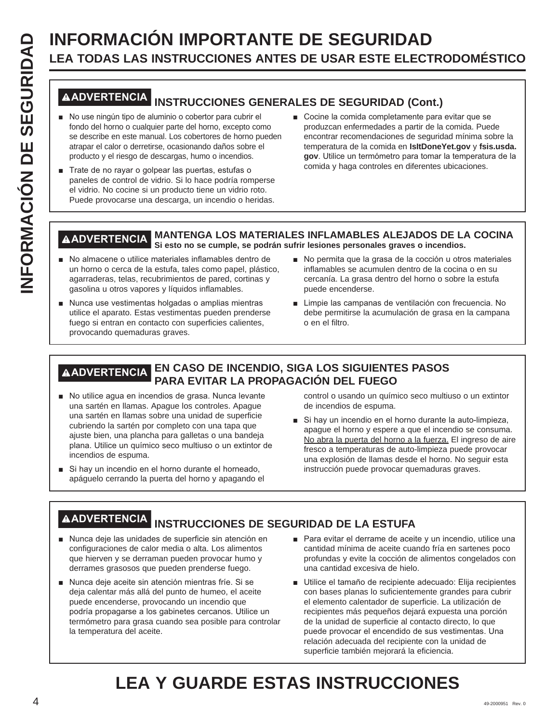# **INFORMACIÓN IMPORTANTE DE SEGURIDAD**<br> **INFORMACIÓN IMPORTANTE DE SEGURIDAD**<br> **INFORMACIÓN INSTRUCCIONES GENERALES DE SEGURIDAD (CON<br>
INFORMACIÓN INSTRUCCIONES GENERALES DE SEGURIDAD (CON<br>
<sup>1</sup> No use ningún tipo de alumini LEA TODAS LAS INSTRUCCIONES ANTES DE USAR ESTE ELECTRODOMÉSTICO**

### **ADVERTENCIA INSTRUCCIONES GENERALES DE SEGURIDAD (Cont.)**

- No use ningún tipo de aluminio o cobertor para cubrir el fondo del horno o cualquier parte del horno, excepto como se describe en este manual. Los cobertores de horno pueden atrapar el calor o derretirse, ocasionando daños sobre el producto y el riesgo de descargas, humo o incendios.
- Trate de no rayar o golpear las puertas, estufas o paneles de control de vidrio. Si lo hace podría romperse el vidrio. No cocine si un producto tiene un vidrio roto. Puede provocarse una descarga, un incendio o heridas.
- Cocine la comida completamente para evitar que se produzcan enfermedades a partir de la comida. Puede encontrar recomendaciones de seguridad mínima sobre la temperatura de la comida en **IsItDoneYet.gov** y **fsis.usda.** gov. Utilice un termómetro para tomar la temperatura de la comida y haga controles en diferentes ubicaciones.

### **ADVERTENCIA MANTENGA LOS MATERIALES INFLAMABLES ALEJADOS DE LA COCINA Si esto no se cumple, se podrán sufrir lesiones personales graves o incendios.**

- No almacene o utilice materiales inflamables dentro de un horno o cerca de la estufa, tales como papel, plástico, agarraderas, telas, recubrimientos de pared, cortinas y gasolina u otros vapores y líquidos inflamables.
- Nunca use vestimentas holgadas o amplias mientras utilice el aparato. Estas vestimentas pueden prenderse fuego si entran en contacto con superficies calientes. provocando quemaduras graves.
- No permita que la grasa de la cocción u otros materiales inflamables se acumulen dentro de la cocina o en su cercanía. La grasa dentro del horno o sobre la estufa puede encenderse.
- Limpie las campanas de ventilación con frecuencia. No debe permitirse la acumulación de grasa en la campana o en el filtro.

### **ADVERTENCIA EN CASO DE INCENDIO, SIGA LOS SIGUIENTES PASOS PARA EVITAR LA PROPAGACIÓN DEL FUEGO**

- No utilice agua en incendios de grasa. Nunca levante una sartén en llamas. Apague los controles. Apague una sartén en llamas sobre una unidad de superficie cubriendo la sartén por completo con una tapa que ajuste bien, una plancha para galletas o una bandeja plana. Utilice un químico seco multiuso o un extintor de incendios de espuma.
- Si hay un incendio en el horno durante el horneado, apáguelo cerrando la puerta del horno y apagando el

control o usando un químico seco multiuso o un extintor de incendios de espuma.

Si hay un incendio en el horno durante la auto-limpieza, apague el horno y espere a que el incendio se consuma. No abra la puerta del horno a la fuerza. El ingreso de aire fresco a temperaturas de auto-limpieza puede provocar una explosión de llamas desde el horno. No seguir esta instrucción puede provocar quemaduras graves.

## **ADVERTENCIA INSTRUCCIONES DE SEGURIDAD DE LA ESTUFA**

- Nunca deje las unidades de superficie sin atención en configuraciones de calor media o alta. Los alimentos que hierven y se derraman pueden provocar humo y derrames grasosos que pueden prenderse fuego.
- Nunca deje aceite sin atención mientras fríe. Si se deja calentar más allá del punto de humeo, el aceite puede encenderse, provocando un incendio que podría propagarse a los gabinetes cercanos. Utilice un termómetro para grasa cuando sea posible para controlar la temperatura del aceite.
- Para evitar el derrame de aceite y un incendio, utilice una cantidad mínima de aceite cuando fría en sartenes poco profundas y evite la cocción de alimentos congelados con una cantidad excesiva de hielo.
- Utilice el tamaño de recipiente adecuado: Elija recipientes con bases planas lo suficientemente grandes para cubrir el elemento calentador de superficie. La utilización de recipientes más pequeños dejará expuesta una porción de la unidad de superficie al contacto directo, lo que puede provocar el encendido de sus vestimentas. Una relación adecuada del recipiente con la unidad de superficie también mejorará la eficiencia.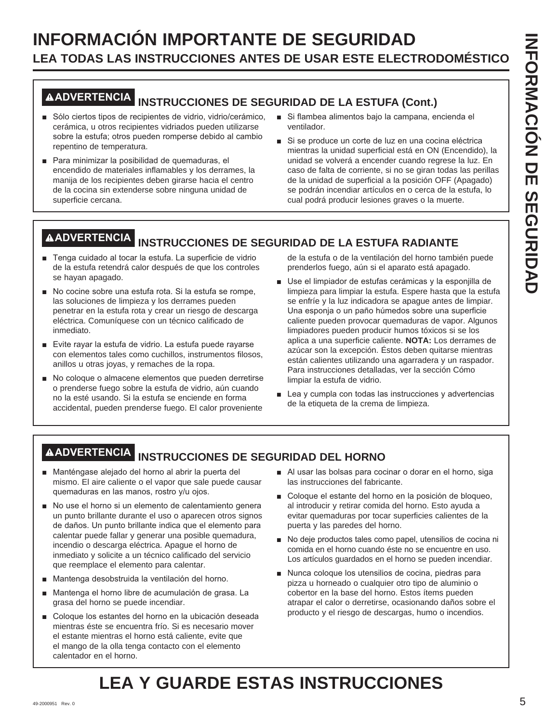# **INFORMACIÓN IMPORTANTE DE SEGURIDAD LEA TODAS LAS INSTRUCCIONES ANTES DE USAR ESTE ELECTRODOMÉSTICO**

# **ADVERTENCIA INSTRUCCIONES DE SEGURIDAD DE LA ESTUFA (Cont.)**

- Sólo ciertos tipos de recipientes de vidrio, vidrio/cerámico, cerámica, u otros recipientes vidriados pueden utilizarse sobre la estufa; otros pueden romperse debido al cambio repentino de temperatura.
- Para minimizar la posibilidad de quemaduras, el encendido de materiales inflamables y los derrames, la manija de los recipientes deben girarse hacia el centro de la cocina sin extenderse sobre ninguna unidad de superficie cercana.
- Si flambea alimentos bajo la campana, encienda el ventilador.
- Si se produce un corte de luz en una cocina eléctrica mientras la unidad superficial está en ON (Encendido), la unidad se volverá a encender cuando regrese la luz. En caso de falta de corriente, si no se giran todas las perillas de la unidad de superficial a la posición OFF (Apagado) se podrán incendiar artículos en o cerca de la estufa, lo cual podrá producir lesiones graves o la muerte.

# **ADVERTENCIA INSTRUCCIONES DE SEGURIDAD DE LA ESTUFA RADIANTE**

- F Tenga cuidado al tocar la estufa. La superficie de vidrio de la estufa retendrá calor después de que los controles se hayan apagado.
- No cocine sobre una estufa rota. Si la estufa se rompe, las soluciones de limpieza y los derrames pueden penetrar en la estufa rota y crear un riesgo de descarga eléctrica. Comuníquese con un técnico calificado de inmediato.
- Evite rayar la estufa de vidrio. La estufa puede rayarse con elementos tales como cuchillos, instrumentos filosos, anillos u otras joyas, y remaches de la ropa.
- No coloque o almacene elementos que pueden derretirse o prenderse fuego sobre la estufa de vidrio, aún cuando no la esté usando. Si la estufa se enciende en forma accidental, pueden prenderse fuego. El calor proveniente

de la estufa o de la ventilación del horno también puede prenderlos fuego, aún si el aparato está apagado.

- Use el limpiador de estufas cerámicas y la esponjilla de limpieza para limpiar la estufa. Espere hasta que la estufa se enfríe y la luz indicadora se apague antes de limpiar. Una esponja o un paño húmedos sobre una superficie caliente pueden provocar quemaduras de vapor. Algunos limpiadores pueden producir humos tóxicos si se los aplica a una superficie caliente. **NOTA:** Los derrames de azúcar son la excepción. Éstos deben quitarse mientras están calientes utilizando una agarradera y un raspador. Para instrucciones detalladas, ver la sección Cómo limpiar la estufa de vidrio.
- $\blacksquare$  Lea y cumpla con todas las instrucciones y advertencias de la etiqueta de la crema de limpieza.

# **ADVERTENCIA INSTRUCCIONES DE SEGURIDAD DEL HORNO**

- Manténgase alejado del horno al abrir la puerta del mismo. El aire caliente o el vapor que sale puede causar quemaduras en las manos, rostro y/u ojos.
- No use el horno si un elemento de calentamiento genera un punto brillante durante el uso o aparecen otros signos de daños. Un punto brillante indica que el elemento para calentar puede fallar y generar una posible quemadura, incendio o descarga eléctrica. Apague el horno de inmediato y solicite a un técnico calificado del servicio que reemplace el elemento para calentar.
- Mantenga desobstruida la ventilación del horno.
- Mantenga el horno libre de acumulación de grasa. La grasa del horno se puede incendiar.
- Coloque los estantes del horno en la ubicación deseada mientras éste se encuentra frío. Si es necesario mover el estante mientras el horno está caliente, evite que el mango de la olla tenga contacto con el elemento calentador en el horno.
- Al usar las bolsas para cocinar o dorar en el horno, siga las instrucciones del fabricante.
- Coloque el estante del horno en la posición de bloqueo, al introducir y retirar comida del horno. Esto ayuda a evitar quemaduras por tocar superficies calientes de la puerta y las paredes del horno.
- No deje productos tales como papel, utensilios de cocina ni comida en el horno cuando éste no se encuentre en uso. Los artículos guardados en el horno se pueden incendiar.
- Nunca coloque los utensilios de cocina, piedras para pizza u horneado o cualquier otro tipo de aluminio o cobertor en la base del horno. Estos ítems pueden atrapar el calor o derretirse, ocasionando daños sobre el producto y el riesgo de descargas, humo o incendios.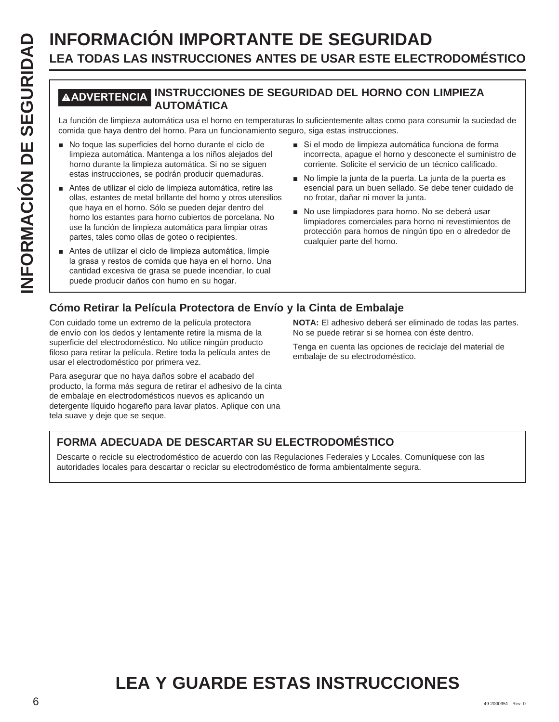# **INFORMACIÓN IMPORTANTE DE SEGURIDAD**<br> **ILEA TODAS LAS INSTRUCCIONES ANTES DE USAR ESTE ELECT<br>
MADVERTENCIAL INSTRUCCIONES DE SEGURIDAD DEL HORNO CON<br>
La función de limpieza automática usa el horno en temperaturas lo sufic LEA TODAS LAS INSTRUCCIONES ANTES DE USAR ESTE ELECTRODOMÉSTICO**

### **ADVERTENCIA INSTRUCCIONES DE SEGURIDAD DEL HORNO CON LIMPIEZA AUTOMÁTICA**

La función de limpieza automática usa el horno en temperaturas lo suficientemente altas como para consumir la suciedad de comida que haya dentro del horno. Para un funcionamiento seguro, siga estas instrucciones.

- No toque las superficies del horno durante el ciclo de limpieza automática. Mantenga a los niños alejados del horno durante la limpieza automática. Si no se siguen estas instrucciones, se podrán producir quemaduras.
- Antes de utilizar el ciclo de limpieza automática, retire las ollas, estantes de metal brillante del horno y otros utensilios que haya en el horno. Sólo se pueden dejar dentro del horno los estantes para horno cubiertos de porcelana. No use la función de limpieza automática para limpiar otras partes, tales como ollas de goteo o recipientes.
- Antes de utilizar el ciclo de limpieza automática, limpie la grasa y restos de comida que haya en el horno. Una cantidad excesiva de grasa se puede incendiar, lo cual puede producir daños con humo en su hogar.
- Si el modo de limpieza automática funciona de forma incorrecta, apague el horno y desconecte el suministro de corriente. Solicite el servicio de un técnico calificado.
- No limpie la junta de la puerta. La junta de la puerta es esencial para un buen sellado. Se debe tener cuidado de no frotar, dañar ni mover la junta.
- No use limpiadores para horno. No se deberá usar limpiadores comerciales para horno ni revestimientos de protección para hornos de ningún tipo en o alrededor de cualquier parte del horno.

### **Cómo Retirar la Película Protectora de Envío y la Cinta de Embalaje**

Con cuidado tome un extremo de la película protectora de envío con los dedos y lentamente retire la misma de la superficie del electrodoméstico. No utilice ningún producto filoso para retirar la película. Retire toda la película antes de usar el electrodoméstico por primera vez.

Para asegurar que no haya daños sobre el acabado del producto, la forma más segura de retirar el adhesivo de la cinta de embalaje en electrodomésticos nuevos es aplicando un detergente líquido hogareño para lavar platos. Aplique con una tela suave y deje que se seque.

**NOTA:** El adhesivo deberá ser eliminado de todas las partes. No se puede retirar si se hornea con éste dentro.

Tenga en cuenta las opciones de reciclaje del material de embalaje de su electrodoméstico.

### **FORMA ADECUADA DE DESCARTAR SU ELECTRODOMÉSTICO**

Descarte o recicle su electrodoméstico de acuerdo con las Regulaciones Federales y Locales. Comuníquese con las autoridades locales para descartar o reciclar su electrodoméstico de forma ambientalmente segura.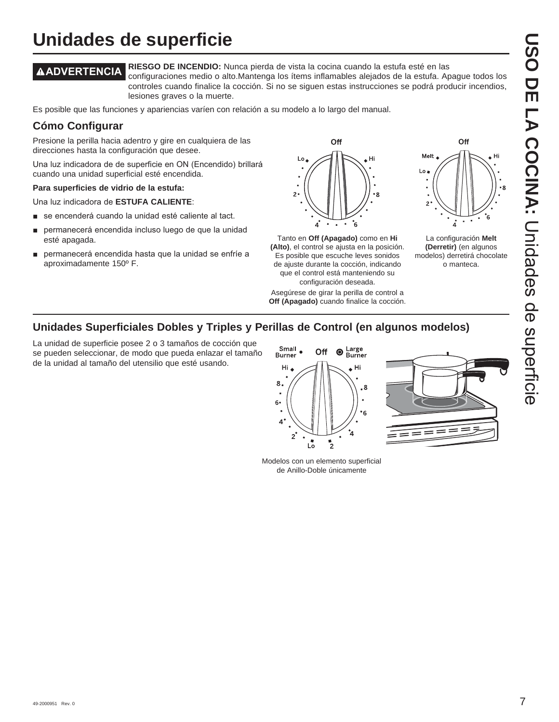# **USO DE LA COCINA:DISO DE LA COCINA: Coces de seperieire** Unidades de superficie

# **Unidades de superficie**

**ADVERTENCIA RIESGO DE INCENDIO:** Nunca pierda de vista la cocina cuando la estufa esté en las configuraciones medio o alto.Mantenga los ítems inflamables alejados de la estufa. Apague todos los controles cuando finalice la cocción. Si no se siguen estas instrucciones se podrá producir incendios,

lesiones graves o la muerte.

Es posible que las funciones y apariencias varíen con relación a su modelo a lo largo del manual.

### **Cómo Configurar**

Presione la perilla hacia adentro y gire en cualquiera de las direcciones hasta la configuración que desee.

Una luz indicadora de de superficie en ON (Encendido) brillará cuando una unidad superficial esté encendida.

### **Para superficies de vidrio de la estufa:**

Una luz indicadora de **ESTUFA CALIENTE:** 

- se encenderá cuando la unidad esté caliente al tact.
- permanecerá encendida incluso luego de que la unidad esté apagada.
- permanecerá encendida hasta que la unidad se enfríe a aproximadamente 150º F.



Tanto en **Off (Apagado)** como en **Hi (Alto)**, el control se ajusta en la posición. Es posible que escuche leves sonidos de ajuste durante la cocción, indicando que el control está manteniendo su configuración deseada.

Asegúrese de girar la perilla de control a **Off (Apagado)** cuando finalice la cocción.



La configuración **Melt (Derretir)** (en algunos modelos) derretirá chocolate o manteca.

### **Unidades Superficiales Dobles y Triples y Perillas de Control (en algunos modelos)**

La unidad de superficie posee 2 o 3 tamaños de cocción que se pueden seleccionar, de modo que pueda enlazar el tamaño de la unidad al tamaño del utensilio que esté usando.



Modelos con un elemento superficial de Anillo-Doble únicamente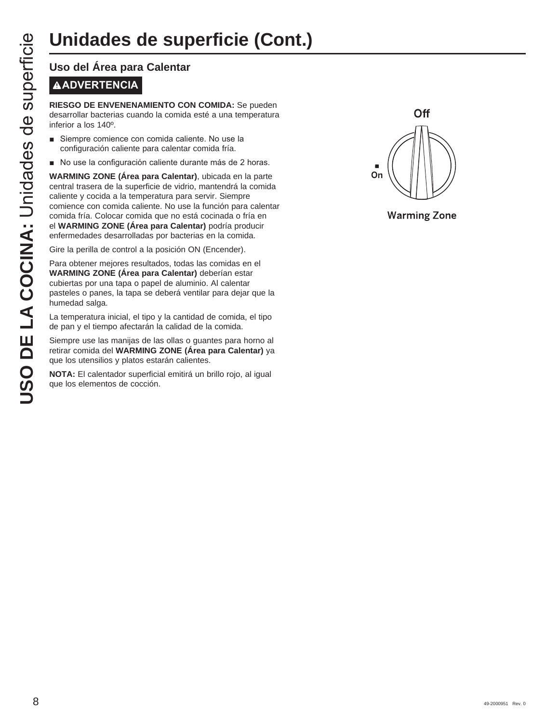# **ADVERTENCIA**

**RIESGO DE ENVENENAMIENTO CON COMIDA:** Se pueden desarrollar bacterias cuando la comida esté a una temperatura inferior a los 140º.

- Siempre comience con comida caliente. No use la configuración caliente para calentar comida fría.
- No use la configuración caliente durante más de 2 horas.

**UNICACES DE SUP<br>
USO del Área para Calentar<br>
MADVERTENCIA<br>
RIESGO DE ENVENENAMIENTO CO<br>
desarrollar bacterias cuando la comida<br>
inferior a los 140<sup>0</sup>.<br>
Siempre comience con comida caliente du<br>
varkMING ZONE (Área para Cal WARMING ZONE (Área para Calentar)**, ubicada en la parte central trasera de la superficie de vidrio, mantendrá la comida caliente y cocida a la temperatura para servir. Siempre comience con comida caliente. No use la función para calentar comida fría. Colocar comida que no está cocinada o fría en el **WARMING ZONE (Área para Calentar)** podría producir enfermedades desarrolladas por bacterias en la comida.

Gire la perilla de control a la posición ON (Encender).

Para obtener mejores resultados, todas las comidas en el **WARMING ZONE (Área para Calentar)** deberían estar cubiertas por una tapa o papel de aluminio. Al calentar pasteles o panes, la tapa se deberá ventilar para dejar que la humedad salga.

La temperatura inicial, el tipo y la cantidad de comida, el tipo de pan y el tiempo afectarán la calidad de la comida.

Siempre use las manijas de las ollas o guantes para horno al retirar comida del **WARMING ZONE (Área para Calentar)** ya que los utensilios y platos estarán calientes.

**NOTA:** El calentador superficial emitirá un brillo rojo, al igual que los elementos de cocción.



**Warming Zone**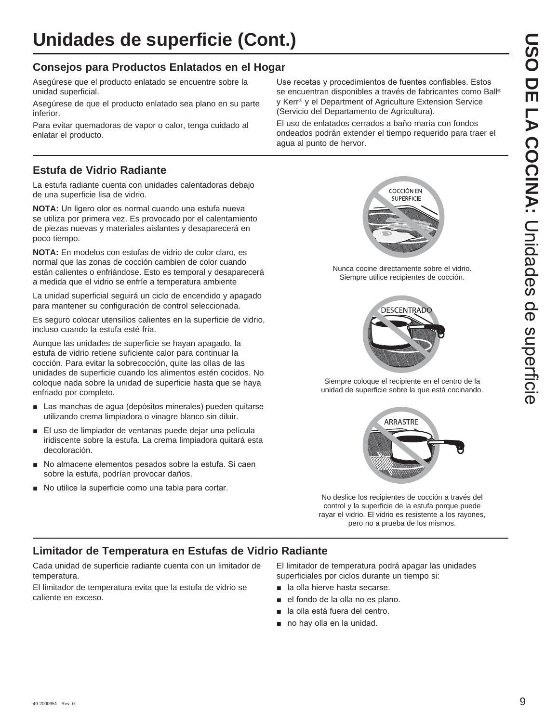### **Consejos para Productos Enlatados en el Hogar**

Asegúrese que el producto enlatado se encuentre sobre la unidad superficial.

Asegúrese de que el producto enlatado sea plano en su parte inferior.

Para evitar quemadoras de vapor o calor, tenga cuidado al enlatar el producto.

### **Estufa de Vidrio Radiante**

La estufa radiante cuenta con unidades calentadoras debajo de una superficie lisa de vidrio.

**NOTA:** Un ligero olor es normal cuando una estufa nueva se utiliza por primera vez. Es provocado por el calentamiento de piezas nuevas y materiales aislantes y desaparecerá en poco tiempo.

**NOTA:** En modelos con estufas de vidrio de color claro, es normal que las zonas de cocción cambien de color cuando están calientes o enfriándose. Esto es temporal y desaparecerá a medida que el vidrio se enfríe a temperatura ambiente

La unidad superficial seguirá un ciclo de encendido y apagado para mantener su configuración de control seleccionada.

Es seguro colocar utensilios calientes en la superficie de vidrio, incluso cuando la estufa esté fría.

Aunque las unidades de superficie se hayan apagado, la estufa de vidrio retiene suficiente calor para continuar la cocción. Para evitar la sobrecocción, quite las ollas de las unidades de superficie cuando los alimentos estén cocidos. No coloque nada sobre la unidad de superficie hasta que se haya enfriado por completo.

- Las manchas de agua (depósitos minerales) pueden quitarse utilizando crema limpiadora o vinagre blanco sin diluir.
- El uso de limpiador de ventanas puede dejar una película iridiscente sobre la estufa. La crema limpiadora quitará esta decoloración.
- No almacene elementos pesados sobre la estufa. Si caen sobre la estufa, podrían provocar daños.
- No utilice la superficie como una tabla para cortar.

Use recetas y procedimientos de fuentes confiables. Estos se encuentran disponibles a través de fabricantes como Ball® y Kerr® y el Department of Agriculture Extension Service (Servicio del Departamento de Agricultura).

El uso de enlatados cerrados a baño maría con fondos ondeados podrán extender el tiempo requerido para traer el agua al punto de hervor.



Nunca cocine directamente sobre el vidrio. Siempre utilice recipientes de cocción.



Siempre coloque el recipiente en el centro de la unidad de superficie sobre la que está cocinando.



No deslice los recipientes de cocción a través del control y la superficie de la estufa porque puede rayar el vidrio. El vidrio es resistente a los rayones, pero no a prueba de los mismos.

### **Limitador de Temperatura en Estufas de Vidrio Radiante**

Cada unidad de superficie radiante cuenta con un limitador de temperatura.

El limitador de temperatura evita que la estufa de vidrio se caliente en exceso.

El limitador de temperatura podrá apagar las unidades superficiales por ciclos durante un tiempo si:

- **a** la olla hierve hasta secarse.
- el fondo de la olla no es plano.
- la olla está fuera del centro.
- $\blacksquare$  no hay olla en la unidad.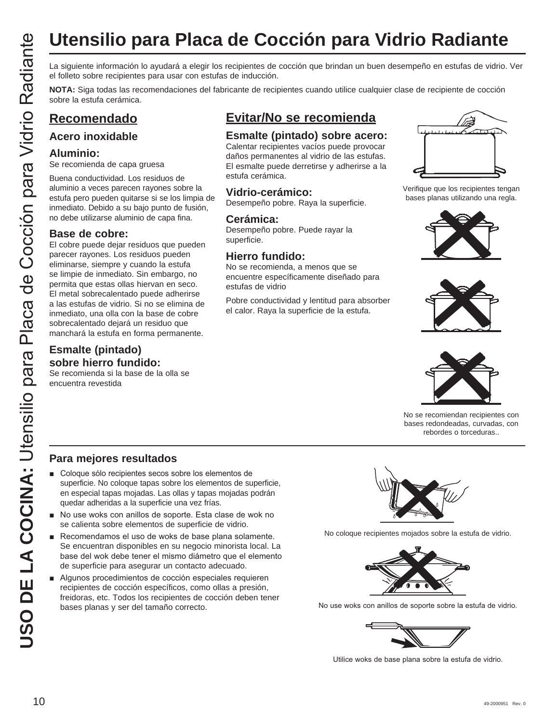# **Utensilio para Placa de Cocción para Vidrio Radiante**

el folleto sobre recipientes para usar con estufas de inducción.

**NOTA:** Siga todas las recomendaciones del fabricante de recipientes cuando utilice cualquier clase de recipiente de cocción sobre la estufa cerámica.

### **Recomendado**

### **Acero inoxidable**

### **Aluminio:**

Se recomienda de capa gruesa

Buena conductividad. Los residuos de aluminio a veces parecen rayones sobre la estufa pero pueden quitarse si se los limpia de inmediato. Debido a su bajo punto de fusión, no debe utilizarse aluminio de capa fina.

### **Base de cobre:**

**USO USO DE LA COCIDE DE LA COCIDE DE LA COLUMNA:**<br>
USO LA COLUMNA: CONFINSTANCIA DE LA COLUMNA: COLUMNA: COLUMNA: COLUMNA: COLUMNA: COLUMNA: COLUMNA: COLUMNA: COLUMNA: COLUMNA: COLUMNA: COLUMNA: COLUMNA: COLUMNA: COLUMNA: El cobre puede dejar residuos que pueden parecer rayones. Los residuos pueden eliminarse, siempre y cuando la estufa se limpie de inmediato. Sin embargo, no permita que estas ollas hiervan en seco. El metal sobrecalentado puede adherirse a las estufas de vidrio. Si no se elimina de inmediato, una olla con la base de cobre sobrecalentado dejará un residuo que manchará la estufa en forma permanente.

### **Esmalte (pintado) sobre hierro fundido:**

Se recomienda si la base de la olla se encuentra revestida

### **Evitar/No se recomienda**

### **Esmalte (pintado) sobre acero:**

Calentar recipientes vacíos puede provocar daños permanentes al vidrio de las estufas. El esmalte puede derretirse y adherirse a la estufa cerámica.

### **Vidrio-cerámico:**

Desempeño pobre. Raya la superficie.

### **Cerámica:**

Desempeño pobre. Puede rayar la superficie.

### **Hierro fundido:**

No se recomienda, a menos que se encuentre específicamente diseñado para estufas de vidrio

Pobre conductividad y lentitud para absorber el calor. Raya la superficie de la estufa.



Verifique que los recipientes tengan bases planas utilizando una regla.







No se recomiendan recipientes con bases redondeadas, curvadas, con rebordes o torceduras..

### **Para mejores resultados**

- Coloque sólo recipientes secos sobre los elementos de superficie. No coloque tapas sobre los elementos de superficie, en especial tapas mojadas. Las ollas y tapas mojadas podrán quedar adheridas a la superficie una vez frías.
- No use woks con anillos de soporte. Esta clase de wok no se calienta sobre elementos de superficie de vidrio.
- Recomendamos el uso de woks de base plana solamente. Se encuentran disponibles en su negocio minorista local. La base del wok debe tener el mismo diámetro que el elemento de superficie para asegurar un contacto adecuado.
- Algunos procedimientos de cocción especiales requieren recipientes de cocción específicos, como ollas a presión, freidoras, etc. Todos los recipientes de cocción deben tener bases planas y ser del tamaño correcto.



No coloque recipientes mojados sobre la estufa de vidrio.



No use woks con anillos de soporte sobre la estufa de vidrio.



Utilice woks de base plana sobre la estufa de vidrio.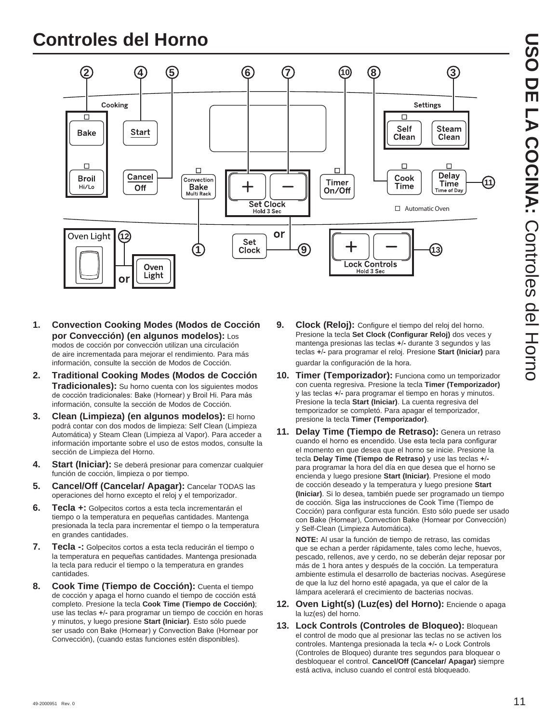# **Controles del Horno**



- **1. Convection Cooking Modes (Modos de Cocción por Convección) (en algunos modelos):** Los modos de cocción por convección utilizan una circulación de aire incrementada para mejorar el rendimiento. Para más información, consulte la sección de Modos de Cocción.
- **2. Traditional Cooking Modes (Modos de Cocción Tradicionales):** Su horno cuenta con los siguientes modos de cocción tradicionales: Bake (Hornear) y Broil Hi. Para más información, consulte la sección de Modos de Cocción.
- **3. Clean (Limpieza) (en algunos modelos):** El horno podrá contar con dos modos de limpieza: Self Clean (Limpieza Automática) y Steam Clean (Limpieza al Vapor). Para acceder a información importante sobre el uso de estos modos, consulte la sección de Limpieza del Horno.
- **4. Start (Iniciar):** Se deberá presionar para comenzar cualquier función de cocción, limpieza o por tiempo.
- **5. Cancel/Off (Cancelar/ Apagar):** Cancelar TODAS las operaciones del horno excepto el reloj y el temporizador.
- **6. Tecla +:** Golpecitos cortos a esta tecla incrementarán el tiempo o la temperatura en pequeñas cantidades. Mantenga presionada la tecla para incrementar el tiempo o la temperatura en grandes cantidades.
- **7. Tecla -:** Golpecitos cortos a esta tecla reducirán el tiempo o la temperatura en pequeñas cantidades. Mantenga presionada la tecla para reducir el tiempo o la temperatura en grandes cantidades.
- **8. Cook Time (Tiempo de Cocción):** Cuenta el tiempo de cocción y apaga el horno cuando el tiempo de cocción está completo. Presione la tecla **Cook Time (Tiempo de Cocción)** use las teclas **+-** para programar un tiempo de cocción en horas y minutos, y luego presione **Start (Iniciar)**. Esto sólo puede ser usado con Bake (Hornear) y Convection Bake (Hornear por Convección), (cuando estas funciones estén disponibles).
- **9. Clock (Reloj):** Configure el tiempo del reloj del horno. Presione la tecla **Set Clock (Configurar Reloj)** dos veces y mantenga presionas las teclas **+-** durante 3 segundos y las teclas **+-** para programar el reloj. Presione **Start (Iniciar)** para guardar la configuración de la hora.
- **10. Timer (Temporizador):** Funciona como un temporizador con cuenta regresiva. Presione la tecla **Timer (Temporizador)** y las teclas **+-** para programar el tiempo en horas y minutos. Presione la tecla **Start (Iniciar)**. La cuenta regresiva del temporizador se completó. Para apagar el temporizador, presione la tecla **Timer (Temporizador)**.
- **11. Delay Time (Tiempo de Retraso):** Genera un retraso cuando el horno es encendido. Use esta tecla para configurar el momento en que desea que el horno se inicie. Presione la tecla **Delay Time (Tiempo de Retraso)** y use las teclas **+** para programar la hora del día en que desea que el horno se encienda y luego presione **Start (Iniciar)**. Presione el modo de cocción deseado y la temperatura y luego presione **Start (Iniciar)**. Si lo desea, también puede ser programado un tiempo de cocción. Siga las instrucciones de Cook Time (Tiempo de Cocción) para configurar esta función. Esto sólo puede ser usado con Bake (Hornear), Convection Bake (Hornear por Convección) y Self-Clean (Limpieza Automática).

 **NOTE:** Al usar la función de tiempo de retraso, las comidas que se echan a perder rápidamente, tales como leche, huevos, pescado, rellenos, ave y cerdo, no se deberán dejar reposar por más de 1 hora antes y después de la cocción. La temperatura ambiente estimula el desarrollo de bacterias nocivas. Asegúrese de que la luz del horno esté apagada, ya que el calor de la lámpara acelerará el crecimiento de bacterias nocivas.

- **12. Oven Light(s) (Luz(es) del Horno):** Enciende o apaga la luz(es) del horno.
- **13. Lock Controls (Controles de Bloqueo):** Bloquean el control de modo que al presionar las teclas no se activen los controles. Mantenga presionada la tecla +/- o Lock Controls (Controles de Bloqueo) durante tres segundos para bloquear o desbloquear el control. **Cancel/Off (Cancelar/ Apagar)** siempre está activa, incluso cuando el control está bloqueado.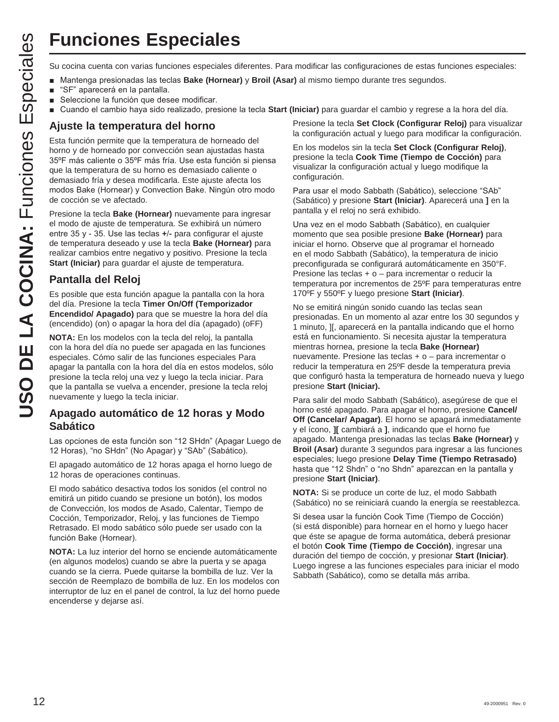# **Funciones Especiales**

- **Nantenga presionadas las teclas Bake (Hornear) y Broil (Asar) al mismo tiempo durante tres segundos.**
- "SF" aparecerá en la pantalla.
- Seleccione la función que desee modificar.
- Cuando el cambio haya sido realizado, presione la tecla **Start (Iniciar)** para guardar el cambio y regrese a la hora del día.

### **Ajuste la temperatura del horno**

Esta función permite que la temperatura de horneado del horno y de horneado por convección sean ajustadas hasta 35°F más caliente o 35°F más fría. Use esta función si piensa que la temperatura de su horno es demasiado caliente o demasiado fría y desea modificarla. Este ajuste afecta los modos Bake (Hornear) y Convection Bake. Ningún otro modo de cocción se ve afectado.

Presione la tecla **Bake (Hornear)** nuevamente para ingresar el modo de ajuste de temperatura. Se exhibirá un número entre 35 y - 35. Use las teclas +/- para configurar el ajuste de temperatura deseado y use la tecla **Bake (Hornear)** para realizar cambios entre negativo y positivo. Presione la tecla **Start (Iniciar)** para guardar el ajuste de temperatura.

### **Pantalla del Reloj**

Es posible que esta función apague la pantalla con la hora del día. Presione la tecla **Timer On/Off (Temporizador Encendido/ Apagado)** para que se muestre la hora del día (encendido) (on) o apagar la hora del día (apagado) (oFF)

**NOTA:** En los modelos con la tecla del reloj, la pantalla con la hora del día no puede ser apagada en las funciones especiales. Cómo salir de las funciones especiales Para apagar la pantalla con la hora del día en estos modelos, sólo presione la tecla reloj una vez y luego la tecla iniciar. Para que la pantalla se vuelva a encender, presione la tecla reloj nuevamente y luego la tecla iniciar.

### **Apagado automático de 12 horas y Modo Sabático**

Las opciones de esta función son "12 SHdn" (Apagar Luego de 12 Horas), "no SHdn" (No Apagar) y "SAb" (Sabático).

El apagado automático de 12 horas apaga el horno luego de 12 horas de operaciones continuas.

El modo sabático desactiva todos los sonidos (el control no emitirá un pitido cuando se presione un botón), los modos de Convección, los modos de Asado, Calentar, Tiempo de Cocción, Temporizador, Reloj, y las funciones de Tiempo Retrasado. El modo sabático sólo puede ser usado con la función Bake (Hornear).

**NOTA:** La luz interior del horno se enciende automáticamente (en algunos modelos) cuando se abre la puerta y se apaga cuando se la cierra. Puede quitarse la bombilla de luz. Ver la sección de Reemplazo de bombilla de luz. En los modelos con interruptor de luz en el panel de control, la luz del horno puede encenderse y dejarse así.

Presione la tecla **Set Clock (Configurar Reloj)** para visualizar la configuración actual y luego para modificar la configuración.

En los modelos sin la tecla **Set Clock (Configurar Reloj)**, presione la tecla **Cook Time (Tiempo de Cocción)** para visualizar la configuración actual y luego modifique la configuración.

Para usar el modo Sabbath (Sabático), seleccione "SAb" (Sabático) y presione **Start (Iniciar)**. Aparecerá una **]** en la pantalla y el reloj no será exhibido.

Una vez en el modo Sabbath (Sabático), en cualquier momento que sea posible presione **Bake (Hornear)** para iniciar el horno. Observe que al programar el horneado en el modo Sabbath (Sabático), la temperatura de inicio preconfigurada se configurará automáticamente en 350°F. Presione las teclas + o – para incrementar o reducir la temperatura por incrementos de 25ºF para temperaturas entre 170ºF y 550ºF y luego presione **Start (Iniciar)**.

**USO THE COCINE SUBMING COCINE CONTINUES**<br> **USO COCINE ANTIFICATION COCINE CONTINUES CONTINUES CONTINUES CONTINUES CONTINUES CONTINUES CONTINUES CONTINUES CONTINUES CONTINUES CONTINUES CONTINUES CONTINUES CONTINUES CONTI** No se emitirá ningún sonido cuando las teclas sean presionadas. En un momento al azar entre los 30 segundos y 1 minuto, ][, aparecerá en la pantalla indicando que el horno está en funcionamiento. Si necesita ajustar la temperatura mientras hornea, presione la tecla **Bake (Hornear)**  nuevamente. Presione las teclas + o – para incrementar o reducir la temperatura en 25ºF desde la temperatura previa que configuró hasta la temperatura de horneado nueva y luego presione **Start (Iniciar).**

Para salir del modo Sabbath (Sabático), asegúrese de que el horno esté apagado. Para apagar el horno, presione **Cancel/ Off (Cancelar/ Apagar)**. El horno se apagará inmediatamente y el ícono, **][** cambiará a **]**, indicando que el horno fue apagado. Mantenga presionadas las teclas **Bake (Hornear)** y **Broil (Asar)** durante 3 segundos para ingresar a las funciones especiales; luego presione **Delay Time (Tiempo Retrasado)** hasta que "12 Shdn" o "no Shdn" aparezcan en la pantalla y presione **Start (Iniciar)**.

**NOTA:** Si se produce un corte de luz, el modo Sabbath (Sabático) no se reiniciará cuando la energía se reestablezca.

Si desea usar la función Cook Time (Tiempo de Cocción) (si está disponible) para hornear en el horno y luego hacer que éste se apague de forma automática, deberá presionar el botón **Cook Time (Tiempo de Cocción)**, ingresar una duración del tiempo de cocción, y presionar **Start (Iniciar)**. Luego ingrese a las funciones especiales para iniciar el modo Sabbath (Sabático), como se detalla más arriba.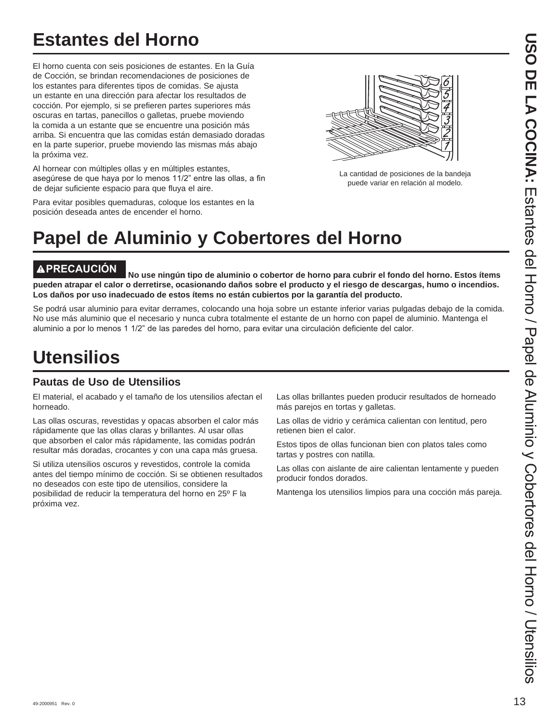# **Estantes del Horno**

El horno cuenta con seis posiciones de estantes. En la Guía de Cocción, se brindan recomendaciones de posiciones de los estantes para diferentes tipos de comidas. Se ajusta un estante en una dirección para afectar los resultados de cocción. Por ejemplo, si se prefieren partes superiores más oscuras en tartas, panecillos o galletas, pruebe moviendo la comida a un estante que se encuentre una posición más arriba. Si encuentra que las comidas están demasiado doradas en la parte superior, pruebe moviendo las mismas más abajo la próxima vez.

Al hornear con múltiples ollas y en múltiples estantes, asegúrese de que haya por lo menos 11/2" entre las ollas, a fin de dejar suficiente espacio para que fluya el aire.

Para evitar posibles quemaduras, coloque los estantes en la posición deseada antes de encender el horno.

La cantidad de posiciones de la bandeja puede variar en relación al modelo.

# **Papel de Aluminio y Cobertores del Horno**

**PRECAUCIÓN No use ningún tipo de aluminio o cobertor de horno para cubrir el fondo del horno. Estos ítems pueden atrapar el calor o derretirse, ocasionando daños sobre el producto y el riesgo de descargas, humo o incendios. Los daños por uso inadecuado de estos ítems no están cubiertos por la garantía del producto.**

Se podrá usar aluminio para evitar derrames, colocando una hoja sobre un estante inferior varias pulgadas debajo de la comida. No use más aluminio que el necesario y nunca cubra totalmente el estante de un horno con papel de aluminio. Mantenga el aluminio a por lo menos 1 1/2" de las paredes del horno, para evitar una circulación deficiente del calor.

# **Utensilios**

### **Pautas de Uso de Utensilios**

El material, el acabado y el tamaño de los utensilios afectan el horneado.

Las ollas oscuras, revestidas y opacas absorben el calor más rápidamente que las ollas claras y brillantes. Al usar ollas que absorben el calor más rápidamente, las comidas podrán resultar más doradas, crocantes y con una capa más gruesa.

Si utiliza utensilios oscuros y revestidos, controle la comida antes del tiempo mínimo de cocción. Si se obtienen resultados no deseados con este tipo de utensilios, considere la posibilidad de reducir la temperatura del horno en 25º F la próxima vez.

Las ollas brillantes pueden producir resultados de horneado más parejos en tortas y galletas.

Las ollas de vidrio y cerámica calientan con lentitud, pero retienen bien el calor.

Estos tipos de ollas funcionan bien con platos tales como tartas y postres con natilla.

Las ollas con aislante de aire calientan lentamente y pueden producir fondos dorados.

Mantenga los utensilios limpios para una cocción más pareja.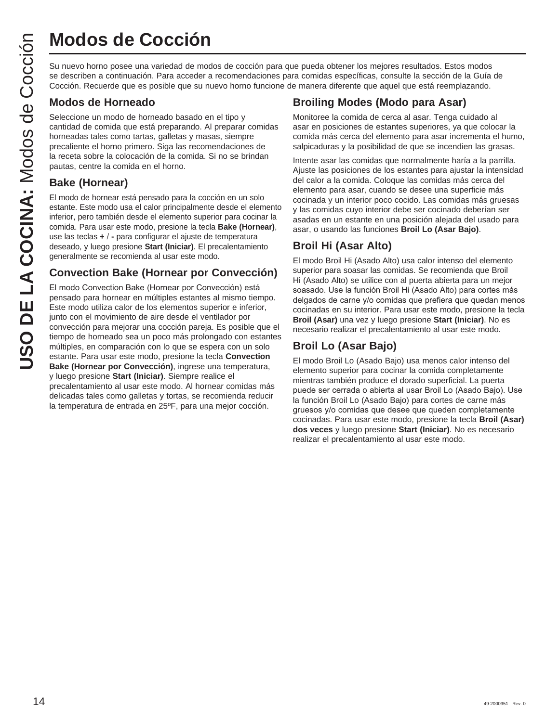Su nuevo horno posee una variedad de modos de cocción para que pueda obtener los mejores resultados. Estos modos se describen a continuación. Para acceder a recomendaciones para comidas específicas, consulte la sección de la Guía de Cocción. Recuerde que es posible que su nuevo horno funcione de manera diferente que aquel que está reemplazando.

### **Modos de Horneado**

Seleccione un modo de horneado basado en el tipo y cantidad de comida que está preparando. Al preparar comidas horneadas tales como tartas, galletas y masas, siempre precaliente el horno primero. Siga las recomendaciones de la receta sobre la colocación de la comida. Si no se brindan pautas, centre la comida en el horno.

### **Bake (Hornear)**

El modo de hornear está pensado para la cocción en un solo estante. Este modo usa el calor principalmente desde el elemento inferior, pero también desde el elemento superior para cocinar la comida. Para usar este modo, presione la tecla **Bake (Hornear)**, use las teclas **+-** para configurar el ajuste de temperatura deseado, y luego presione **Start (Iniciar)**. El precalentamiento generalmente se recomienda al usar este modo.

### **Convection Bake (Hornear por Convección)**

El modo Convection Bake (Hornear por Convección) está pensado para hornear en múltiples estantes al mismo tiempo. Este modo utiliza calor de los elementos superior e inferior, junto con el movimiento de aire desde el ventilador por convección para mejorar una cocción pareja. Es posible que el tiempo de horneado sea un poco más prolongado con estantes múltiples, en comparación con lo que se espera con un solo estante. Para usar este modo, presione la tecla **Convection Bake (Hornear por Convección)**, ingrese una temperatura, y luego presione **Start (Iniciar)**. Siempre realice el precalentamiento al usar este modo. Al hornear comidas más delicadas tales como galletas y tortas, se recomienda reducir la temperatura de entrada en 25ºF, para una mejor cocción. **USO DE COCCIÓN**<br>
Su nuevo homo posee una variedad de mose<br>
se describen a continuación. Para acceder a<br>
Cocción. Recuerde que es posible que su nu<br> **Modos de Horneado**<br>
seleccione un modo de horneado basado en homograpa d

### **Broiling Modes (Modo para Asar)**

Monitoree la comida de cerca al asar. Tenga cuidado al asar en posiciones de estantes superiores, ya que colocar la comida más cerca del elemento para asar incrementa el humo, salpicaduras y la posibilidad de que se incendien las grasas.

Intente asar las comidas que normalmente haría a la parrilla. Ajuste las posiciones de los estantes para ajustar la intensidad del calor a la comida. Coloque las comidas más cerca del elemento para asar, cuando se desee una superficie más cocinada y un interior poco cocido. Las comidas más gruesas y las comidas cuyo interior debe ser cocinado deberían ser asadas en un estante en una posición alejada del usado para asar, o usando las funciones **Broil Lo (Asar Bajo)**.

### **Broil Hi (Asar Alto)**

El modo Broil Hi (Asado Alto) usa calor intenso del elemento superior para soasar las comidas. Se recomienda que Broil Hi (Asado Alto) se utilice con al puerta abierta para un mejor soasado. Use la función Broil Hi (Asado Alto) para cortes más delgados de carne y/o comidas que prefiera que quedan menos cocinadas en su interior. Para usar este modo, presione la tecla **Broil (Asar)** una vez y luego presione **Start (Iniciar)**. No es necesario realizar el precalentamiento al usar este modo.

### **Broil Lo (Asar Bajo)**

El modo Broil Lo (Asado Bajo) usa menos calor intenso del elemento superior para cocinar la comida completamente mientras también produce el dorado superficial. La puerta puede ser cerrada o abierta al usar Broil Lo (Asado Bajo). Use la función Broil Lo (Asado Bajo) para cortes de carne más gruesos y/o comidas que desee que queden completamente cocinadas. Para usar este modo, presione la tecla **Broil (Asar) dos veces** y luego presione **Start (Iniciar)**. No es necesario realizar el precalentamiento al usar este modo.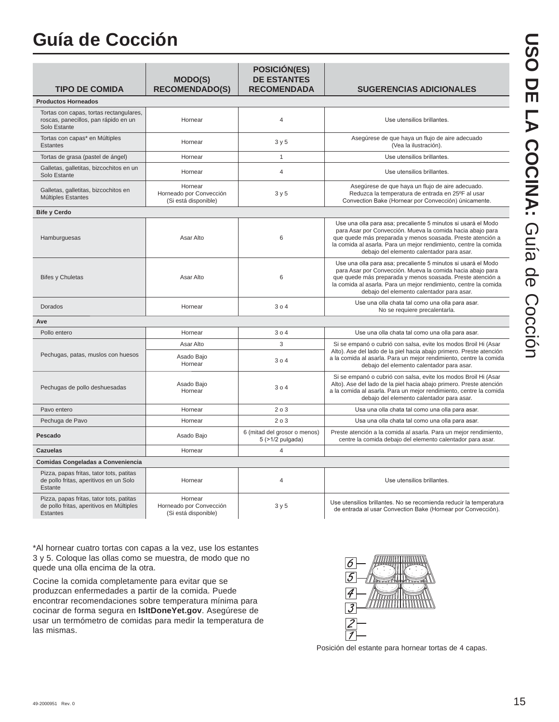# **Guía de Cocción**

| <b>TIPO DE COMIDA</b>                                                                                   | <b>MODO(S)</b><br><b>RECOMENDADO(S)</b>                    | <b>POSICIÓN(ES)</b><br><b>DE ESTANTES</b><br><b>RECOMENDADA</b> | <b>SUGERENCIAS ADICIONALES</b>                                                                                                                                                                                                                                                                             |
|---------------------------------------------------------------------------------------------------------|------------------------------------------------------------|-----------------------------------------------------------------|------------------------------------------------------------------------------------------------------------------------------------------------------------------------------------------------------------------------------------------------------------------------------------------------------------|
| <b>Productos Horneados</b>                                                                              |                                                            |                                                                 |                                                                                                                                                                                                                                                                                                            |
| Tortas con capas, tortas rectangulares,<br>roscas, panecillos, pan rápido en un<br>Solo Estante         | Hornear                                                    | $\overline{4}$                                                  | Use utensilios brillantes.                                                                                                                                                                                                                                                                                 |
| Tortas con capas* en Múltiples<br>Estantes                                                              | Hornear                                                    | 3y5                                                             | Asegúrese de que haya un flujo de aire adecuado<br>(Vea la ilustración).                                                                                                                                                                                                                                   |
| Tortas de grasa (pastel de ángel)                                                                       | Hornear                                                    | $\mathbf{1}$                                                    | Use utensilios brillantes.                                                                                                                                                                                                                                                                                 |
| Galletas, galletitas, bizcochitos en un<br>Solo Estante                                                 | Hornear                                                    | $\overline{4}$                                                  | Use utensilios brillantes.                                                                                                                                                                                                                                                                                 |
| Galletas, galletitas, bizcochitos en<br>Múltiples Estantes                                              | Hornear<br>Horneado por Convección<br>(Si está disponible) | 3y5                                                             | Asegúrese de que haya un flujo de aire adecuado.<br>Reduzca la temperatura de entrada en 25°F al usar<br>Convection Bake (Hornear por Convección) únicamente.                                                                                                                                              |
| <b>Bife y Cerdo</b>                                                                                     |                                                            |                                                                 |                                                                                                                                                                                                                                                                                                            |
| Hamburguesas                                                                                            | Asar Alto                                                  | 6                                                               | Use una olla para asa; precaliente 5 minutos si usará el Modo<br>para Asar por Convección. Mueva la comida hacia abajo para<br>que quede más preparada y menos soasada. Preste atención a<br>la comida al asarla. Para un mejor rendimiento, centre la comida<br>debajo del elemento calentador para asar. |
| <b>Bifes y Chuletas</b>                                                                                 | Asar Alto                                                  | 6                                                               | Use una olla para asa; precaliente 5 minutos si usará el Modo<br>para Asar por Convección. Mueva la comida hacia abajo para<br>que quede más preparada y menos soasada. Preste atención a<br>la comida al asarla. Para un mejor rendimiento, centre la comida<br>debajo del elemento calentador para asar. |
| Dorados                                                                                                 | Hornear                                                    | 304                                                             | Use una olla chata tal como una olla para asar.<br>No se requiere precalentarla.                                                                                                                                                                                                                           |
| Ave                                                                                                     |                                                            |                                                                 |                                                                                                                                                                                                                                                                                                            |
| Pollo entero                                                                                            | Hornear                                                    | 304                                                             | Use una olla chata tal como una olla para asar.                                                                                                                                                                                                                                                            |
|                                                                                                         | Asar Alto                                                  | 3                                                               | Si se empanó o cubrió con salsa, evite los modos Broil Hi (Asar                                                                                                                                                                                                                                            |
| Pechugas, patas, muslos con huesos                                                                      | Asado Bajo<br>Hornear                                      | 304                                                             | Alto). Ase del lado de la piel hacia abajo primero. Preste atención<br>a la comida al asarla. Para un mejor rendimiento, centre la comida<br>debajo del elemento calentador para asar.                                                                                                                     |
| Pechugas de pollo deshuesadas                                                                           | Asado Bajo<br>Hornear                                      | 304                                                             | Si se empanó o cubrió con salsa, evite los modos Broil Hi (Asar<br>Alto). Ase del lado de la piel hacia abajo primero. Preste atención<br>a la comida al asarla. Para un mejor rendimiento, centre la comida<br>debajo del elemento calentador para asar.                                                  |
| Pavo entero                                                                                             | Hornear                                                    | 203                                                             | Usa una olla chata tal como una olla para asar.                                                                                                                                                                                                                                                            |
| Pechuga de Pavo                                                                                         | Hornear                                                    | 203                                                             | Usa una olla chata tal como una olla para asar.                                                                                                                                                                                                                                                            |
| Pescado                                                                                                 | Asado Bajo                                                 | 6 (mitad del grosor o menos)<br>5 (>1/2 pulgada)                | Preste atención a la comida al asarla. Para un mejor rendimiento,<br>centre la comida debajo del elemento calentador para asar.                                                                                                                                                                            |
| <b>Cazuelas</b>                                                                                         | Hornear                                                    | $\overline{4}$                                                  |                                                                                                                                                                                                                                                                                                            |
| Comidas Congeladas a Conveniencia                                                                       |                                                            |                                                                 |                                                                                                                                                                                                                                                                                                            |
| Pizza, papas fritas, tator tots, patitas<br>de pollo fritas, aperitivos en un Solo<br>Estante           | Hornear                                                    | $\overline{4}$                                                  | Use utensilios brillantes.                                                                                                                                                                                                                                                                                 |
| Pizza, papas fritas, tator tots, patitas<br>de pollo fritas, aperitivos en Múltiples<br><b>Estantes</b> | Hornear<br>Horneado por Convección<br>(Si está disponible) | 3y5                                                             | Use utensilios brillantes. No se recomienda reducir la temperatura<br>de entrada al usar Convection Bake (Hornear por Convección).                                                                                                                                                                         |

\*Al hornear cuatro tortas con capas a la vez, use los estantes 3 y 5. Coloque las ollas como se muestra, de modo que no quede una olla encima de la otra.

Cocine la comida completamente para evitar que se produzcan enfermedades a partir de la comida. Puede encontrar recomendaciones sobre temperatura mínima para cocinar de forma segura en **IsItDoneYet.gov**. Asegúrese de usar un termómetro de comidas para medir la temperatura de las mismas.



Posición del estante para hornear tortas de 4 capas.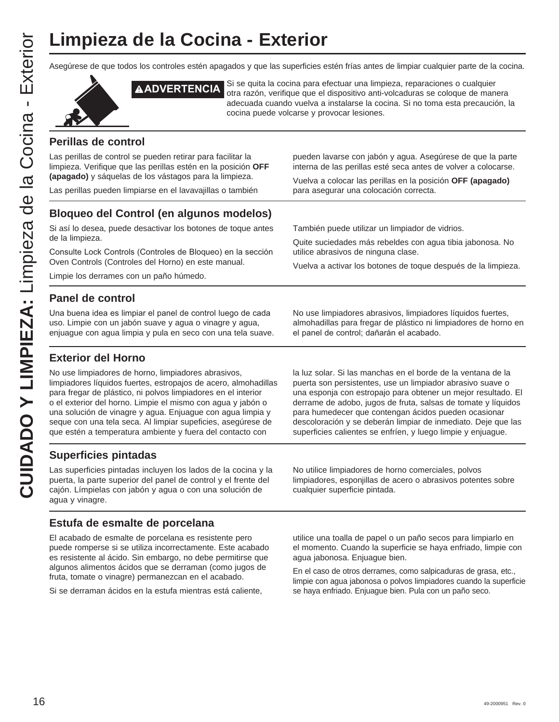Asegúrese de que todos los controles estén apagados y que las superficies estén frías antes de limpiar cualquier parte de la cocina.



**ADVERTENCIA** Si se quita la cocina para efectuar una limpieza, reparaciones o cualquier otra razón, verifique que el dispositivo anti-volcaduras se coloque de manera adecuada cuando vuelva a instalarse la cocina. Si no toma esta precaución, la cocina puede volcarse y provocar lesiones.

### **Perillas de control**

Las perillas de control se pueden retirar para facilitar la limpieza. Verifique que las perillas estén en la posición **OFF (apagado)** y sáquelas de los vástagos para la limpieza.

Las perillas pueden limpiarse en el lavavajillas o también

pueden lavarse con jabón y agua. Asegúrese de que la parte interna de las perillas esté seca antes de volver a colocarse.

Vuelva a colocar las perillas en la posición **OFF (apagado)** para asegurar una colocación correcta.

Quite suciedades más rebeldes con agua tibia jabonosa. No

Vuelva a activar los botones de toque después de la limpieza.

También puede utilizar un limpiador de vidrios.

utilice abrasivos de ninguna clase.

### **Bloqueo del Control (en algunos modelos)**

Si así lo desea, puede desactivar los botones de toque antes de la limpieza.

Consulte Lock Controls (Controles de Bloqueo) en la sección Oven Controls (Controles del Horno) en este manual.

Limpie los derrames con un paño húmedo.

### **Panel de control**

Una buena idea es limpiar el panel de control luego de cada uso. Limpie con un jabón suave y agua o vinagre y agua, enjuague con agua limpia y pula en seco con una tela suave. No use limpiadores abrasivos, limpiadores líquidos fuertes, almohadillas para fregar de plástico ni limpiadores de horno en el panel de control; dañarán el acabado.

### **Exterior del Horno**

No use limpiadores de horno, limpiadores abrasivos, limpiadores líquidos fuertes, estropajos de acero, almohadillas para fregar de plástico, ni polvos limpiadores en el interior o el exterior del horno. Limpie el mismo con agua y jabón o una solución de vinagre y agua. Enjuague con agua limpia y seque con una tela seca. Al limpiar supeficies, asegúrese de que estén a temperatura ambiente y fuera del contacto con

**Superficies pintadas**

Las superficies pintadas incluyen los lados de la cocina y la puerta, la parte superior del panel de control y el frente del cajón. Límpielas con jabón y agua o con una solución de agua y vinagre.

### **Estufa de esmalte de porcelana**

El acabado de esmalte de porcelana es resistente pero puede romperse si se utiliza incorrectamente. Este acabado es resistente al ácido. Sin embargo, no debe permitirse que algunos alimentos ácidos que se derraman (como jugos de fruta, tomate o vinagre) permanezcan en el acabado.

Si se derraman ácidos en la estufa mientras está caliente,

la luz solar. Si las manchas en el borde de la ventana de la puerta son persistentes, use un limpiador abrasivo suave o una esponja con estropajo para obtener un mejor resultado. El derrame de adobo, jugos de fruta, salsas de tomate y líquidos para humedecer que contengan ácidos pueden ocasionar descoloración y se deberán limpiar de inmediato. Deje que las superficies calientes se enfríen, y luego limpie y enjuague.

No utilice limpiadores de horno comerciales, polvos limpiadores, esponjillas de acero o abrasivos potentes sobre cualquier superficie pintada.

utilice una toalla de papel o un paño secos para limpiarlo en el momento. Cuando la superficie se haya enfriado, limpie con agua jabonosa. Enjuague bien.

En el caso de otros derrames, como salpicaduras de grasa, etc., limpie con agua jabonosa o polvos limpiadores cuando la superficie se haya enfriado. Enjuague bien. Pula con un paño seco.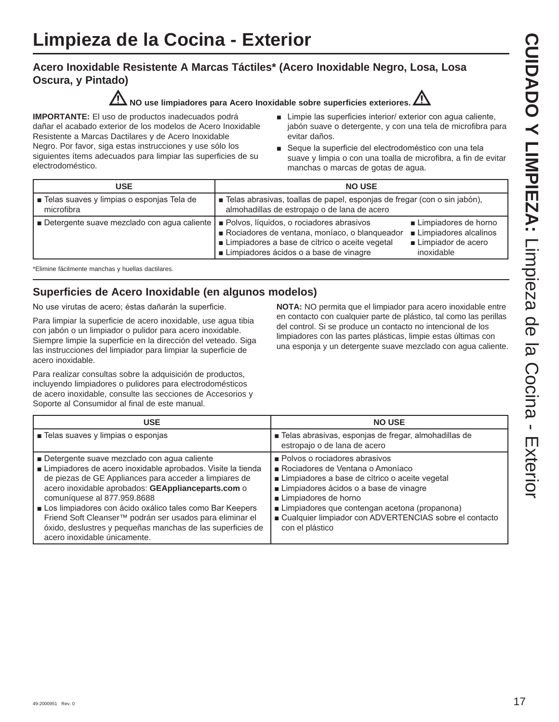### **Acero Inoxidable Resistente A Marcas Táctiles\* (Acero Inoxidable Negro, Losa, Losa Oscura, y Pintado)**



**NO use limpiadores para Acero Inoxidable sobre superficies exteriores.**



**IMPORTANTE:** El uso de productos inadecuados podrá dañar el acabado exterior de los modelos de Acero Inoxidable Resistente a Marcas Dactilares y de Acero Inoxidable Negro. Por favor, siga estas instrucciones y use sólo los siguientes ítems adecuados para limpiar las superficies de su electrodoméstico.

- **E** Limpie las superficies interior/ exterior con agua caliente, jabón suave o detergente, y con una tela de microfibra para evitar daños.
- Seque la superficie del electrodoméstico con una tela suave y limpia o con una toalla de microfibra, a fin de evitar manchas o marcas de gotas de agua.

| USE                                                       | <b>NO USE</b>                                                                                                                                                                           |                                                                                     |
|-----------------------------------------------------------|-----------------------------------------------------------------------------------------------------------------------------------------------------------------------------------------|-------------------------------------------------------------------------------------|
| ■ Telas suaves y limpias o esponjas Tela de<br>microfibra | ■ Telas abrasivas, toallas de papel, esponjas de fregar (con o sin jabón),<br>almohadillas de estropajo o de lana de acero                                                              |                                                                                     |
| Detergente suave mezclado con agua caliente               | Polvos, líquidos, o rociadores abrasivos<br>Rociadores de ventana, moníaco, o blanqueador<br>Limpiadores a base de cítrico o aceite vegetal<br>■ Limpiadores ácidos o a base de vinagre | ■ Limpiadores de horno<br>Limpiadores alcalinos<br>Limpiador de acero<br>inoxidable |

\*Elimine fácilmente manchas y huellas dactilares.

### **Superficies de Acero Inoxidable (en algunos modelos)**

No use virutas de acero; éstas dañarán la superficie.

Para limpiar la superficie de acero inoxidable, use agua tibia con jabón o un limpiador o pulidor para acero inoxidable. Siempre limpie la superficie en la dirección del veteado. Siga las instrucciones del limpiador para limpiar la superficie de acero inoxidable.

Para realizar consultas sobre la adquisición de productos, incluyendo limpiadores o pulidores para electrodomésticos de acero inoxidable, consulte las secciones de Accesorios y Soporte al Consumidor al final de este manual.

**NOTA:** NO permita que el limpiador para acero inoxidable entre en contacto con cualquier parte de plástico, tal como las perillas del control. Si se produce un contacto no intencional de los limpiadores con las partes plásticas, limpie estas últimas con una esponja y un detergente suave mezclado con agua caliente.

| <b>USE</b>                                                                                                                                                                                                                                                                                                                                                                                                                                                                      | <b>NO USE</b>                                                                                                                                                                                                                                                                                                           |
|---------------------------------------------------------------------------------------------------------------------------------------------------------------------------------------------------------------------------------------------------------------------------------------------------------------------------------------------------------------------------------------------------------------------------------------------------------------------------------|-------------------------------------------------------------------------------------------------------------------------------------------------------------------------------------------------------------------------------------------------------------------------------------------------------------------------|
| ■ Telas suaves y limpias o esponjas                                                                                                                                                                                                                                                                                                                                                                                                                                             | ■ Telas abrasivas, esponjas de fregar, almohadillas de<br>estropajo o de lana de acero                                                                                                                                                                                                                                  |
| Detergente suave mezclado con agua caliente<br>Limpiadores de acero inoxidable aprobados. Visite la tienda<br>de piezas de GE Appliances para acceder a limpiares de<br>acero inoxidable aprobados: GEApplianceparts.com o<br>comuníquese al 877.959.8688<br>Los limpiadores con ácido oxálico tales como Bar Keepers<br>Friend Soft Cleanser™ podrán ser usados para eliminar el<br>óxido, deslustres y pequeñas manchas de las superficies de<br>acero inoxidable únicamente. | Polvos o rociadores abrasivos<br>Rociadores de Ventana o Amoníaco<br>■ Limpiadores a base de cítrico o aceite vegetal<br>Limpiadores ácidos o a base de vinagre<br>Limpiadores de horno<br>Limpiadores que contengan acetona (propanona)<br>■ Cualquier limpiador con ADVERTENCIAS sobre el contacto<br>con el plástico |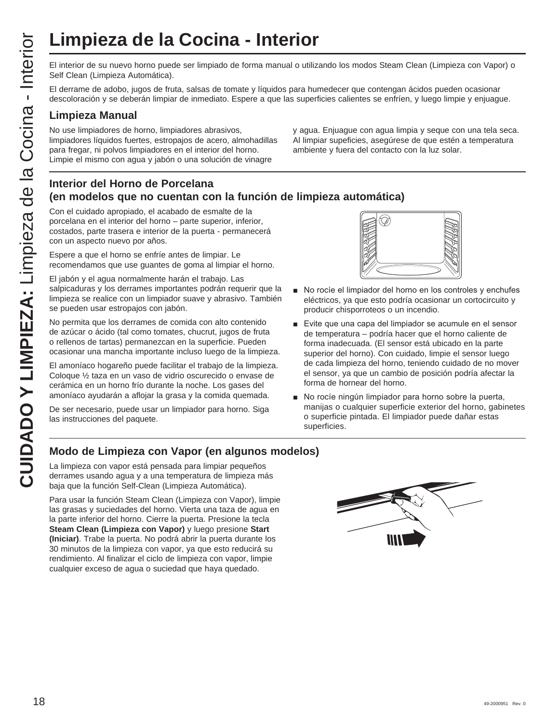El interior de su nuevo horno puede ser limpiado de forma manual o utilizando los modos Steam Clean (Limpieza con Vapor) o Self Clean (Limpieza Automática).

El derrame de adobo, jugos de fruta, salsas de tomate y líquidos para humedecer que contengan ácidos pueden ocasionar descoloración y se deberán limpiar de inmediato. Espere a que las superficies calientes se enfríen, y luego limpie y enjuague.

### **Limpieza Manual**

No use limpiadores de horno, limpiadores abrasivos, limpiadores líquidos fuertes, estropajos de acero, almohadillas para fregar, ni polvos limpiadores en el interior del horno. Limpie el mismo con agua y jabón o una solución de vinagre

y agua. Enjuague con agua limpia y seque con una tela seca. Al limpiar supeficies, asegúrese de que estén a temperatura ambiente y fuera del contacto con la luz solar.

### **Interior del Horno de Porcelana (en modelos que no cuentan con la función de limpieza automática)**

Con el cuidado apropiado, el acabado de esmalte de la porcelana en el interior del horno – parte superior, inferior, costados, parte trasera e interior de la puerta - permanecerá con un aspecto nuevo por años.

Espere a que el horno se enfríe antes de limpiar. Le recomendamos que use guantes de goma al limpiar el horno.

El jabón y el agua normalmente harán el trabajo. Las salpicaduras y los derrames importantes podrán requerir que la limpieza se realice con un limpiador suave y abrasivo. También se pueden usar estropajos con jabón.

CUIDRO Y El interior de su muevo homo puede ser limpiado de forma manual o utiliz<br>
Serio Cena (Limpieza Automática)<br>
CUIDA de la Cocina Constantination de la Cocina Constantination de la Cocina Cocina Cocina Cocina Cocina No permita que los derrames de comida con alto contenido de azúcar o ácido (tal como tomates, chucrut, jugos de fruta o rellenos de tartas) permanezcan en la superficie. Pueden ocasionar una mancha importante incluso luego de la limpieza.

El amoníaco hogareño puede facilitar el trabajo de la limpieza. Coloque ½ taza en un vaso de vidrio oscurecido o envase de cerámica en un horno frío durante la noche. Los gases del amoníaco ayudarán a aflojar la grasa y la comida quemada.

De ser necesario, puede usar un limpiador para horno. Siga las instrucciones del paquete.



- No rocíe el limpiador del horno en los controles y enchufes eléctricos, ya que esto podría ocasionar un cortocircuito y producir chisporroteos o un incendio.
- Evite que una capa del limpiador se acumule en el sensor de temperatura – podría hacer que el horno caliente de forma inadecuada. (El sensor está ubicado en la parte superior del horno). Con cuidado, limpie el sensor luego de cada limpieza del horno, teniendo cuidado de no mover el sensor, ya que un cambio de posición podría afectar la forma de hornear del horno.
- No rocíe ningún limpiador para horno sobre la puerta, manijas o cualquier superficie exterior del horno, gabinetes o superficie pintada. El limpiador puede dañar estas superficies.

### **Modo de Limpieza con Vapor (en algunos modelos)**

La limpieza con vapor está pensada para limpiar pequeños derrames usando agua y a una temperatura de limpieza más baja que la función Self-Clean (Limpieza Automática).

Para usar la función Steam Clean (Limpieza con Vapor), limpie las grasas y suciedades del horno. Vierta una taza de agua en la parte inferior del horno. Cierre la puerta. Presione la tecla **Steam Clean (Limpieza con Vapor)** y luego presione **Start (Iniciar)**. Trabe la puerta. No podrá abrir la puerta durante los 30 minutos de la limpieza con vapor, ya que esto reducirá su rendimiento. Al finalizar el ciclo de limpieza con vapor, limpie cualquier exceso de agua o suciedad que haya quedado.

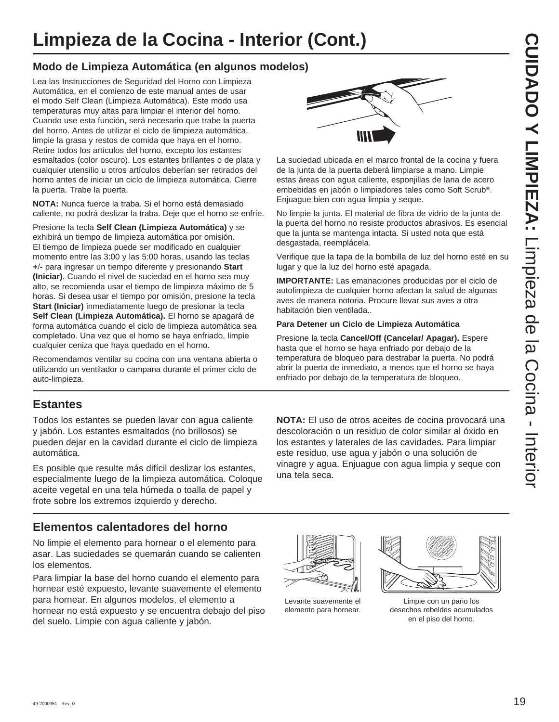# **Limpieza de la Cocina - Interior (Cont.)**

### **Modo de Limpieza Automática (en algunos modelos)**

Lea las Instrucciones de Seguridad del Horno con Limpieza Automática, en el comienzo de este manual antes de usar el modo Self Clean (Limpieza Automática). Este modo usa temperaturas muy altas para limpiar el interior del horno. Cuando use esta función, será necesario que trabe la puerta del horno. Antes de utilizar el ciclo de limpieza automática, limpie la grasa y restos de comida que haya en el horno. Retire todos los artículos del horno, excepto los estantes esmaltados (color oscuro). Los estantes brillantes o de plata y cualquier utensilio u otros artículos deberían ser retirados del horno antes de iniciar un ciclo de limpieza automática. Cierre la puerta. Trabe la puerta.

**NOTA:** Nunca fuerce la traba. Si el horno está demasiado caliente, no podrá deslizar la traba. Deje que el horno se enfríe.

Presione la tecla **Self Clean (Limpieza Automática)** y se exhibirá un tiempo de limpieza automática por omisión. El tiempo de limpieza puede ser modificado en cualquier momento entre las 3:00 y las 5:00 horas, usando las teclas **+-** para ingresar un tiempo diferente y presionando **Start (Iniciar)**. Cuando el nivel de suciedad en el horno sea muy alto, se recomienda usar el tiempo de limpieza máximo de 5 horas. Si desea usar el tiempo por omisión, presione la tecla **Start (Iniciar)** inmediatamente luego de presionar la tecla **Self Clean (Limpieza Automática).** El horno se apagará de forma automática cuando el ciclo de limpieza automática sea completado. Una vez que el horno se haya enfriado, limpie cualquier ceniza que haya quedado en el horno.

Recomendamos ventilar su cocina con una ventana abierta o utilizando un ventilador o campana durante el primer ciclo de auto-limpieza.

### **Estantes**

Todos los estantes se pueden lavar con agua caliente y jabón. Los estantes esmaltados (no brillosos) se pueden dejar en la cavidad durante el ciclo de limpieza automática.

Es posible que resulte más difícil deslizar los estantes, especialmente luego de la limpieza automática. Coloque aceite vegetal en una tela húmeda o toalla de papel y frote sobre los extremos izquierdo y derecho.

### **Elementos calentadores del horno**

No limpie el elemento para hornear o el elemento para asar. Las suciedades se quemarán cuando se calienten los elementos.

Para limpiar la base del horno cuando el elemento para hornear esté expuesto, levante suavemente el elemento para hornear. En algunos modelos, el elemento a hornear no está expuesto y se encuentra debajo del piso del suelo. Limpie con agua caliente y jabón.



La suciedad ubicada en el marco frontal de la cocina y fuera de la junta de la puerta deberá limpiarse a mano. Limpie estas áreas con agua caliente, esponjillas de lana de acero embebidas en jabón o limpiadores tales como Soft Scrub®. Enjuague bien con agua limpia y seque.

No limpie la junta. El material de fibra de vidrio de la junta de la puerta del horno no resiste productos abrasivos. Es esencial que la junta se mantenga intacta. Si usted nota que está desgastada, reemplácela.

Verifique que la tapa de la bombilla de luz del horno esté en su lugar y que la luz del horno esté apagada.

**IMPORTANTE:** Las emanaciones producidas por el ciclo de autolimpieza de cualquier horno afectan la salud de algunas aves de manera notoria. Procure llevar sus aves a otra habitación bien ventilada..

### **Para Detener un Ciclo de Limpieza Automática**

Presione la tecla **Cancel/Off (Cancelar/ Apagar).** Espere hasta que el horno se haya enfriado por debajo de la temperatura de bloqueo para destrabar la puerta. No podrá abrir la puerta de inmediato, a menos que el horno se haya enfriado por debajo de la temperatura de bloqueo.

**NOTA:** El uso de otros aceites de cocina provocará una descoloración o un residuo de color similar al óxido en los estantes y laterales de las cavidades. Para limpiar este residuo, use agua y jabón o una solución de vinagre y agua. Enjuague con agua limpia y seque con una tela seca.

Levante suavemente el elemento para hornear.



Limpie con un paño los desechos rebeldes acumulados en el piso del horno.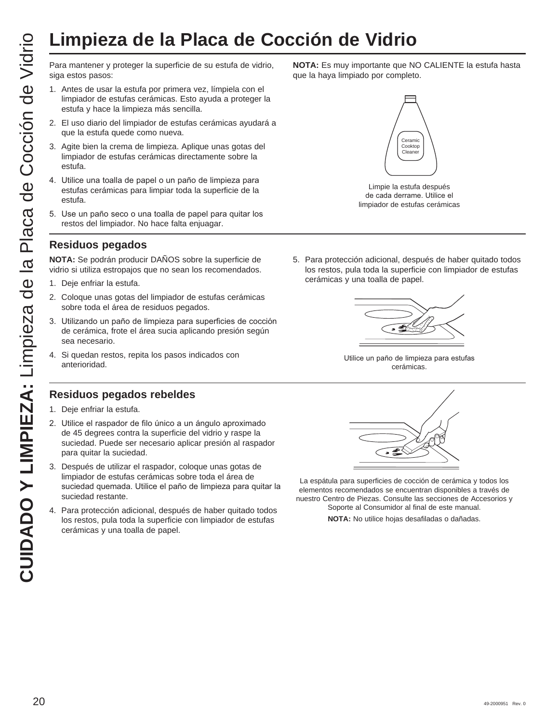# **Limpieza de la Placa de Cocción de Vidrio**

siga estos pasos:

- 1. Antes de usar la estufa por primera vez, límpiela con el limpiador de estufas cerámicas. Esto ayuda a proteger la estufa y hace la limpieza más sencilla.
- 2. El uso diario del limpiador de estufas cerámicas ayudará a que la estufa quede como nueva.
- 3. Agite bien la crema de limpieza. Aplique unas gotas del limpiador de estufas cerámicas directamente sobre la estufa.
- 4. Utilice una toalla de papel o un paño de limpieza para estufas cerámicas para limpiar toda la superficie de la estufa.
- 5. Use un paño seco o una toalla de papel para quitar los restos del limpiador. No hace falta enjuagar.

### **Residuos pegados**

**NOTA:** Se podrán producir DAÑOS sobre la superficie de vidrio si utiliza estropajos que no sean los recomendados.

- 1. Deje enfriar la estufa.
- 2. Coloque unas gotas del limpiador de estufas cerámicas sobre toda el área de residuos pegados.
- 3. Utilizando un paño de limpieza para superficies de cocción de cerámica, frote el área sucia aplicando presión según sea necesario.
- 4. Si quedan restos, repita los pasos indicados con anterioridad.

### **Residuos pegados rebeldes**

- 1. Deje enfriar la estufa.
- 2. Utilice el raspador de filo único a un ángulo aproximado de 45 degrees contra la superficie del vidrio y raspe la suciedad. Puede ser necesario aplicar presión al raspador para quitar la suciedad.
- 3. Después de utilizar el raspador, coloque unas gotas de limpiador de estufas cerámicas sobre toda el área de suciedad quemada. Utilice el paño de limpieza para quitar la suciedad restante.
- 4. Para protección adicional, después de haber quitado todos los restos, pula toda la superficie con limpiador de estufas cerámicas y una toalla de papel.

**NOTA:** Es muy importante que NO CALIENTE la estufa hasta que la haya limpiado por completo.



Limpie la estufa después de cada derrame. Utilice el limpiador de estufas cerámicas

5. Para protección adicional, después de haber quitado todos los restos, pula toda la superficie con limpiador de estufas cerámicas y una toalla de papel.



Utilice un paño de limpieza para estufas cerámicas.



La espátula para superficies de cocción de cerámica y todos los elementos recomendados se encuentran disponibles a través de nuestro Centro de Piezas. Consulte las secciones de Accesorios y Soporte al Consumidor al final de este manual.

**NOTA:** No utilice hojas desafiladas o dañadas.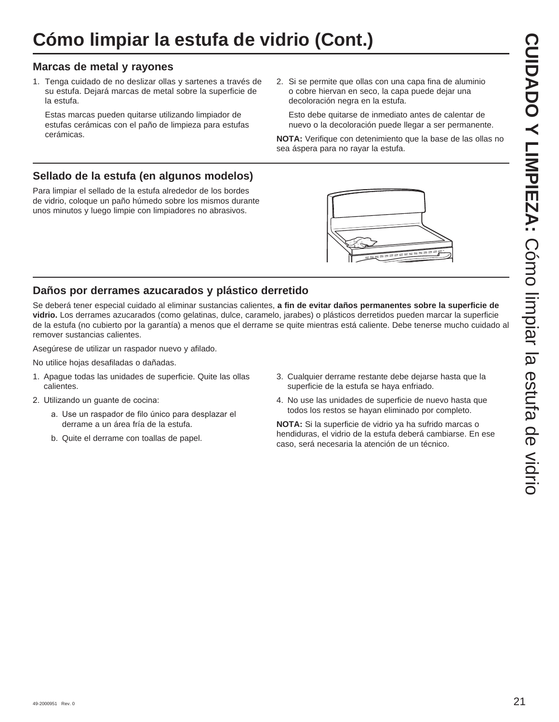# **Cómo limpiar la estufa de vidrio (Cont.)**

### **Marcas de metal y rayones**

1. Tenga cuidado de no deslizar ollas y sartenes a través de su estufa. Dejará marcas de metal sobre la superficie de la estufa.

 Estas marcas pueden quitarse utilizando limpiador de estufas cerámicas con el paño de limpieza para estufas cerámicas.

2. Si se permite que ollas con una capa fina de aluminio o cobre hiervan en seco, la capa puede dejar una decoloración negra en la estufa.

 Esto debe quitarse de inmediato antes de calentar de nuevo o la decoloración puede llegar a ser permanente.

**NOTA:** Verifique con detenimiento que la base de las ollas no sea áspera para no rayar la estufa.

### **Sellado de la estufa (en algunos modelos)**

Para limpiar el sellado de la estufa alrededor de los bordes de vidrio, coloque un paño húmedo sobre los mismos durante unos minutos y luego limpie con limpiadores no abrasivos.



### **Daños por derrames azucarados y plástico derretido**

Se deberá tener especial cuidado al eliminar sustancias calientes, **a fin de evitar daños permanentes sobre la superficie de vidrio.** Los derrames azucarados (como gelatinas, dulce, caramelo, jarabes) o plásticos derretidos pueden marcar la superficie de la estufa (no cubierto por la garantía) a menos que el derrame se quite mientras está caliente. Debe tenerse mucho cuidado al remover sustancias calientes.

Asegúrese de utilizar un raspador nuevo y afilado.

No utilice hojas desafiladas o dañadas.

- 1. Apague todas las unidades de superficie. Quite las ollas calientes.
- 2. Utilizando un guante de cocina:
	- a. Use un raspador de filo único para desplazar el derrame a un área fría de la estufa.
	- b. Quite el derrame con toallas de papel.
- 3. Cualquier derrame restante debe dejarse hasta que la superficie de la estufa se haya enfriado.
- 4. No use las unidades de superficie de nuevo hasta que todos los restos se hayan eliminado por completo.

**NOTA:** Si la superficie de vidrio ya ha sufrido marcas o hendiduras, el vidrio de la estufa deberá cambiarse. En ese caso, será necesaria la atención de un técnico.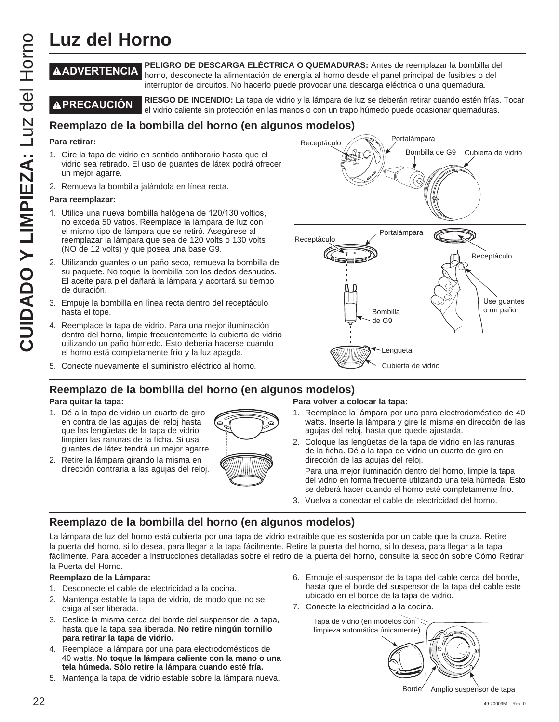# **Luz del Horno**

### **ADVERTENCIA PELIGRO DE DESCARGA ELÉCTRICA O QUEMADURAS:** Antes de reemplazar la bombilla del horno, desconecte la alimentación de energía al horno desde el panel principal de fusibles o del interruptor de circuitos. No hacerlo puede provocar una descarga eléctrica o una quemadura.

**A PRECAUCIÓN** RIESGO DE INCENDIO: La tapa de vidrio y la lámpara de luz se deberán retirar cuando estén frías. Tocar el vidrio caliente sin protección en las manos o con un trapo húmedo puede ocasionar quemaduras.

### **Reemplazo de la bombilla del horno (en algunos modelos)**

### **Para retirar:**

- 1. Gire la tapa de vidrio en sentido antihorario hasta que el vidrio sea retirado. El uso de guantes de látex podrá ofrecer un mejor agarre.
- 2. Remueva la bombilla jalándola en línea recta.

### **Para reemplazar:**

- 1. Utilice una nueva bombilla halógena de 120/130 voltios, no exceda 50 vatios. Reemplace la lámpara de luz con el mismo tipo de lámpara que se retiró. Asegúrese al reemplazar la lámpara que sea de 120 volts o 130 volts (NO de 12 volts) y que posea una base G9.
- 2. Utilizando quantes o un paño seco, remueva la bombilla de su paquete. No toque la bombilla con los dedos desnudos. El aceite para piel dañará la lámpara y acortará su tiempo de duración.
- 3. Empuje la bombilla en línea recta dentro del receptáculo hasta el tope.
- 4. Reemplace la tapa de vidrio. Para una mejor iluminación dentro del horno, limpie frecuentemente la cubierta de vidrio utilizando un paño húmedo. Esto debería hacerse cuando el horno está completamente frío y la luz apagda.
- 5. Conecte nuevamente el suministro eléctrico al horno.



### **Reemplazo de la bombilla del horno (en algunos modelos)**

### **Para quitar la tapa:**

- 1. Dé a la tapa de vidrio un cuarto de giro en contra de las agujas del reloj hasta que las lengüetas de la tapa de vidrio limpien las ranuras de la ficha. Si usa guantes de látex tendrá un mejor agarre.
- 2. Retire la lámpara girando la misma en dirección contraria a las agujas del reloj.



### **Para volver a colocar la tapa:**

- 1. Reemplace la lámpara por una para electrodoméstico de 40 watts. Inserte la lámpara y gire la misma en dirección de las agujas del reloj, hasta que quede ajustada.
- 2. Coloque las lengüetas de la tapa de vidrio en las ranuras de la ficha. Dé a la tapa de vidrio un cuarto de giro en dirección de las agujas del reloj.

 Para una mejor iluminación dentro del horno, limpie la tapa del vidrio en forma frecuente utilizando una tela húmeda. Esto se deberá hacer cuando el horno esté completamente frío.

3. Vuelva a conectar el cable de electricidad del horno.

### **Reemplazo de la bombilla del horno (en algunos modelos)**

La lámpara de luz del horno está cubierta por una tapa de vidrio extraíble que es sostenida por un cable que la cruza. Retire la puerta del horno, si lo desea, para llegar a la tapa fácilmente. Retire la puerta del horno, si lo desea, para llegar a la tapa fácilmente. Para acceder a instrucciones detalladas sobre el retiro de la puerta del horno, consulte la sección sobre Cómo Retirar la Puerta del Horno.

### **Reemplazo de la Lámpara:**

- 1. Desconecte el cable de electricidad a la cocina.
- 2. Mantenga estable la tapa de vidrio, de modo que no se caiga al ser liberada.
- 3. Deslice la misma cerca del borde del suspensor de la tapa, hasta que la tapa sea liberada. **No retire ningún tornillo para retirar la tapa de vidrio.**
- 4. Reemplace la lámpara por una para electrodomésticos de 40 watts. No toque la lámpara caliente con la mano o una **tela húmeda. Sólo retire la lámpara cuando esté fría.**
- 5. Mantenga la tapa de vidrio estable sobre la lámpara nueva.
- 6. Empuje el suspensor de la tapa del cable cerca del borde, hasta que el borde del suspensor de la tapa del cable esté ubicado en el borde de la tapa de vidrio.
- 7. Conecte la electricidad a la cocina.

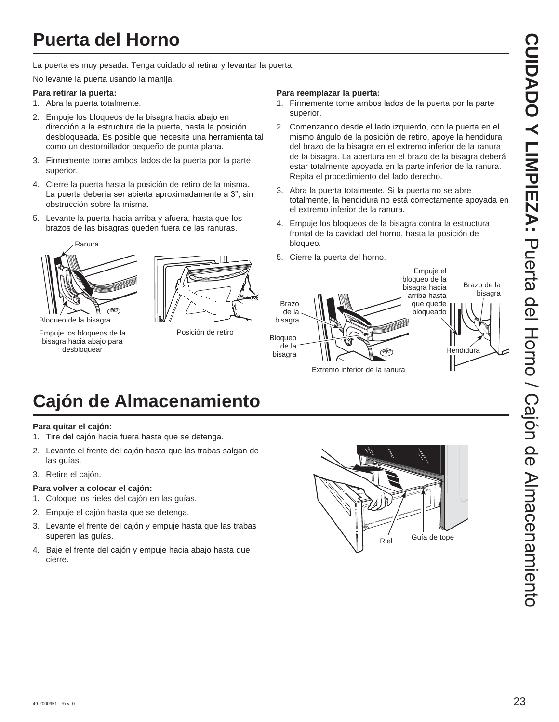La puerta es muy pesada. Tenga cuidado al retirar y levantar la puerta.

No levante la puerta usando la manija.

### **Para retirar la puerta:**

- 1. Abra la puerta totalmente.
- 2. Empuje los bloqueos de la bisagra hacia abajo en dirección a la estructura de la puerta, hasta la posición desbloqueada. Es posible que necesite una herramienta tal como un destornillador pequeño de punta plana.
- 3. Firmemente tome ambos lados de la puerta por la parte superior.
- 4. Cierre la puerta hasta la posición de retiro de la misma. La puerta debería ser abierta aproximadamente a 3", sin obstrucción sobre la misma.
- 5. Levante la puerta hacia arriba y afuera, hasta que los brazos de las bisagras queden fuera de las ranuras.



Empuje los bloqueos de la bisagra hacia abajo para desbloquear



Posición de retiro

### **Para reemplazar la puerta:**

- 1. Firmemente tome ambos lados de la puerta por la parte superior.
- 2. Comenzando desde el lado izquierdo, con la puerta en el mismo ángulo de la posición de retiro, apoye la hendidura del brazo de la bisagra en el extremo inferior de la ranura de la bisagra. La abertura en el brazo de la bisagra deberá estar totalmente apoyada en la parte inferior de la ranura. Repita el procedimiento del lado derecho.
- 3. Abra la puerta totalmente. Si la puerta no se abre totalmente, la hendidura no está correctamente apoyada en el extremo inferior de la ranura.
- 4. Empuje los bloqueos de la bisagra contra la estructura frontal de la cavidad del horno, hasta la posición de bloqueo.
- 5. Cierre la puerta del horno.



# **Cajón de Almacenamiento**

### **Para quitar el cajón:**

- 1. Tire del cajón hacia fuera hasta que se detenga.
- 2. Levante el frente del cajón hasta que las trabas salgan de las guías.
- 3. Retire el cajón.

### **Para volver a colocar el cajón:**

- 1. Coloque los rieles del cajón en las guías.
- 2. Empuje el cajón hasta que se detenga.
- 3. Levante el frente del cajón y empuje hasta que las trabas superen las guías.
- 4. Baje el frente del cajón y empuje hacia abajo hasta que cierre.

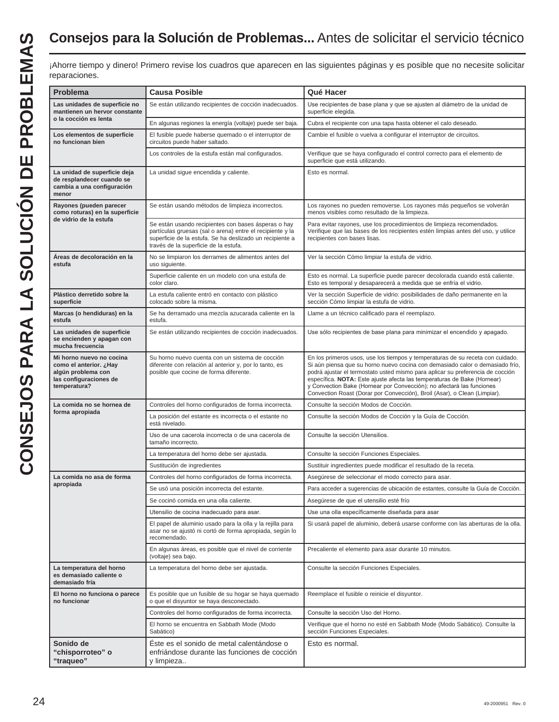## **Consejos para la Solución de Problemas...** Antes de solicitar el servicio técnico

| reparaciones.                                                                                                      |                                                                                                                                                                                                                       |                                                                                                                                                                                                                                                                                                                                                                                                                                                                                    |
|--------------------------------------------------------------------------------------------------------------------|-----------------------------------------------------------------------------------------------------------------------------------------------------------------------------------------------------------------------|------------------------------------------------------------------------------------------------------------------------------------------------------------------------------------------------------------------------------------------------------------------------------------------------------------------------------------------------------------------------------------------------------------------------------------------------------------------------------------|
| Problema                                                                                                           | <b>Causa Posible</b>                                                                                                                                                                                                  | Qué Hacer                                                                                                                                                                                                                                                                                                                                                                                                                                                                          |
| Las unidades de superficie no<br>mantienen un hervor constante<br>o la cocción es lenta                            | Se están utilizando recipientes de cocción inadecuados.                                                                                                                                                               | Use recipientes de base plana y que se ajusten al diámetro de la unidad de<br>superficie elegida.                                                                                                                                                                                                                                                                                                                                                                                  |
|                                                                                                                    | En algunas regiones la energía (voltaje) puede ser baja.                                                                                                                                                              | Cubra el recipiente con una tapa hasta obtener el calo deseado.                                                                                                                                                                                                                                                                                                                                                                                                                    |
| Los elementos de superficie<br>no funcionan bien                                                                   | El fusible puede haberse quemado o el interruptor de<br>circuitos puede haber saltado.                                                                                                                                | Cambie el fusible o vuelva a configurar el interruptor de circuitos.                                                                                                                                                                                                                                                                                                                                                                                                               |
|                                                                                                                    | Los controles de la estufa están mal configurados.                                                                                                                                                                    | Verifique que se haya configurado el control correcto para el elemento de<br>superficie que está utilizando.                                                                                                                                                                                                                                                                                                                                                                       |
| La unidad de superficie deja<br>de resplandecer cuando se<br>cambia a una configuración<br>menor                   | La unidad sigue encendida y caliente.                                                                                                                                                                                 | Esto es normal.                                                                                                                                                                                                                                                                                                                                                                                                                                                                    |
| Rayones (pueden parecer<br>como roturas) en la superficie                                                          | Se están usando métodos de limpieza incorrectos.                                                                                                                                                                      | Los rayones no pueden removerse. Los rayones más pequeños se volverán<br>menos visibles como resultado de la limpieza.                                                                                                                                                                                                                                                                                                                                                             |
| de vidrio de la estufa                                                                                             | Se están usando recipientes con bases ásperas o hay<br>partículas gruesas (sal o arena) entre el recipiente y la<br>superficie de la estufa. Se ha deslizado un recipiente a<br>través de la superficie de la estufa. | Para evitar rayones, use los procedimientos de limpieza recomendados.<br>Verifique que las bases de los recipientes estén limpias antes del uso, y utilice<br>recipientes con bases lisas.                                                                                                                                                                                                                                                                                         |
| Áreas de decoloración en la<br>estufa                                                                              | No se limpiaron los derrames de alimentos antes del<br>uso siguiente.                                                                                                                                                 | Ver la sección Cómo limpiar la estufa de vidrio.                                                                                                                                                                                                                                                                                                                                                                                                                                   |
|                                                                                                                    | Superficie caliente en un modelo con una estufa de<br>color claro.                                                                                                                                                    | Esto es normal. La superficie puede parecer decolorada cuando está caliente.<br>Esto es temporal y desaparecerá a medida que se enfría el vidrio.                                                                                                                                                                                                                                                                                                                                  |
| Plástico derretido sobre la<br>superficie                                                                          | La estufa caliente entró en contacto con plástico<br>colocado sobre la misma.                                                                                                                                         | Ver la sección Superficie de vidrio: posibilidades de daño permanente en la<br>sección Cómo limpiar la estufa de vidrio.                                                                                                                                                                                                                                                                                                                                                           |
| Marcas (o hendiduras) en la<br>estufa                                                                              | Se ha derramado una mezcla azucarada caliente en la<br>estufa.                                                                                                                                                        | Llame a un técnico calificado para el reemplazo.                                                                                                                                                                                                                                                                                                                                                                                                                                   |
| Las unidades de superficie<br>se encienden y apagan con<br>mucha frecuencia                                        | Se están utilizando recipientes de cocción inadecuados.                                                                                                                                                               | Use sólo recipientes de base plana para minimizar el encendido y apagado.                                                                                                                                                                                                                                                                                                                                                                                                          |
| Mi horno nuevo no cocina<br>como el anterior. ¿Hay<br>algún problema con<br>las configuraciones de<br>temperatura? | Su horno nuevo cuenta con un sistema de cocción<br>diferente con relación al anterior y, por lo tanto, es<br>posible que cocine de forma diferente.                                                                   | En los primeros usos, use los tiempos y temperaturas de su receta con cuidado.<br>Si aún piensa que su horno nuevo cocina con demasiado calor o demasiado frío,<br>podrá ajustar el termostato usted mismo para aplicar su preferencia de cocción<br>específica. NOTA: Este ajuste afecta las temperaturas de Bake (Hornear)<br>y Convection Bake (Hornear por Convección); no afectará las funciones<br>Convection Roast (Dorar por Convección), Broil (Asar), o Clean (Limpiar). |
| La comida no se hornea de                                                                                          | Controles del horno configurados de forma incorrecta.                                                                                                                                                                 | Consulte la sección Modos de Cocción.                                                                                                                                                                                                                                                                                                                                                                                                                                              |
| forma apropiada                                                                                                    | La posición del estante es incorrecta o el estante no<br>está nivelado.                                                                                                                                               | Consulte la sección Modos de Cocción y la Guía de Cocción.                                                                                                                                                                                                                                                                                                                                                                                                                         |
|                                                                                                                    | Uso de una cacerola incorrecta o de una cacerola de<br>tamaño incorrecto.                                                                                                                                             | Consulte la sección Utensilios.                                                                                                                                                                                                                                                                                                                                                                                                                                                    |
|                                                                                                                    | La temperatura del horno debe ser ajustada.                                                                                                                                                                           | Consulte la sección Funciones Especiales.                                                                                                                                                                                                                                                                                                                                                                                                                                          |
|                                                                                                                    | Sustitución de ingredientes                                                                                                                                                                                           | Sustituir ingredientes puede modificar el resultado de la receta.                                                                                                                                                                                                                                                                                                                                                                                                                  |
| La comida no asa de forma<br>apropiada                                                                             | Controles del horno configurados de forma incorrecta.                                                                                                                                                                 | Asegúrese de seleccionar el modo correcto para asar.                                                                                                                                                                                                                                                                                                                                                                                                                               |
|                                                                                                                    | Se usó una posición incorrecta del estante.                                                                                                                                                                           | Para acceder a sugerencias de ubicación de estantes, consulte la Guía de Cocción.                                                                                                                                                                                                                                                                                                                                                                                                  |
|                                                                                                                    | Se cocinó comida en una olla caliente.                                                                                                                                                                                | Asegúrese de que el utensilio esté frío                                                                                                                                                                                                                                                                                                                                                                                                                                            |
|                                                                                                                    | Utensilio de cocina inadecuado para asar.                                                                                                                                                                             | Use una olla específicamente diseñada para asar                                                                                                                                                                                                                                                                                                                                                                                                                                    |
|                                                                                                                    | El papel de aluminio usado para la olla y la rejilla para<br>asar no se ajustó ni cortó de forma apropiada, según lo<br>recomendado.                                                                                  | Si usará papel de aluminio, deberá usarse conforme con las aberturas de la olla.                                                                                                                                                                                                                                                                                                                                                                                                   |
|                                                                                                                    | En algunas áreas, es posible que el nivel de corriente<br>(voltaje) sea bajo.                                                                                                                                         | Precaliente el elemento para asar durante 10 minutos.                                                                                                                                                                                                                                                                                                                                                                                                                              |
| La temperatura del horno<br>es demasiado caliente o<br>demasiado fría                                              | La temperatura del horno debe ser ajustada.                                                                                                                                                                           | Consulte la sección Funciones Especiales.                                                                                                                                                                                                                                                                                                                                                                                                                                          |
| El horno no funciona o parece<br>no funcionar                                                                      | Es posible que un fusible de su hogar se haya quemado<br>o que el disyuntor se haya desconectado.                                                                                                                     | Reemplace el fusible o reinicie el disyuntor.                                                                                                                                                                                                                                                                                                                                                                                                                                      |
|                                                                                                                    | Controles del horno configurados de forma incorrecta.                                                                                                                                                                 | Consulte la sección Uso del Horno.                                                                                                                                                                                                                                                                                                                                                                                                                                                 |
|                                                                                                                    | El horno se encuentra en Sabbath Mode (Modo<br>Sabático)                                                                                                                                                              | Verifique que el horno no esté en Sabbath Mode (Modo Sabático). Consulte la<br>sección Funciones Especiales.                                                                                                                                                                                                                                                                                                                                                                       |
| Sonido de<br>"chisporroteo" o<br>"traqueo"                                                                         | Éste es el sonido de metal calentándose o<br>enfriándose durante las funciones de cocción<br>y limpieza                                                                                                               | Esto es normal.                                                                                                                                                                                                                                                                                                                                                                                                                                                                    |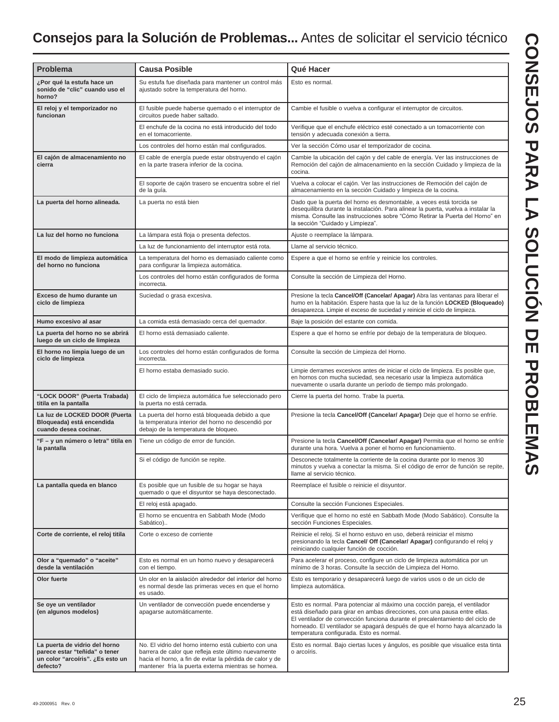## **Consejos para la Solución de Problemas...** Antes de solicitar el servicio técnico

| Problema                                                                                                       | <b>Causa Posible</b>                                                                                                                                                                                                            | Qué Hacer                                                                                                                                                                                                                                                                                                                                                            |
|----------------------------------------------------------------------------------------------------------------|---------------------------------------------------------------------------------------------------------------------------------------------------------------------------------------------------------------------------------|----------------------------------------------------------------------------------------------------------------------------------------------------------------------------------------------------------------------------------------------------------------------------------------------------------------------------------------------------------------------|
|                                                                                                                |                                                                                                                                                                                                                                 |                                                                                                                                                                                                                                                                                                                                                                      |
| ¿Por qué la estufa hace un<br>sonido de "clic" cuando uso el<br>horno?                                         | Su estufa fue diseñada para mantener un control más<br>ajustado sobre la temperatura del horno.                                                                                                                                 | Esto es normal.                                                                                                                                                                                                                                                                                                                                                      |
| El reloj y el temporizador no<br>funcionan                                                                     | El fusible puede haberse quemado o el interruptor de<br>circuitos puede haber saltado.                                                                                                                                          | Cambie el fusible o vuelva a configurar el interruptor de circuitos.                                                                                                                                                                                                                                                                                                 |
|                                                                                                                | El enchufe de la cocina no está introducido del todo<br>en el tomacorriente.                                                                                                                                                    | Verifique que el enchufe eléctrico esté conectado a un tomacorriente con<br>tensión y adecuada conexión a tierra.                                                                                                                                                                                                                                                    |
|                                                                                                                | Los controles del horno están mal configurados.                                                                                                                                                                                 | Ver la sección Cómo usar el temporizador de cocina.                                                                                                                                                                                                                                                                                                                  |
| El cajón de almacenamiento no<br>cierra                                                                        | El cable de energía puede estar obstruyendo el cajón<br>en la parte trasera inferior de la cocina.                                                                                                                              | Cambie la ubicación del cajón y del cable de energía. Ver las instrucciones de<br>Remoción del cajón de almacenamiento en la sección Cuidado y limpieza de la<br>cocina.                                                                                                                                                                                             |
|                                                                                                                | El soporte de cajón trasero se encuentra sobre el riel<br>de la guía.                                                                                                                                                           | Vuelva a colocar el cajón. Ver las instrucciones de Remoción del cajón de<br>almacenamiento en la sección Cuidado y limpieza de la cocina.                                                                                                                                                                                                                           |
| La puerta del horno alineada.                                                                                  | La puerta no está bien                                                                                                                                                                                                          | Dado que la puerta del horno es desmontable, a veces está torcida se<br>desequilibra durante la instalación. Para alinear la puerta, vuelva a instalar la<br>misma. Consulte las instrucciones sobre "Cómo Retirar la Puerta del Horno" en<br>la sección "Cuidado y Limpieza".                                                                                       |
| La luz del horno no funciona                                                                                   | La lámpara está floja o presenta defectos.                                                                                                                                                                                      | Ajuste o reemplace la lámpara.                                                                                                                                                                                                                                                                                                                                       |
|                                                                                                                | La luz de funcionamiento del interruptor está rota.                                                                                                                                                                             | Llame al servicio técnico.                                                                                                                                                                                                                                                                                                                                           |
| El modo de limpieza automática<br>del horno no funciona                                                        | La temperatura del horno es demasiado caliente como<br>para configurar la limpieza automática.                                                                                                                                  | Espere a que el horno se enfríe y reinicie los controles.                                                                                                                                                                                                                                                                                                            |
|                                                                                                                | Los controles del horno están configurados de forma<br>incorrecta.                                                                                                                                                              | Consulte la sección de Limpieza del Horno.                                                                                                                                                                                                                                                                                                                           |
| Exceso de humo durante un<br>ciclo de limpieza                                                                 | Suciedad o grasa excesiva.                                                                                                                                                                                                      | Presione la tecla Cancel/Off (Cancelar/ Apagar) Abra las ventanas para liberar el<br>humo en la habitación. Espere hasta que la luz de la función LOCKED (Bloqueado)<br>desaparezca. Limpie el exceso de suciedad y reinicie el ciclo de limpieza.                                                                                                                   |
| Humo excesivo al asar                                                                                          | La comida está demasiado cerca del quemador.                                                                                                                                                                                    | Baje la posición del estante con comida.                                                                                                                                                                                                                                                                                                                             |
| La puerta del horno no se abrirá<br>luego de un ciclo de limpieza                                              | El horno está demasiado caliente.                                                                                                                                                                                               | Espere a que el horno se enfríe por debajo de la temperatura de bloqueo.                                                                                                                                                                                                                                                                                             |
| El horno no limpia luego de un<br>ciclo de limpieza                                                            | Los controles del horno están configurados de forma<br>incorrecta.                                                                                                                                                              | Consulte la sección de Limpieza del Horno.                                                                                                                                                                                                                                                                                                                           |
|                                                                                                                | El horno estaba demasiado sucio.                                                                                                                                                                                                | Limpie derrames excesivos antes de iniciar el ciclo de limpieza. Es posible que,<br>en hornos con mucha suciedad, sea necesario usar la limpieza automática<br>nuevamente o usarla durante un período de tiempo más prolongado.                                                                                                                                      |
| "LOCK DOOR" (Puerta Trabada)<br>titila en la pantalla                                                          | El ciclo de limpieza automática fue seleccionado pero<br>la puerta no está cerrada.                                                                                                                                             | Cierre la puerta del horno. Trabe la puerta.                                                                                                                                                                                                                                                                                                                         |
| La luz de LOCKED DOOR (Puerta<br>Bloqueada) está encendida<br>cuando desea cocinar.                            | La puerta del horno está bloqueada debido a que<br>la temperatura interior del horno no descendió por<br>debajo de la temperatura de bloqueo.                                                                                   | Presione la tecla Cancel/Off (Cancelar/ Apagar) Deje que el horno se enfríe.                                                                                                                                                                                                                                                                                         |
| "F - y un número o letra" titila en<br>la pantalla                                                             | Tiene un código de error de función.                                                                                                                                                                                            | Presione la tecla Cancel/Off (Cancelar/ Apagar) Permita que el horno se enfríe<br>durante una hora. Vuelva a poner el horno en funcionamiento.                                                                                                                                                                                                                       |
|                                                                                                                | Si el código de función se repite.                                                                                                                                                                                              | Desconecte totalmente la corriente de la cocina durante por lo menos 30<br>minutos y vuelva a conectar la misma. Si el código de error de función se repite,<br>llame al servicio técnico.                                                                                                                                                                           |
| La pantalla queda en blanco                                                                                    | Es posible que un fusible de su hogar se haya<br>quemado o que el disyuntor se haya desconectado.                                                                                                                               | Reemplace el fusible o reinicie el disyuntor.                                                                                                                                                                                                                                                                                                                        |
|                                                                                                                | El reloj está apagado.                                                                                                                                                                                                          | Consulte la sección Funciones Especiales.                                                                                                                                                                                                                                                                                                                            |
|                                                                                                                | El horno se encuentra en Sabbath Mode (Modo<br>Sabático)                                                                                                                                                                        | Verifique que el horno no esté en Sabbath Mode (Modo Sabático). Consulte la<br>sección Funciones Especiales.                                                                                                                                                                                                                                                         |
| Corte de corriente, el reloj titila                                                                            | Corte o exceso de corriente                                                                                                                                                                                                     | Reinicie el reloj. Si el horno estuvo en uso, deberá reiniciar el mismo<br>presionando la tecla Cancel/ Off (Cancelar/ Apagar) configurando el reloj y<br>reiniciando cualquier función de cocción.                                                                                                                                                                  |
| Olor a "quemado" o "aceite"<br>desde la ventilación                                                            | Esto es normal en un horno nuevo y desaparecerá<br>con el tiempo.                                                                                                                                                               | Para acelerar el proceso, configure un ciclo de limpieza automática por un<br>mínimo de 3 horas. Consulte la sección de Limpieza del Horno.                                                                                                                                                                                                                          |
| Olor fuerte                                                                                                    | Un olor en la aislación alrededor del interior del horno<br>es normal desde las primeras veces en que el horno<br>es usado.                                                                                                     | Esto es temporario y desaparecerá luego de varios usos o de un ciclo de<br>limpieza automática.                                                                                                                                                                                                                                                                      |
| Se oye un ventilador<br>(en algunos modelos)                                                                   | Un ventilador de convección puede encenderse y<br>apagarse automáticamente.                                                                                                                                                     | Esto es normal. Para potenciar al máximo una cocción pareja, el ventilador<br>está diseñado para girar en ambas direcciones, con una pausa entre ellas.<br>El ventilador de convección funciona durante el precalentamiento del ciclo de<br>horneado. El ventilador se apagará después de que el horno haya alcanzado la<br>temperatura configurada. Esto es normal. |
| La puerta de vidrio del horno<br>parece estar "teñida" o tener<br>un color "arcoíris". ¿Es esto un<br>defecto? | No. El vidrio del horno interno está cubierto con una<br>barrera de calor que refleja este último nuevamente<br>hacia el horno, a fin de evitar la pérdida de calor y de<br>mantener fría la puerta externa mientras se hornea. | Esto es normal. Bajo ciertas luces y ángulos, es posible que visualice esta tinta<br>o arcoíris.                                                                                                                                                                                                                                                                     |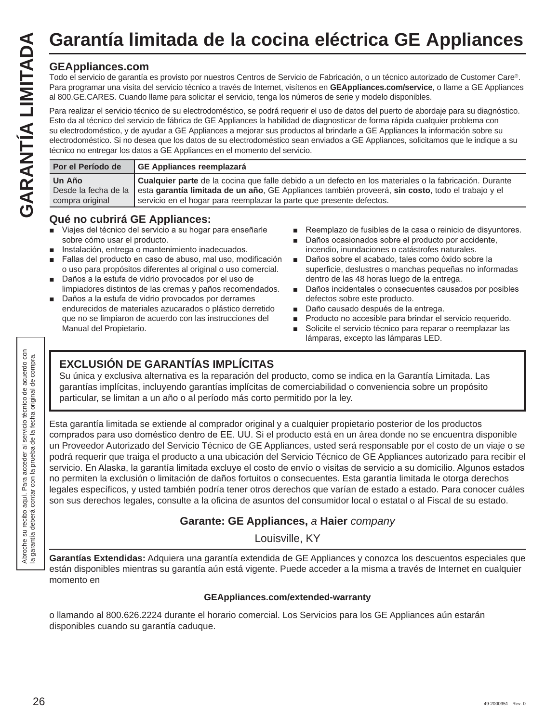Todo el servicio de garantía es provisto por nuestros Centros de Servicio de Fabricación, o un técnico autorizado de Customer Care®. Para programar una visita del servicio técnico a través de Internet, visítenos en **GEAppliances.com/service**, o llame a GE Appliances al 800.GE.CARES. Cuando llame para solicitar el servicio, tenga los números de serie y modelo disponibles.

Para realizar el servicio técnico de su electrodoméstico, se podrá requerir el uso de datos del puerto de abordaje para su diagnóstico. Esto da al técnico del servicio de fábrica de GE Appliances la habilidad de diagnosticar de forma rápida cualquier problema con su electrodoméstico, y de ayudar a GE Appliances a mejorar sus productos al brindarle a GE Appliances la información sobre su electrodoméstico. Si no desea que los datos de su electrodoméstico sean enviados a GE Appliances, solicitamos que le indique a su técnico no entregar los datos a GE Appliances en el momento del servicio. Garantía limitada de la cocina eléctrica GE Appliances<br>
For experiments are provisive por nuestros Centros de Servicio de Fabricación, o un técnico autorizado de Customer Care®.<br>
Para programar una visita del servicio técn

| Por el Período de         | GE Appliances reemplazará                                                                                                                                                                                                                                                                                |
|---------------------------|----------------------------------------------------------------------------------------------------------------------------------------------------------------------------------------------------------------------------------------------------------------------------------------------------------|
| Un Año<br>compra original | Cualquier parte de la cocina que falle debido a un defecto en los materiales o la fabricación. Durante<br>Desde la fecha de la esta garantía limitada de un año, GE Appliances también proveerá, sin costo, todo el trabajo y el<br>servicio en el hogar para reemplazar la parte que presente defectos. |

### **Qué no cubrirá GE Appliances:**

- Viajes del técnico del servicio a su hogar para enseñarle sobre cómo usar el producto.
- Instalación, entrega o mantenimiento inadecuados.
- Fallas del producto en caso de abuso, mal uso, modificación o uso para propósitos diferentes al original o uso comercial.
- Daños a la estufa de vidrio provocados por el uso de limpiadores distintos de las cremas y paños recomendados.
- Daños a la estufa de vidrio provocados por derrames endurecidos de materiales azucarados o plástico derretido que no se limpiaron de acuerdo con las instrucciones del Manual del Propietario.
- Reemplazo de fusibles de la casa o reinicio de disyuntores.
- Daños ocasionados sobre el producto por accidente, incendio, inundaciones o catástrofes naturales.
- Daños sobre el acabado, tales como óxido sobre la superficie, deslustres o manchas pequeñas no informadas dentro de las 48 horas luego de la entrega.
- Daños incidentales o consecuentes causados por posibles defectos sobre este producto.
- Daño causado después de la entrega.
- Producto no accesible para brindar el servicio requerido.
- Solicite el servicio técnico para reparar o reemplazar las lámparas, excepto las lámparas LED.

### **EXCLUSIÓN DE GARANTÍAS IMPLÍCITAS**

Su única y exclusiva alternativa es la reparación del producto, como se indica en la Garantía Limitada. Las garantías implícitas, incluyendo garantías implícitas de comerciabilidad o conveniencia sobre un propósito particular, se limitan a un año o al período más corto permitido por la ley.

Esta garantía limitada se extiende al comprador original y a cualquier propietario posterior de los productos comprados para uso doméstico dentro de EE. UU. Si el producto está en un área donde no se encuentra disponible un Proveedor Autorizado del Servicio Técnico de GE Appliances, usted será responsable por el costo de un viaje o se podrá requerir que traiga el producto a una ubicación del Servicio Técnico de GE Appliances autorizado para recibir el servicio. En Alaska, la garantía limitada excluye el costo de envío o visitas de servicio a su domicilio. Algunos estados no permiten la exclusión o limitación de daños fortuitos o consecuentes. Esta garantía limitada le otorga derechos legales específicos, y usted también podría tener otros derechos que varían de estado a estado. Para conocer cuáles son sus derechos legales, consulte a la oficina de asuntos del consumidor local o estatal o al Fiscal de su estado.

### **Garante: GE Appliances,** *a* **Haier** *company*

Louisville, KY

**Garantías Extendidas:** Adquiera una garantía extendida de GE Appliances y conozca los descuentos especiales que están disponibles mientras su garantía aún está vigente. Puede acceder a la misma a través de Internet en cualquier momento en

### **GEAppliances.com/extended-warranty**

o llamando al 800.626.2224 durante el horario comercial. Los Servicios para los GE Appliances aún estarán disponibles cuando su garantía caduque.

Abroche su recibo aquí. Para acceder al servicio técnico de acuerdo con la garantía deberá contar con la prueba de la fecha original de compra.

vroche su recibo aquí. Para acceder al servicio técnico de acuerdo con<br>garantía deberá contar con la prueba de la fecha original de compra.

Abroche s<br>la garantí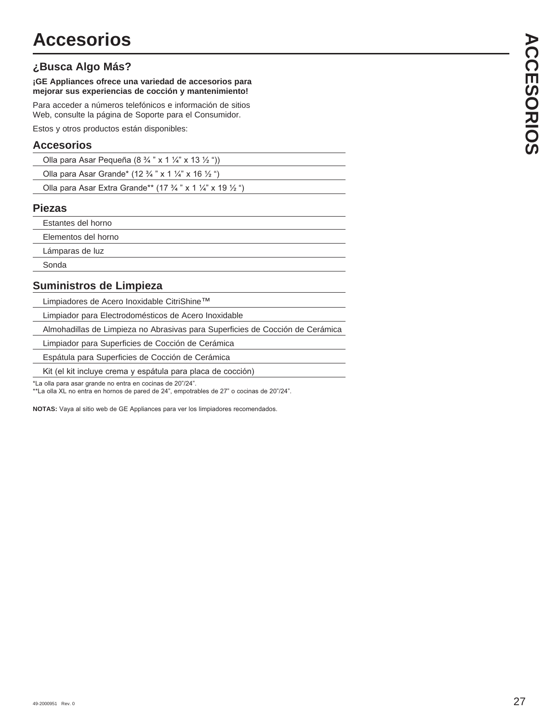### **¿Busca Algo Más?**

### **¡GE Appliances ofrece una variedad de accesorios para mejorar sus experiencias de cocción y mantenimiento!**

Para acceder a números telefónicos e información de sitios Web, consulte la página de Soporte para el Consumidor.

Estos y otros productos están disponibles:

### **Accesorios**

| Olla para Asar Pequeña (8 $\frac{3}{4}$ " x 1 $\frac{1}{4}$ " x 13 $\frac{1}{2}$ ")         |  |
|---------------------------------------------------------------------------------------------|--|
| Olla para Asar Grande* (12 $\frac{3}{4}$ " x 1 $\frac{1}{4}$ " x 16 $\frac{1}{2}$ ")        |  |
| Olla para Asar Extra Grande** (17 $\frac{3}{4}$ " x 1 $\frac{1}{4}$ " x 19 $\frac{1}{2}$ ") |  |

### **Piezas**

| Estantes del horno  |
|---------------------|
| Elementos del horno |
| Lámparas de luz     |
| Sonda               |
|                     |

### **Suministros de Limpieza**

Limpiadores de Acero Inoxidable CitriShine™

Limpiador para Electrodomésticos de Acero Inoxidable

Almohadillas de Limpieza no Abrasivas para Superficies de Cocción de Cerámica

Limpiador para Superficies de Cocción de Cerámica

Espátula para Superficies de Cocción de Cerámica

Kit (el kit incluye crema y espátula para placa de cocción)

\*La olla para asar grande no entra en cocinas de 20"/24".

\*\*La olla XL no entra en hornos de pared de 24", empotrables de 27" o cocinas de 20"/24".

NOTAS: Vaya al sitio web de GE Appliances para ver los limpiadores recomendados.